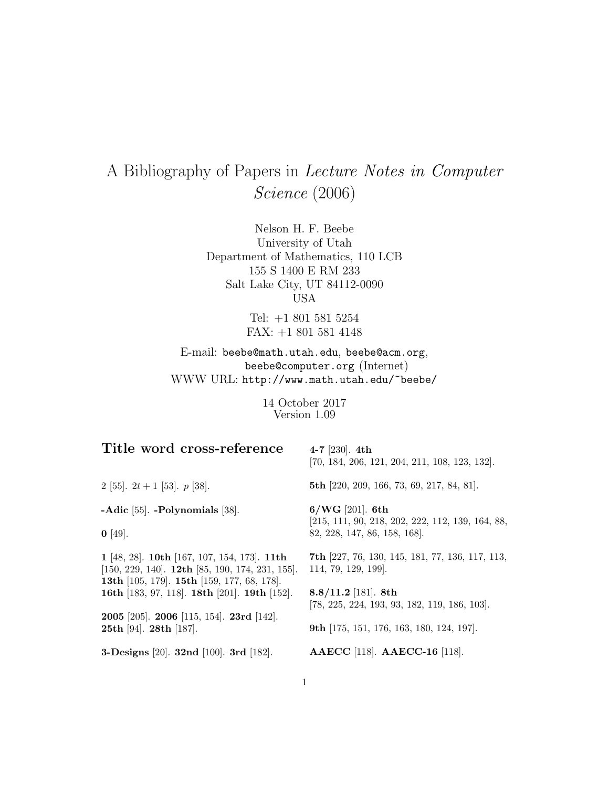# A Bibliography of Papers in Lecture Notes in Computer Science (2006)

Nelson H. F. Beebe University of Utah Department of Mathematics, 110 LCB 155 S 1400 E RM 233 Salt Lake City, UT 84112-0090 USA

> Tel: +1 801 581 5254 FAX: +1 801 581 4148

E-mail: beebe@math.utah.edu, beebe@acm.org, beebe@computer.org (Internet) WWW URL: http://www.math.utah.edu/~beebe/

> 14 October 2017 Version 1.09

| Title word cross-reference                                                                                                                                                                             | 4-7 [230]. $4th$<br>$[70, 184, 206, 121, 204, 211, 108, 123, 132].$                                                                                   |
|--------------------------------------------------------------------------------------------------------------------------------------------------------------------------------------------------------|-------------------------------------------------------------------------------------------------------------------------------------------------------|
| 2 [55]. $2t + 1$ [53]. $p$ [38].                                                                                                                                                                       | <b>5th</b> [220, 209, 166, 73, 69, 217, 84, 81].                                                                                                      |
| -Adic $[55]$ . -Polynomials $[38]$ .<br>$\mathbf{0}$ [49].                                                                                                                                             | $6/WG$ [201]. 6th<br>$[215, 111, 90, 218, 202, 222, 112, 139, 164, 88,$<br>82, 228, 147, 86, 158, 168.                                                |
| 1 [48, 28]. 10th [167, 107, 154, 173]. 11th<br>$[150, 229, 140]$ . <b>12th</b> [85, 190, 174, 231, 155].<br>13th [105, 179]. 15th [159, 177, 68, 178].<br>16th [183, 97, 118]. 18th [201]. 19th [152]. | <b>7th</b> [227, 76, 130, 145, 181, 77, 136, 117, 113,<br>114, 79, 129, 199.<br>8.8/11.2 [181]. 8th<br>$[78, 225, 224, 193, 93, 182, 119, 186, 103].$ |
| <b>2005</b> [205]. <b>2006</b> [115, 154]. <b>23rd</b> [142].<br>25th [94]. 28th [187].<br><b>3-Designs</b> [20]. <b>32nd</b> [100]. <b>3rd</b> [182].                                                 | <b>9th</b> [175, 151, 176, 163, 180, 124, 197].<br>AAECC [118]. AAECC-16 [118].                                                                       |
|                                                                                                                                                                                                        |                                                                                                                                                       |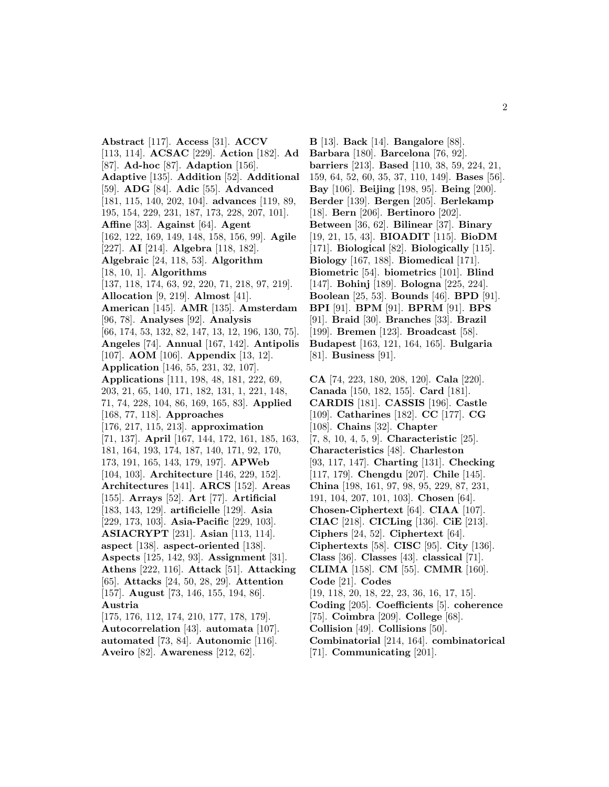**Abstract** [117]. **Access** [31]. **ACCV** [113, 114]. **ACSAC** [229]. **Action** [182]. **Ad** [87]. **Ad-hoc** [87]. **Adaption** [156]. **Adaptive** [135]. **Addition** [52]. **Additional** [59]. **ADG** [84]. **Adic** [55]. **Advanced** [181, 115, 140, 202, 104]. **advances** [119, 89, 195, 154, 229, 231, 187, 173, 228, 207, 101]. **Affine** [33]. **Against** [64]. **Agent** [162, 122, 169, 149, 148, 158, 156, 99]. **Agile** [227]. **AI** [214]. **Algebra** [118, 182]. **Algebraic** [24, 118, 53]. **Algorithm** [18, 10, 1]. **Algorithms** [137, 118, 174, 63, 92, 220, 71, 218, 97, 219]. **Allocation** [9, 219]. **Almost** [41]. **American** [145]. **AMR** [135]. **Amsterdam** [96, 78]. **Analyses** [92]. **Analysis** [66, 174, 53, 132, 82, 147, 13, 12, 196, 130, 75]. **Angeles** [74]. **Annual** [167, 142]. **Antipolis** [107]. **AOM** [106]. **Appendix** [13, 12]. **Application** [146, 55, 231, 32, 107]. **Applications** [111, 198, 48, 181, 222, 69, 203, 21, 65, 140, 171, 182, 131, 1, 221, 148, 71, 74, 228, 104, 86, 169, 165, 83]. **Applied** [168, 77, 118]. **Approaches** [176, 217, 115, 213]. **approximation** [71, 137]. **April** [167, 144, 172, 161, 185, 163, 181, 164, 193, 174, 187, 140, 171, 92, 170, 173, 191, 165, 143, 179, 197]. **APWeb** [104, 103]. **Architecture** [146, 229, 152]. **Architectures** [141]. **ARCS** [152]. **Areas** [155]. **Arrays** [52]. **Art** [77]. **Artificial** [183, 143, 129]. **artificielle** [129]. **Asia** [229, 173, 103]. **Asia-Pacific** [229, 103]. **ASIACRYPT** [231]. **Asian** [113, 114]. **aspect** [138]. **aspect-oriented** [138]. **Aspects** [125, 142, 93]. **Assignment** [31]. **Athens** [222, 116]. **Attack** [51]. **Attacking** [65]. **Attacks** [24, 50, 28, 29]. **Attention** [157]. **August** [73, 146, 155, 194, 86]. **Austria** [175, 176, 112, 174, 210, 177, 178, 179]. **Autocorrelation** [43]. **automata** [107]. **automated** [73, 84]. **Autonomic** [116].

**Aveiro** [82]. **Awareness** [212, 62].

**B** [13]. **Back** [14]. **Bangalore** [88]. **Barbara** [180]. **Barcelona** [76, 92]. **barriers** [213]. **Based** [110, 38, 59, 224, 21, 159, 64, 52, 60, 35, 37, 110, 149]. **Bases** [56]. **Bay** [106]. **Beijing** [198, 95]. **Being** [200]. **Berder** [139]. **Bergen** [205]. **Berlekamp** [18]. **Bern** [206]. **Bertinoro** [202]. **Between** [36, 62]. **Bilinear** [37]. **Binary** [19, 21, 15, 43]. **BIOADIT** [115]. **BioDM** [171]. **Biological** [82]. **Biologically** [115]. **Biology** [167, 188]. **Biomedical** [171]. **Biometric** [54]. **biometrics** [101]. **Blind** [147]. **Bohinj** [189]. **Bologna** [225, 224]. **Boolean** [25, 53]. **Bounds** [46]. **BPD** [91]. **BPI** [91]. **BPM** [91]. **BPRM** [91]. **BPS** [91]. **Braid** [30]. **Branches** [33]. **Brazil** [199]. **Bremen** [123]. **Broadcast** [58]. **Budapest** [163, 121, 164, 165]. **Bulgaria** [81]. **Business** [91].

**CA** [74, 223, 180, 208, 120]. **Cala** [220]. **Canada** [150, 182, 155]. **Card** [181]. **CARDIS** [181]. **CASSIS** [196]. **Castle** [109]. **Catharines** [182]. **CC** [177]. **CG** [108]. **Chains** [32]. **Chapter** [7, 8, 10, 4, 5, 9]. **Characteristic** [25]. **Characteristics** [48]. **Charleston** [93, 117, 147]. **Charting** [131]. **Checking** [117, 179]. **Chengdu** [207]. **Chile** [145]. **China** [198, 161, 97, 98, 95, 229, 87, 231, 191, 104, 207, 101, 103]. **Chosen** [64]. **Chosen-Ciphertext** [64]. **CIAA** [107]. **CIAC** [218]. **CICLing** [136]. **CiE** [213]. **Ciphers** [24, 52]. **Ciphertext** [64]. **Ciphertexts** [58]. **CISC** [95]. **City** [136]. **Class** [36]. **Classes** [43]. **classical** [71]. **CLIMA** [158]. **CM** [55]. **CMMR** [160]. **Code** [21]. **Codes** [19, 118, 20, 18, 22, 23, 36, 16, 17, 15]. **Coding** [205]. **Coefficients** [5]. **coherence** [75]. **Coimbra** [209]. **College** [68]. **Collision** [49]. **Collisions** [50]. **Combinatorial** [214, 164]. **combinatorical** [71]. **Communicating** [201].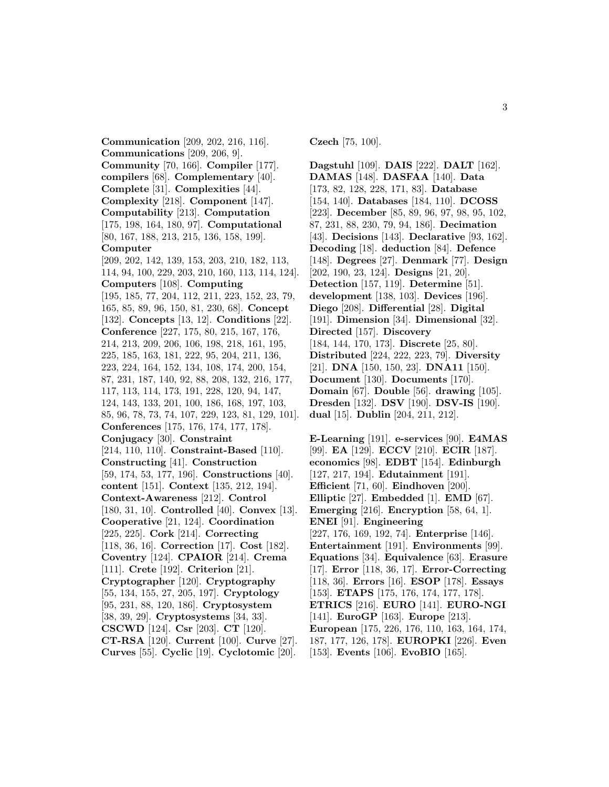**Communication** [209, 202, 216, 116]. **Communications** [209, 206, 9]. **Community** [70, 166]. **Compiler** [177]. **compilers** [68]. **Complementary** [40]. **Complete** [31]. **Complexities** [44]. **Complexity** [218]. **Component** [147]. **Computability** [213]. **Computation** [175, 198, 164, 180, 97]. **Computational** [80, 167, 188, 213, 215, 136, 158, 199]. **Computer** [209, 202, 142, 139, 153, 203, 210, 182, 113, 114, 94, 100, 229, 203, 210, 160, 113, 114, 124]. **Computers** [108]. **Computing** [195, 185, 77, 204, 112, 211, 223, 152, 23, 79, 165, 85, 89, 96, 150, 81, 230, 68]. **Concept** [132]. **Concepts** [13, 12]. **Conditions** [22]. **Conference** [227, 175, 80, 215, 167, 176, 214, 213, 209, 206, 106, 198, 218, 161, 195, 225, 185, 163, 181, 222, 95, 204, 211, 136, 223, 224, 164, 152, 134, 108, 174, 200, 154, 87, 231, 187, 140, 92, 88, 208, 132, 216, 177, 117, 113, 114, 173, 191, 228, 120, 94, 147, 124, 143, 133, 201, 100, 186, 168, 197, 103, 85, 96, 78, 73, 74, 107, 229, 123, 81, 129, 101]. **Conferences** [175, 176, 174, 177, 178]. **Conjugacy** [30]. **Constraint** [214, 110, 110]. **Constraint-Based** [110]. **Constructing** [41]. **Construction** [59, 174, 53, 177, 196]. **Constructions** [40]. **content** [151]. **Context** [135, 212, 194]. **Context-Awareness** [212]. **Control** [180, 31, 10]. **Controlled** [40]. **Convex** [13]. **Cooperative** [21, 124]. **Coordination** [225, 225]. **Cork** [214]. **Correcting** [118, 36, 16]. **Correction** [17]. **Cost** [182]. **Coventry** [124]. **CPAIOR** [214]. **Crema** [111]. **Crete** [192]. **Criterion** [21]. **Cryptographer** [120]. **Cryptography** [55, 134, 155, 27, 205, 197]. **Cryptology** [95, 231, 88, 120, 186]. **Cryptosystem** [38, 39, 29]. **Cryptosystems** [34, 33]. **CSCWD** [124]. **Csr** [203]. **CT** [120]. **CT-RSA** [120]. **Current** [100]. **Curve** [27]. **Curves** [55]. **Cyclic** [19]. **Cyclotomic** [20].

**Czech** [75, 100].

**Dagstuhl** [109]. **DAIS** [222]. **DALT** [162]. **DAMAS** [148]. **DASFAA** [140]. **Data** [173, 82, 128, 228, 171, 83]. **Database** [154, 140]. **Databases** [184, 110]. **DCOSS** [223]. **December** [85, 89, 96, 97, 98, 95, 102, 87, 231, 88, 230, 79, 94, 186]. **Decimation** [43]. **Decisions** [143]. **Declarative** [93, 162]. **Decoding** [18]. **deduction** [84]. **Defence** [148]. **Degrees** [27]. **Denmark** [77]. **Design** [202, 190, 23, 124]. **Designs** [21, 20]. **Detection** [157, 119]. **Determine** [51]. **development** [138, 103]. **Devices** [196]. **Diego** [208]. **Differential** [28]. **Digital** [191]. **Dimension** [34]. **Dimensional** [32]. **Directed** [157]. **Discovery** [184, 144, 170, 173]. **Discrete** [25, 80]. **Distributed** [224, 222, 223, 79]. **Diversity** [21]. **DNA** [150, 150, 23]. **DNA11** [150]. **Document** [130]. **Documents** [170]. **Domain** [67]. **Double** [56]. **drawing** [105]. **Dresden** [132]. **DSV** [190]. **DSV-IS** [190]. **dual** [15]. **Dublin** [204, 211, 212].

**E-Learning** [191]. **e-services** [90]. **E4MAS** [99]. **EA** [129]. **ECCV** [210]. **ECIR** [187]. **economics** [98]. **EDBT** [154]. **Edinburgh** [127, 217, 194]. **Edutainment** [191]. **Efficient** [71, 60]. **Eindhoven** [200]. **Elliptic** [27]. **Embedded** [1]. **EMD** [67]. **Emerging** [216]. **Encryption** [58, 64, 1]. **ENEI** [91]. **Engineering** [227, 176, 169, 192, 74]. **Enterprise** [146]. **Entertainment** [191]. **Environments** [99]. **Equations** [34]. **Equivalence** [63]. **Erasure** [17]. **Error** [118, 36, 17]. **Error-Correcting** [118, 36]. **Errors** [16]. **ESOP** [178]. **Essays** [153]. **ETAPS** [175, 176, 174, 177, 178]. **ETRICS** [216]. **EURO** [141]. **EURO-NGI** [141]. **EuroGP** [163]. **Europe** [213]. **European** [175, 226, 176, 110, 163, 164, 174, 187, 177, 126, 178]. **EUROPKI** [226]. **Even** [153]. **Events** [106]. **EvoBIO** [165].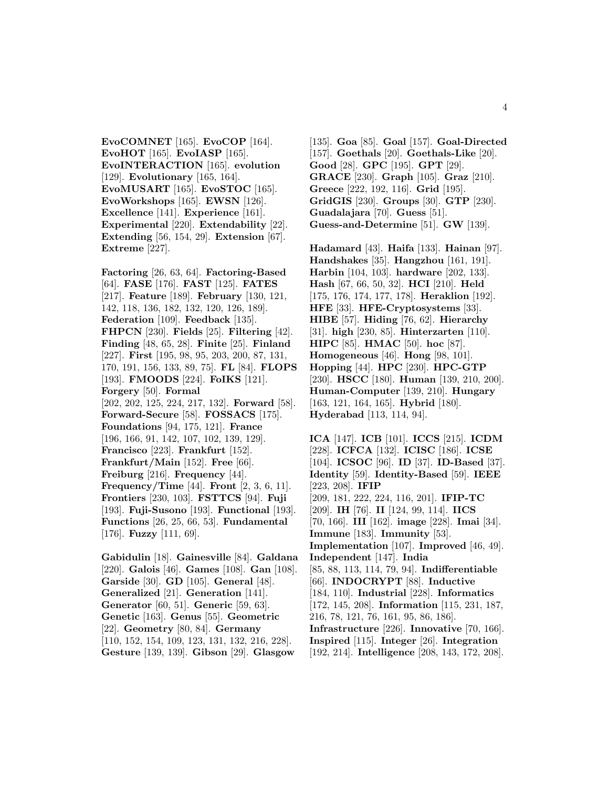**EvoCOMNET** [165]. **EvoCOP** [164]. **EvoHOT** [165]. **EvoIASP** [165]. **EvoINTERACTION** [165]. **evolution** [129]. **Evolutionary** [165, 164]. **EvoMUSART** [165]. **EvoSTOC** [165]. **EvoWorkshops** [165]. **EWSN** [126]. **Excellence** [141]. **Experience** [161]. **Experimental** [220]. **Extendability** [22]. **Extending** [56, 154, 29]. **Extension** [67]. **Extreme** [227].

**Factoring** [26, 63, 64]. **Factoring-Based** [64]. **FASE** [176]. **FAST** [125]. **FATES** [217]. **Feature** [189]. **February** [130, 121, 142, 118, 136, 182, 132, 120, 126, 189]. **Federation** [109]. **Feedback** [135]. **FHPCN** [230]. **Fields** [25]. **Filtering** [42]. **Finding** [48, 65, 28]. **Finite** [25]. **Finland** [227]. **First** [195, 98, 95, 203, 200, 87, 131, 170, 191, 156, 133, 89, 75]. **FL** [84]. **FLOPS** [193]. **FMOODS** [224]. **FoIKS** [121]. **Forgery** [50]. **Formal** [202, 202, 125, 224, 217, 132]. **Forward** [58]. **Forward-Secure** [58]. **FOSSACS** [175]. **Foundations** [94, 175, 121]. **France** [196, 166, 91, 142, 107, 102, 139, 129]. **Francisco** [223]. **Frankfurt** [152]. **Frankfurt/Main** [152]. **Free** [66]. **Freiburg** [216]. **Frequency** [44]. **Frequency/Time** [44]. **Front** [2, 3, 6, 11]. **Frontiers** [230, 103]. **FSTTCS** [94]. **Fuji** [193]. **Fuji-Susono** [193]. **Functional** [193]. **Functions** [26, 25, 66, 53]. **Fundamental** [176]. **Fuzzy** [111, 69].

**Gabidulin** [18]. **Gainesville** [84]. **Galdana** [220]. **Galois** [46]. **Games** [108]. **Gan** [108]. **Garside** [30]. **GD** [105]. **General** [48]. **Generalized** [21]. **Generation** [141]. **Generator** [60, 51]. **Generic** [59, 63]. **Genetic** [163]. **Genus** [55]. **Geometric** [22]. **Geometry** [80, 84]. **Germany** [110, 152, 154, 109, 123, 131, 132, 216, 228]. **Gesture** [139, 139]. **Gibson** [29]. **Glasgow**

[135]. **Goa** [85]. **Goal** [157]. **Goal-Directed** [157]. **Goethals** [20]. **Goethals-Like** [20]. **Good** [28]. **GPC** [195]. **GPT** [29]. **GRACE** [230]. **Graph** [105]. **Graz** [210]. **Greece** [222, 192, 116]. **Grid** [195]. **GridGIS** [230]. **Groups** [30]. **GTP** [230]. **Guadalajara** [70]. **Guess** [51]. **Guess-and-Determine** [51]. **GW** [139].

**Hadamard** [43]. **Haifa** [133]. **Hainan** [97]. **Handshakes** [35]. **Hangzhou** [161, 191]. **Harbin** [104, 103]. **hardware** [202, 133]. **Hash** [67, 66, 50, 32]. **HCI** [210]. **Held** [175, 176, 174, 177, 178]. **Heraklion** [192]. **HFE** [33]. **HFE-Cryptosystems** [33]. **HIBE** [57]. **Hiding** [76, 62]. **Hierarchy** [31]. **high** [230, 85]. **Hinterzarten** [110]. **HIPC** [85]. **HMAC** [50]. **hoc** [87]. **Homogeneous** [46]. **Hong** [98, 101]. **Hopping** [44]. **HPC** [230]. **HPC-GTP** [230]. **HSCC** [180]. **Human** [139, 210, 200]. **Human-Computer** [139, 210]. **Hungary** [163, 121, 164, 165]. **Hybrid** [180]. **Hyderabad** [113, 114, 94].

**ICA** [147]. **ICB** [101]. **ICCS** [215]. **ICDM** [228]. **ICFCA** [132]. **ICISC** [186]. **ICSE** [104]. **ICSOC** [96]. **ID** [37]. **ID-Based** [37]. **Identity** [59]. **Identity-Based** [59]. **IEEE** [223, 208]. **IFIP** [209, 181, 222, 224, 116, 201]. **IFIP-TC** [209]. **IH** [76]. **II** [124, 99, 114]. **IICS** [70, 166]. **III** [162]. **image** [228]. **Imai** [34]. **Immune** [183]. **Immunity** [53]. **Implementation** [107]. **Improved** [46, 49]. **Independent** [147]. **India** [85, 88, 113, 114, 79, 94]. **Indifferentiable** [66]. **INDOCRYPT** [88]. **Inductive** [184, 110]. **Industrial** [228]. **Informatics** [172, 145, 208]. **Information** [115, 231, 187, 216, 78, 121, 76, 161, 95, 86, 186]. **Infrastructure** [226]. **Innovative** [70, 166]. **Inspired** [115]. **Integer** [26]. **Integration** [192, 214]. **Intelligence** [208, 143, 172, 208].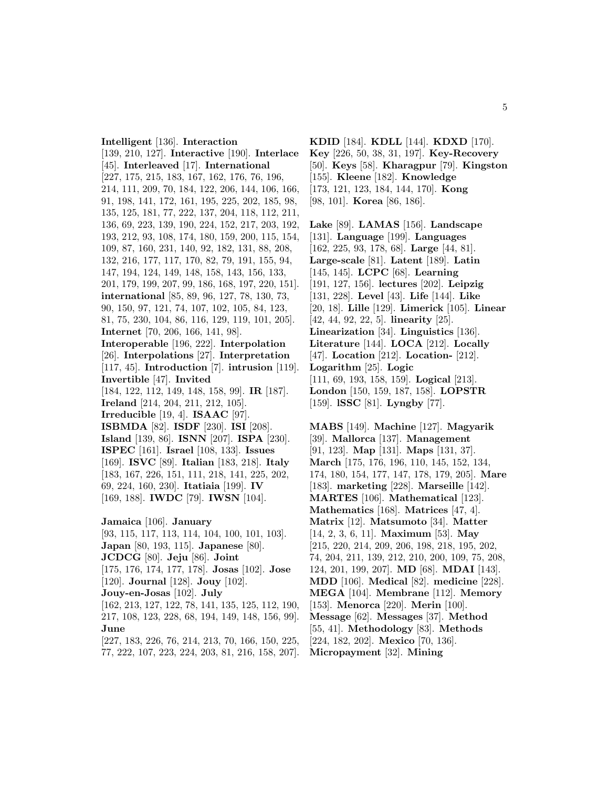5

**Intelligent** [136]. **Interaction** [139, 210, 127]. **Interactive** [190]. **Interlace** [45]. **Interleaved** [17]. **International** [227, 175, 215, 183, 167, 162, 176, 76, 196, 214, 111, 209, 70, 184, 122, 206, 144, 106, 166, 91, 198, 141, 172, 161, 195, 225, 202, 185, 98, 135, 125, 181, 77, 222, 137, 204, 118, 112, 211, 136, 69, 223, 139, 190, 224, 152, 217, 203, 192, 193, 212, 93, 108, 174, 180, 159, 200, 115, 154, 109, 87, 160, 231, 140, 92, 182, 131, 88, 208, 132, 216, 177, 117, 170, 82, 79, 191, 155, 94, 147, 194, 124, 149, 148, 158, 143, 156, 133, 201, 179, 199, 207, 99, 186, 168, 197, 220, 151]. **international** [85, 89, 96, 127, 78, 130, 73, 90, 150, 97, 121, 74, 107, 102, 105, 84, 123, 81, 75, 230, 104, 86, 116, 129, 119, 101, 205]. **Internet** [70, 206, 166, 141, 98]. **Interoperable** [196, 222]. **Interpolation** [26]. **Interpolations** [27]. **Interpretation** [117, 45]. **Introduction** [7]. **intrusion** [119]. **Invertible** [47]. **Invited** [184, 122, 112, 149, 148, 158, 99]. **IR** [187]. **Ireland** [214, 204, 211, 212, 105]. **Irreducible** [19, 4]. **ISAAC** [97]. **ISBMDA** [82]. **ISDF** [230]. **ISI** [208]. **Island** [139, 86]. **ISNN** [207]. **ISPA** [230]. **ISPEC** [161]. **Israel** [108, 133]. **Issues** [169]. **ISVC** [89]. **Italian** [183, 218]. **Italy** [183, 167, 226, 151, 111, 218, 141, 225, 202, 69, 224, 160, 230]. **Itatiaia** [199]. **IV** [169, 188]. **IWDC** [79]. **IWSN** [104]. **Jamaica** [106]. **January** [93, 115, 117, 113, 114, 104, 100, 101, 103]. **Japan** [80, 193, 115]. **Japanese** [80]. **JCDCG** [80]. **Jeju** [86]. **Joint** [175, 176, 174, 177, 178]. **Josas** [102]. **Jose**

[120]. **Journal** [128]. **Jouy** [102]. **Jouy-en-Josas** [102]. **July** [162, 213, 127, 122, 78, 141, 135, 125, 112, 190, 217, 108, 123, 228, 68, 194, 149, 148, 156, 99]. **June**

[227, 183, 226, 76, 214, 213, 70, 166, 150, 225, 77, 222, 107, 223, 224, 203, 81, 216, 158, 207].

**KDID** [184]. **KDLL** [144]. **KDXD** [170]. **Key** [226, 50, 38, 31, 197]. **Key-Recovery** [50]. **Keys** [58]. **Kharagpur** [79]. **Kingston** [155]. **Kleene** [182]. **Knowledge** [173, 121, 123, 184, 144, 170]. **Kong**

[98, 101]. **Korea** [86, 186].

**Lake** [89]. **LAMAS** [156]. **Landscape** [131]. **Language** [199]. **Languages** [162, 225, 93, 178, 68]. **Large** [44, 81]. **Large-scale** [81]. **Latent** [189]. **Latin** [145, 145]. **LCPC** [68]. **Learning** [191, 127, 156]. **lectures** [202]. **Leipzig** [131, 228]. **Level** [43]. **Life** [144]. **Like** [20, 18]. **Lille** [129]. **Limerick** [105]. **Linear** [42, 44, 92, 22, 5]. **linearity** [25]. **Linearization** [34]. **Linguistics** [136]. **Literature** [144]. **LOCA** [212]. **Locally** [47]. **Location** [212]. **Location-** [212]. **Logarithm** [25]. **Logic** [111, 69, 193, 158, 159]. **Logical** [213]. **London** [150, 159, 187, 158]. **LOPSTR** [159]. **lSSC** [81]. **Lyngby** [77].

**MABS** [149]. **Machine** [127]. **Magyarik** [39]. **Mallorca** [137]. **Management** [91, 123]. **Map** [131]. **Maps** [131, 37]. **March** [175, 176, 196, 110, 145, 152, 134, 174, 180, 154, 177, 147, 178, 179, 205]. **Mare** [183]. **marketing** [228]. **Marseille** [142]. **MARTES** [106]. **Mathematical** [123]. **Mathematics** [168]. **Matrices** [47, 4]. **Matrix** [12]. **Matsumoto** [34]. **Matter** [14, 2, 3, 6, 11]. **Maximum** [53]. **May** [215, 220, 214, 209, 206, 198, 218, 195, 202, 74, 204, 211, 139, 212, 210, 200, 109, 75, 208, 124, 201, 199, 207]. **MD** [68]. **MDAI** [143]. **MDD** [106]. **Medical** [82]. **medicine** [228]. **MEGA** [104]. **Membrane** [112]. **Memory** [153]. **Menorca** [220]. **Merin** [100]. **Message** [62]. **Messages** [37]. **Method** [55, 41]. **Methodology** [83]. **Methods** [224, 182, 202]. **Mexico** [70, 136].

**Micropayment** [32]. **Mining**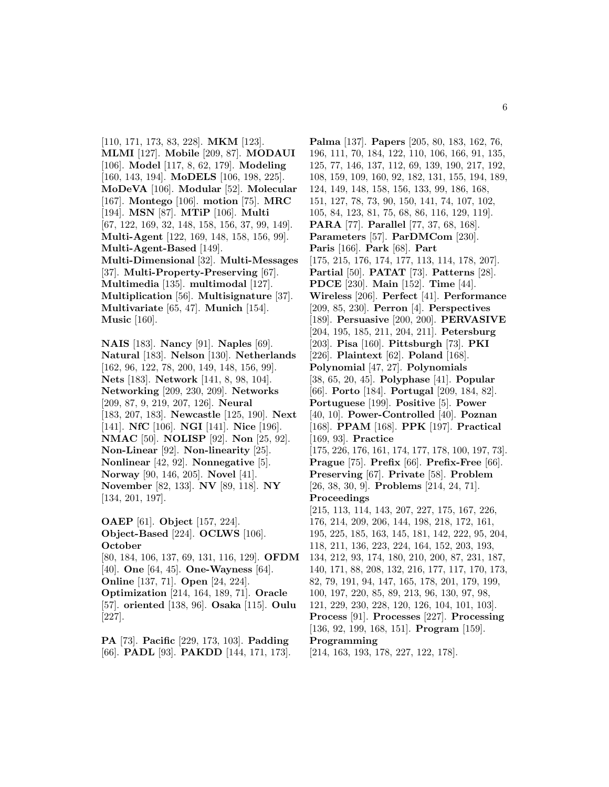[110, 171, 173, 83, 228]. **MKM** [123]. **MLMI** [127]. **Mobile** [209, 87]. **MODAUI** [106]. **Model** [117, 8, 62, 179]. **Modeling** [160, 143, 194]. **MoDELS** [106, 198, 225]. **MoDeVA** [106]. **Modular** [52]. **Molecular** [167]. **Montego** [106]. **motion** [75]. **MRC** [194]. **MSN** [87]. **MTiP** [106]. **Multi** [67, 122, 169, 32, 148, 158, 156, 37, 99, 149]. **Multi-Agent** [122, 169, 148, 158, 156, 99]. **Multi-Agent-Based** [149]. **Multi-Dimensional** [32]. **Multi-Messages** [37]. **Multi-Property-Preserving** [67]. **Multimedia** [135]. **multimodal** [127]. **Multiplication** [56]. **Multisignature** [37]. **Multivariate** [65, 47]. **Munich** [154]. **Music** [160].

**NAIS** [183]. **Nancy** [91]. **Naples** [69]. **Natural** [183]. **Nelson** [130]. **Netherlands** [162, 96, 122, 78, 200, 149, 148, 156, 99]. **Nets** [183]. **Network** [141, 8, 98, 104]. **Networking** [209, 230, 209]. **Networks** [209, 87, 9, 219, 207, 126]. **Neural** [183, 207, 183]. **Newcastle** [125, 190]. **Next** [141]. **NfC** [106]. **NGI** [141]. **Nice** [196]. **NMAC** [50]. **NOLISP** [92]. **Non** [25, 92]. **Non-Linear** [92]. **Non-linearity** [25]. **Nonlinear** [42, 92]. **Nonnegative** [5]. **Norway** [90, 146, 205]. **Novel** [41]. **November** [82, 133]. **NV** [89, 118]. **NY** [134, 201, 197].

**OAEP** [61]. **Object** [157, 224]. **Object-Based** [224]. **OCLWS** [106]. **October**

[80, 184, 106, 137, 69, 131, 116, 129]. **OFDM** [40]. **One** [64, 45]. **One-Wayness** [64]. **Online** [137, 71]. **Open** [24, 224]. **Optimization** [214, 164, 189, 71]. **Oracle** [57]. **oriented** [138, 96]. **Osaka** [115]. **Oulu** [227].

**PA** [73]. **Pacific** [229, 173, 103]. **Padding** [66]. **PADL** [93]. **PAKDD** [144, 171, 173].

**Palma** [137]. **Papers** [205, 80, 183, 162, 76, 196, 111, 70, 184, 122, 110, 106, 166, 91, 135, 125, 77, 146, 137, 112, 69, 139, 190, 217, 192, 108, 159, 109, 160, 92, 182, 131, 155, 194, 189, 124, 149, 148, 158, 156, 133, 99, 186, 168, 151, 127, 78, 73, 90, 150, 141, 74, 107, 102, 105, 84, 123, 81, 75, 68, 86, 116, 129, 119]. **PARA** [77]. **Parallel** [77, 37, 68, 168]. **Parameters** [57]. **ParDMCom** [230]. **Paris** [166]. **Park** [68]. **Part** [175, 215, 176, 174, 177, 113, 114, 178, 207]. **Partial** [50]. **PATAT** [73]. **Patterns** [28]. **PDCE** [230]. **Main** [152]. **Time** [44]. **Wireless** [206]. **Perfect** [41]. **Performance** [209, 85, 230]. **Perron** [4]. **Perspectives** [189]. **Persuasive** [200, 200]. **PERVASIVE** [204, 195, 185, 211, 204, 211]. **Petersburg** [203]. **Pisa** [160]. **Pittsburgh** [73]. **PKI** [226]. **Plaintext** [62]. **Poland** [168]. **Polynomial** [47, 27]. **Polynomials** [38, 65, 20, 45]. **Polyphase** [41]. **Popular** [66]. **Porto** [184]. **Portugal** [209, 184, 82]. **Portuguese** [199]. **Positive** [5]. **Power** [40, 10]. **Power-Controlled** [40]. **Poznan** [168]. **PPAM** [168]. **PPK** [197]. **Practical** [169, 93]. **Practice** [175, 226, 176, 161, 174, 177, 178, 100, 197, 73]. **Prague** [75]. **Prefix** [66]. **Prefix-Free** [66]. **Preserving** [67]. **Private** [58]. **Problem** [26, 38, 30, 9]. **Problems** [214, 24, 71]. **Proceedings** [215, 113, 114, 143, 207, 227, 175, 167, 226, 176, 214, 209, 206, 144, 198, 218, 172, 161, 195, 225, 185, 163, 145, 181, 142, 222, 95, 204, 118, 211, 136, 223, 224, 164, 152, 203, 193, 134, 212, 93, 174, 180, 210, 200, 87, 231, 187, 140, 171, 88, 208, 132, 216, 177, 117, 170, 173, 82, 79, 191, 94, 147, 165, 178, 201, 179, 199, 100, 197, 220, 85, 89, 213, 96, 130, 97, 98, 121, 229, 230, 228, 120, 126, 104, 101, 103]. **Process** [91]. **Processes** [227]. **Processing** [136, 92, 199, 168, 151]. **Program** [159]. **Programming** [214, 163, 193, 178, 227, 122, 178].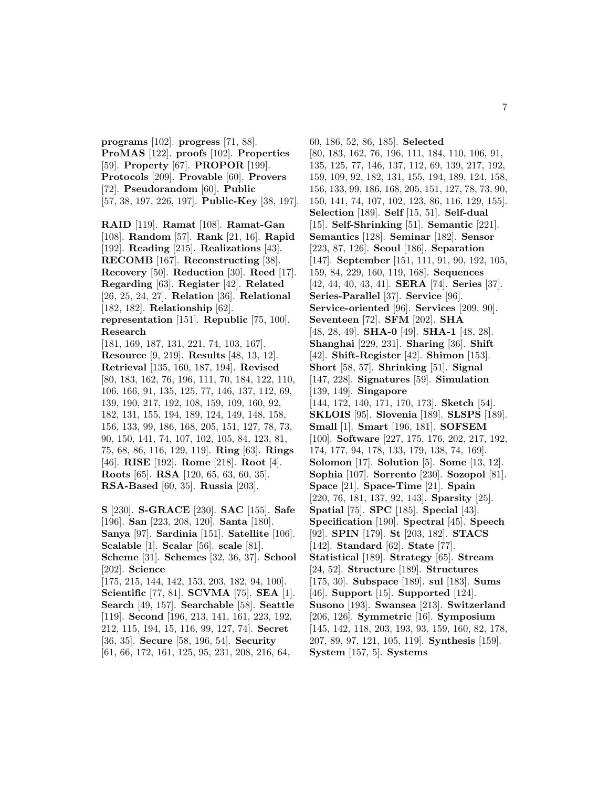**programs** [102]. **progress** [71, 88]. **ProMAS** [122]. **proofs** [102]. **Properties** [59]. **Property** [67]. **PROPOR** [199]. **Protocols** [209]. **Provable** [60]. **Provers** [72]. **Pseudorandom** [60]. **Public** [57, 38, 197, 226, 197]. **Public-Key** [38, 197].

**RAID** [119]. **Ramat** [108]. **Ramat-Gan** [108]. **Random** [57]. **Rank** [21, 16]. **Rapid** [192]. **Reading** [215]. **Realizations** [43]. **RECOMB** [167]. **Reconstructing** [38]. **Recovery** [50]. **Reduction** [30]. **Reed** [17]. **Regarding** [63]. **Register** [42]. **Related** [26, 25, 24, 27]. **Relation** [36]. **Relational** [182, 182]. **Relationship** [62]. **representation** [151]. **Republic** [75, 100]. **Research** [181, 169, 187, 131, 221, 74, 103, 167]. **Resource** [9, 219]. **Results** [48, 13, 12].

**Retrieval** [135, 160, 187, 194]. **Revised** [80, 183, 162, 76, 196, 111, 70, 184, 122, 110, 106, 166, 91, 135, 125, 77, 146, 137, 112, 69, 139, 190, 217, 192, 108, 159, 109, 160, 92, 182, 131, 155, 194, 189, 124, 149, 148, 158, 156, 133, 99, 186, 168, 205, 151, 127, 78, 73, 90, 150, 141, 74, 107, 102, 105, 84, 123, 81, 75, 68, 86, 116, 129, 119]. **Ring** [63]. **Rings** [46]. **RISE** [192]. **Rome** [218]. **Root** [4]. **Roots** [65]. **RSA** [120, 65, 63, 60, 35]. **RSA-Based** [60, 35]. **Russia** [203].

**S** [230]. **S-GRACE** [230]. **SAC** [155]. **Safe** [196]. **San** [223, 208, 120]. **Santa** [180]. **Sanya** [97]. **Sardinia** [151]. **Satellite** [106]. **Scalable** [1]. **Scalar** [56]. **scale** [81]. **Scheme** [31]. **Schemes** [32, 36, 37]. **School** [202]. **Science** [175, 215, 144, 142, 153, 203, 182, 94, 100]. **Scientific** [77, 81]. **SCVMA** [75]. **SEA** [1]. **Search** [49, 157]. **Searchable** [58]. **Seattle** [119]. **Second** [196, 213, 141, 161, 223, 192, 212, 115, 194, 15, 116, 99, 127, 74]. **Secret** [36, 35]. **Secure** [58, 196, 54]. **Security** [61, 66, 172, 161, 125, 95, 231, 208, 216, 64,

60, 186, 52, 86, 185]. **Selected** [80, 183, 162, 76, 196, 111, 184, 110, 106, 91, 135, 125, 77, 146, 137, 112, 69, 139, 217, 192, 159, 109, 92, 182, 131, 155, 194, 189, 124, 158, 156, 133, 99, 186, 168, 205, 151, 127, 78, 73, 90, 150, 141, 74, 107, 102, 123, 86, 116, 129, 155]. **Selection** [189]. **Self** [15, 51]. **Self-dual** [15]. **Self-Shrinking** [51]. **Semantic** [221]. **Semantics** [128]. **Seminar** [182]. **Sensor** [223, 87, 126]. **Seoul** [186]. **Separation** [147]. **September** [151, 111, 91, 90, 192, 105, 159, 84, 229, 160, 119, 168]. **Sequences** [42, 44, 40, 43, 41]. **SERA** [74]. **Series** [37]. **Series-Parallel** [37]. **Service** [96]. **Service-oriented** [96]. **Services** [209, 90]. **Seventeen** [72]. **SFM** [202]. **SHA** [48, 28, 49]. **SHA-0** [49]. **SHA-1** [48, 28]. **Shanghai** [229, 231]. **Sharing** [36]. **Shift** [42]. **Shift-Register** [42]. **Shimon** [153]. **Short** [58, 57]. **Shrinking** [51]. **Signal** [147, 228]. **Signatures** [59]. **Simulation** [139, 149]. **Singapore** [144, 172, 140, 171, 170, 173]. **Sketch** [54]. **SKLOIS** [95]. **Slovenia** [189]. **SLSPS** [189]. **Small** [1]. **Smart** [196, 181]. **SOFSEM** [100]. **Software** [227, 175, 176, 202, 217, 192, 174, 177, 94, 178, 133, 179, 138, 74, 169]. **Solomon** [17]. **Solution** [5]. **Some** [13, 12]. **Sophia** [107]. **Sorrento** [230]. **Sozopol** [81]. **Space** [21]. **Space-Time** [21]. **Spain** [220, 76, 181, 137, 92, 143]. **Sparsity** [25]. **Spatial** [75]. **SPC** [185]. **Special** [43]. **Specification** [190]. **Spectral** [45]. **Speech** [92]. **SPIN** [179]. **St** [203, 182]. **STACS** [142]. **Standard** [62]. **State** [77]. **Statistical** [189]. **Strategy** [65]. **Stream** [24, 52]. **Structure** [189]. **Structures** [175, 30]. **Subspace** [189]. **sul** [183]. **Sums** [46]. **Support** [15]. **Supported** [124]. **Susono** [193]. **Swansea** [213]. **Switzerland** [206, 126]. **Symmetric** [16]. **Symposium** [145, 142, 118, 203, 193, 93, 159, 160, 82, 178, 207, 89, 97, 121, 105, 119]. **Synthesis** [159]. **System** [157, 5]. **Systems**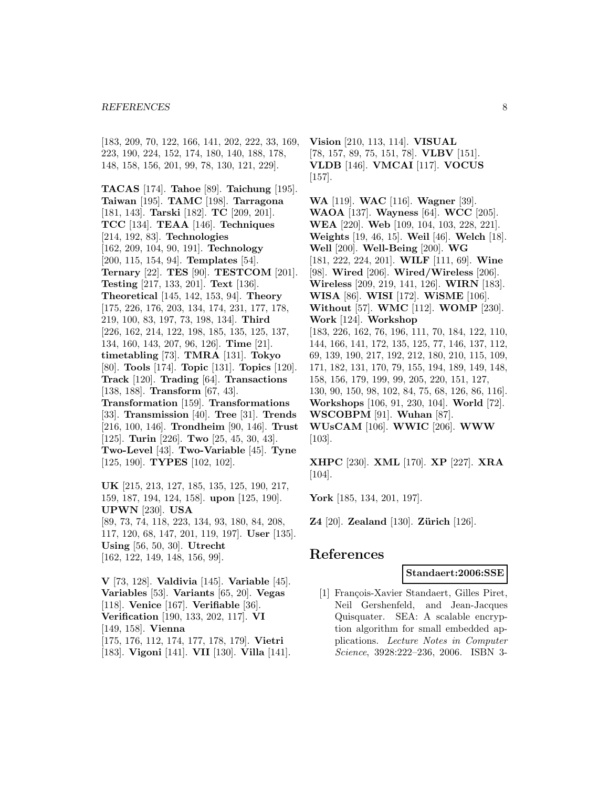#### *REFERENCES* 8

[183, 209, 70, 122, 166, 141, 202, 222, 33, 169, 223, 190, 224, 152, 174, 180, 140, 188, 178, 148, 158, 156, 201, 99, 78, 130, 121, 229].

**TACAS** [174]. **Tahoe** [89]. **Taichung** [195]. **Taiwan** [195]. **TAMC** [198]. **Tarragona** [181, 143]. **Tarski** [182]. **TC** [209, 201]. **TCC** [134]. **TEAA** [146]. **Techniques** [214, 192, 83]. **Technologies** [162, 209, 104, 90, 191]. **Technology** [200, 115, 154, 94]. **Templates** [54]. **Ternary** [22]. **TES** [90]. **TESTCOM** [201]. **Testing** [217, 133, 201]. **Text** [136]. **Theoretical** [145, 142, 153, 94]. **Theory** [175, 226, 176, 203, 134, 174, 231, 177, 178, 219, 100, 83, 197, 73, 198, 134]. **Third** [226, 162, 214, 122, 198, 185, 135, 125, 137, 134, 160, 143, 207, 96, 126]. **Time** [21]. **timetabling** [73]. **TMRA** [131]. **Tokyo** [80]. **Tools** [174]. **Topic** [131]. **Topics** [120]. **Track** [120]. **Trading** [64]. **Transactions** [138, 188]. **Transform** [67, 43]. **Transformation** [159]. **Transformations** [33]. **Transmission** [40]. **Tree** [31]. **Trends** [216, 100, 146]. **Trondheim** [90, 146]. **Trust** [125]. **Turin** [226]. **Two** [25, 45, 30, 43]. **Two-Level** [43]. **Two-Variable** [45]. **Tyne** [125, 190]. **TYPES** [102, 102].

**UK** [215, 213, 127, 185, 135, 125, 190, 217, 159, 187, 194, 124, 158]. **upon** [125, 190]. **UPWN** [230]. **USA** [89, 73, 74, 118, 223, 134, 93, 180, 84, 208, 117, 120, 68, 147, 201, 119, 197]. **User** [135]. **Using** [56, 50, 30]. **Utrecht** [162, 122, 149, 148, 156, 99].

**V** [73, 128]. **Valdivia** [145]. **Variable** [45]. **Variables** [53]. **Variants** [65, 20]. **Vegas** [118]. **Venice** [167]. **Verifiable** [36]. **Verification** [190, 133, 202, 117]. **VI** [149, 158]. **Vienna** [175, 176, 112, 174, 177, 178, 179]. **Vietri** [183]. **Vigoni** [141]. **VII** [130]. **Villa** [141]. **Vision** [210, 113, 114]. **VISUAL** [78, 157, 89, 75, 151, 78]. **VLBV** [151]. **VLDB** [146]. **VMCAI** [117]. **VOCUS** [157].

**WA** [119]. **WAC** [116]. **Wagner** [39]. **WAOA** [137]. **Wayness** [64]. **WCC** [205]. **WEA** [220]. **Web** [109, 104, 103, 228, 221]. **Weights** [19, 46, 15]. **Weil** [46]. **Welch** [18]. **Well** [200]. **Well-Being** [200]. **WG** [181, 222, 224, 201]. **WILF** [111, 69]. **Wine** [98]. **Wired** [206]. **Wired/Wireless** [206]. **Wireless** [209, 219, 141, 126]. **WIRN** [183]. **WISA** [86]. **WISI** [172]. **WiSME** [106]. **Without** [57]. **WMC** [112]. **WOMP** [230]. **Work** [124]. **Workshop** [183, 226, 162, 76, 196, 111, 70, 184, 122, 110, 144, 166, 141, 172, 135, 125, 77, 146, 137, 112, 69, 139, 190, 217, 192, 212, 180, 210, 115, 109, 171, 182, 131, 170, 79, 155, 194, 189, 149, 148, 158, 156, 179, 199, 99, 205, 220, 151, 127, 130, 90, 150, 98, 102, 84, 75, 68, 126, 86, 116]. **Workshops** [106, 91, 230, 104]. **World** [72]. **WSCOBPM** [91]. **Wuhan** [87]. **WUsCAM** [106]. **WWIC** [206]. **WWW** [103].

**XHPC** [230]. **XML** [170]. **XP** [227]. **XRA** [104].

**York** [185, 134, 201, 197].

**Z4** [20]. **Zealand** [130]. **Zürich** [126].

# **References**

#### **Standaert:2006:SSE**

[1] François-Xavier Standaert, Gilles Piret, Neil Gershenfeld, and Jean-Jacques Quisquater. SEA: A scalable encryption algorithm for small embedded applications. Lecture Notes in Computer Science, 3928:222–236, 2006. ISBN 3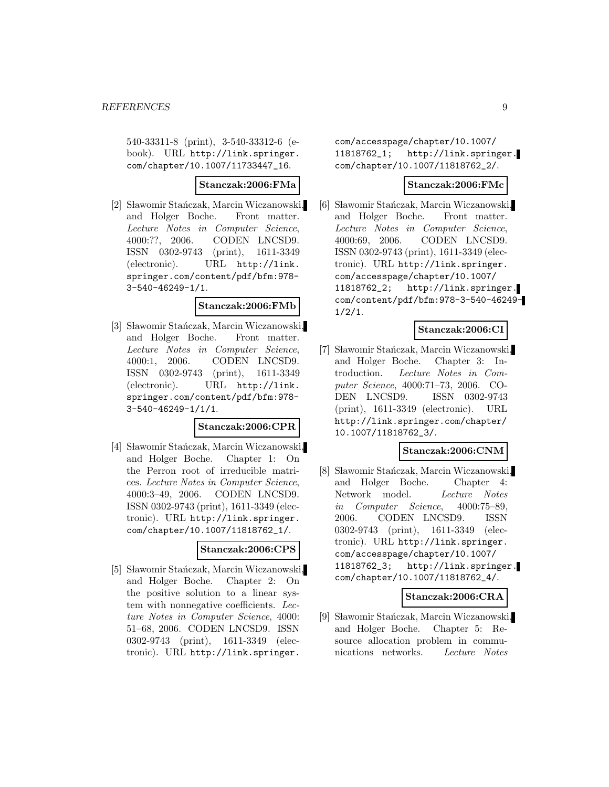540-33311-8 (print), 3-540-33312-6 (ebook). URL http://link.springer. com/chapter/10.1007/11733447\_16.

# **Stanczak:2006:FMa**

[2] Sławomir Stańczak, Marcin Wiczanowski, and Holger Boche. Front matter. Lecture Notes in Computer Science, 4000:??, 2006. CODEN LNCSD9. ISSN 0302-9743 (print), 1611-3349 (electronic). URL http://link. springer.com/content/pdf/bfm:978- 3-540-46249-1/1.

#### **Stanczak:2006:FMb**

[3] Sławomir Stańczak, Marcin Wiczanowski, and Holger Boche. Front matter. Lecture Notes in Computer Science, 4000:1, 2006. CODEN LNCSD9. ISSN 0302-9743 (print), 1611-3349 (electronic). URL http://link. springer.com/content/pdf/bfm:978- 3-540-46249-1/1/1.

#### **Stanczak:2006:CPR**

[4] Sławomir Stańczak, Marcin Wiczanowski, and Holger Boche. Chapter 1: On the Perron root of irreducible matrices. Lecture Notes in Computer Science, 4000:3–49, 2006. CODEN LNCSD9. ISSN 0302-9743 (print), 1611-3349 (electronic). URL http://link.springer. com/chapter/10.1007/11818762\_1/.

#### **Stanczak:2006:CPS**

[5] Sławomir Stańczak, Marcin Wiczanowski, and Holger Boche. Chapter 2: On the positive solution to a linear system with nonnegative coefficients. Lecture Notes in Computer Science, 4000: 51–68, 2006. CODEN LNCSD9. ISSN 0302-9743 (print), 1611-3349 (electronic). URL http://link.springer.

com/accesspage/chapter/10.1007/ 11818762\_1; http://link.springer. com/chapter/10.1007/11818762\_2/.

#### **Stanczak:2006:FMc**

[6] Sławomir Stańczak, Marcin Wiczanowski, and Holger Boche. Front matter. Lecture Notes in Computer Science, 4000:69, 2006. CODEN LNCSD9. ISSN 0302-9743 (print), 1611-3349 (electronic). URL http://link.springer. com/accesspage/chapter/10.1007/ 11818762\_2; http://link.springer. com/content/pdf/bfm:978-3-540-46249-  $1/2/1$ .

### **Stanczak:2006:CI**

[7] Sławomir Stańczak, Marcin Wiczanowski, and Holger Boche. Chapter 3: Introduction. Lecture Notes in Computer Science, 4000:71–73, 2006. CO-DEN LNCSD9. ISSN 0302-9743 (print), 1611-3349 (electronic). URL http://link.springer.com/chapter/ 10.1007/11818762\_3/.

#### **Stanczak:2006:CNM**

[8] Sławomir Stańczak, Marcin Wiczanowski, and Holger Boche. Chapter 4: Network model. Lecture Notes in Computer Science, 4000:75–89, 2006. CODEN LNCSD9. ISSN 0302-9743 (print), 1611-3349 (electronic). URL http://link.springer. com/accesspage/chapter/10.1007/ 11818762\_3; http://link.springer. com/chapter/10.1007/11818762\_4/.

### **Stanczak:2006:CRA**

[9] Sławomir Stańczak, Marcin Wiczanowski, and Holger Boche. Chapter 5: Resource allocation problem in communications networks. Lecture Notes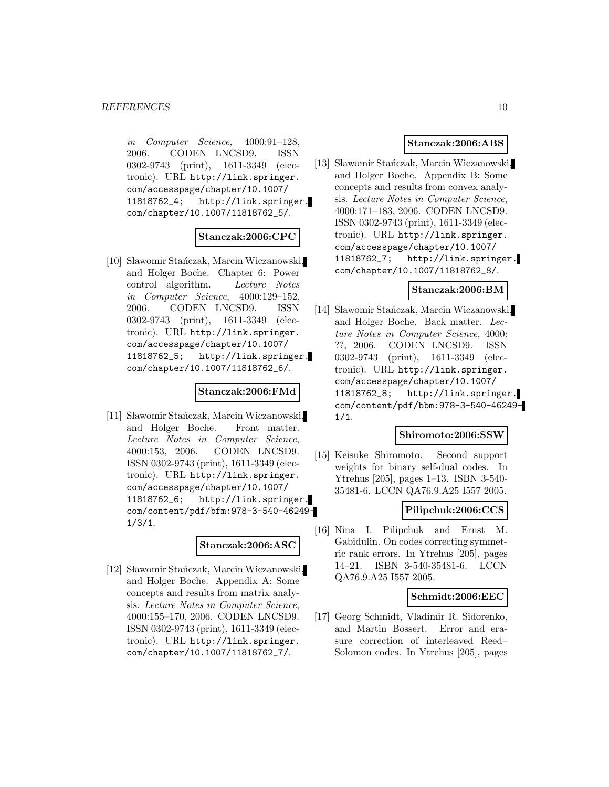in Computer Science, 4000:91–128, 2006. CODEN LNCSD9. ISSN 0302-9743 (print), 1611-3349 (electronic). URL http://link.springer. com/accesspage/chapter/10.1007/ 11818762\_4; http://link.springer. com/chapter/10.1007/11818762\_5/.

#### **Stanczak:2006:CPC**

[10] Sławomir Stańczak, Marcin Wiczanowski, and Holger Boche. Chapter 6: Power control algorithm. Lecture Notes in Computer Science, 4000:129–152, 2006. CODEN LNCSD9. ISSN 0302-9743 (print), 1611-3349 (electronic). URL http://link.springer. com/accesspage/chapter/10.1007/ 11818762\_5; http://link.springer. com/chapter/10.1007/11818762\_6/.

#### **Stanczak:2006:FMd**

[11] Sławomir Stańczak, Marcin Wiczanowski, and Holger Boche. Front matter. Lecture Notes in Computer Science, 4000:153, 2006. CODEN LNCSD9. ISSN 0302-9743 (print), 1611-3349 (electronic). URL http://link.springer. com/accesspage/chapter/10.1007/ 11818762\_6; http://link.springer. com/content/pdf/bfm:978-3-540-46249- 1/3/1.

#### **Stanczak:2006:ASC**

[12] Sławomir Stańczak, Marcin Wiczanowski, and Holger Boche. Appendix A: Some concepts and results from matrix analysis. Lecture Notes in Computer Science, 4000:155–170, 2006. CODEN LNCSD9. ISSN 0302-9743 (print), 1611-3349 (electronic). URL http://link.springer. com/chapter/10.1007/11818762\_7/.

#### **Stanczak:2006:ABS**

[13] Sławomir Stańczak, Marcin Wiczanowski, and Holger Boche. Appendix B: Some concepts and results from convex analysis. Lecture Notes in Computer Science, 4000:171–183, 2006. CODEN LNCSD9. ISSN 0302-9743 (print), 1611-3349 (electronic). URL http://link.springer. com/accesspage/chapter/10.1007/ 11818762\_7; http://link.springer. com/chapter/10.1007/11818762\_8/.

#### **Stanczak:2006:BM**

[14] Sławomir Stańczak, Marcin Wiczanowski, and Holger Boche. Back matter. Lecture Notes in Computer Science, 4000: ??, 2006. CODEN LNCSD9. ISSN 0302-9743 (print), 1611-3349 (electronic). URL http://link.springer. com/accesspage/chapter/10.1007/ 11818762\_8; http://link.springer. com/content/pdf/bbm:978-3-540-46249- 1/1.

#### **Shiromoto:2006:SSW**

[15] Keisuke Shiromoto. Second support weights for binary self-dual codes. In Ytrehus [205], pages 1–13. ISBN 3-540- 35481-6. LCCN QA76.9.A25 I557 2005.

#### **Pilipchuk:2006:CCS**

[16] Nina I. Pilipchuk and Ernst M. Gabidulin. On codes correcting symmetric rank errors. In Ytrehus [205], pages 14–21. ISBN 3-540-35481-6. LCCN QA76.9.A25 I557 2005.

### **Schmidt:2006:EEC**

[17] Georg Schmidt, Vladimir R. Sidorenko, and Martin Bossert. Error and erasure correction of interleaved Reed– Solomon codes. In Ytrehus [205], pages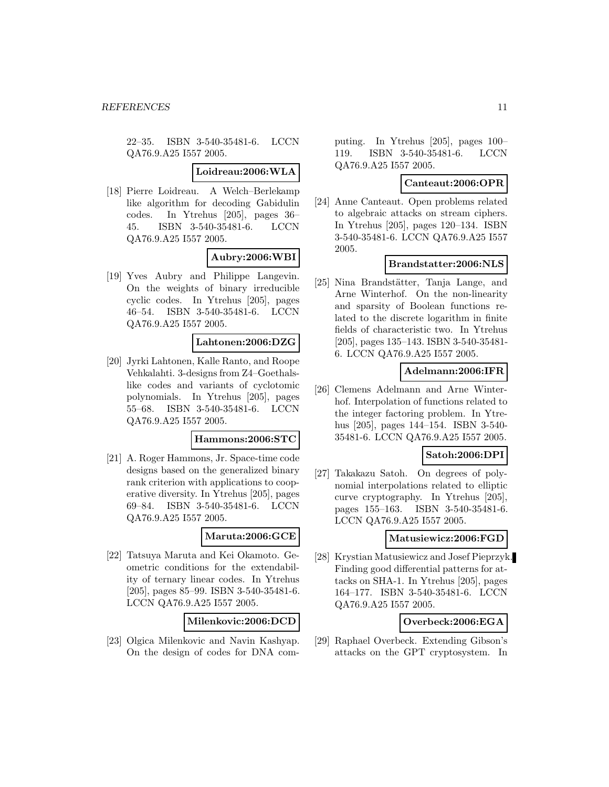22–35. ISBN 3-540-35481-6. LCCN QA76.9.A25 I557 2005.

#### **Loidreau:2006:WLA**

[18] Pierre Loidreau. A Welch–Berlekamp like algorithm for decoding Gabidulin codes. In Ytrehus [205], pages 36– 45. ISBN 3-540-35481-6. LCCN QA76.9.A25 I557 2005.

# **Aubry:2006:WBI**

[19] Yves Aubry and Philippe Langevin. On the weights of binary irreducible cyclic codes. In Ytrehus [205], pages 46–54. ISBN 3-540-35481-6. LCCN QA76.9.A25 I557 2005.

# **Lahtonen:2006:DZG**

[20] Jyrki Lahtonen, Kalle Ranto, and Roope Vehkalahti. 3-designs from Z4–Goethalslike codes and variants of cyclotomic polynomials. In Ytrehus [205], pages 55–68. ISBN 3-540-35481-6. LCCN QA76.9.A25 I557 2005.

#### **Hammons:2006:STC**

[21] A. Roger Hammons, Jr. Space-time code designs based on the generalized binary rank criterion with applications to cooperative diversity. In Ytrehus [205], pages 69–84. ISBN 3-540-35481-6. LCCN QA76.9.A25 I557 2005.

#### **Maruta:2006:GCE**

[22] Tatsuya Maruta and Kei Okamoto. Geometric conditions for the extendability of ternary linear codes. In Ytrehus [205], pages 85–99. ISBN 3-540-35481-6. LCCN QA76.9.A25 I557 2005.

#### **Milenkovic:2006:DCD**

[23] Olgica Milenkovic and Navin Kashyap. On the design of codes for DNA computing. In Ytrehus [205], pages 100– 119. ISBN 3-540-35481-6. LCCN QA76.9.A25 I557 2005.

#### **Canteaut:2006:OPR**

[24] Anne Canteaut. Open problems related to algebraic attacks on stream ciphers. In Ytrehus [205], pages 120–134. ISBN 3-540-35481-6. LCCN QA76.9.A25 I557 2005.

### **Brandstatter:2006:NLS**

[25] Nina Brandstätter, Tanja Lange, and Arne Winterhof. On the non-linearity and sparsity of Boolean functions related to the discrete logarithm in finite fields of characteristic two. In Ytrehus [205], pages 135–143. ISBN 3-540-35481- 6. LCCN QA76.9.A25 I557 2005.

#### **Adelmann:2006:IFR**

[26] Clemens Adelmann and Arne Winterhof. Interpolation of functions related to the integer factoring problem. In Ytrehus [205], pages 144–154. ISBN 3-540- 35481-6. LCCN QA76.9.A25 I557 2005.

# **Satoh:2006:DPI**

[27] Takakazu Satoh. On degrees of polynomial interpolations related to elliptic curve cryptography. In Ytrehus [205], pages 155–163. ISBN 3-540-35481-6. LCCN QA76.9.A25 I557 2005.

### **Matusiewicz:2006:FGD**

[28] Krystian Matusiewicz and Josef Pieprzyk. Finding good differential patterns for attacks on SHA-1. In Ytrehus [205], pages 164–177. ISBN 3-540-35481-6. LCCN QA76.9.A25 I557 2005.

#### **Overbeck:2006:EGA**

[29] Raphael Overbeck. Extending Gibson's attacks on the GPT cryptosystem. In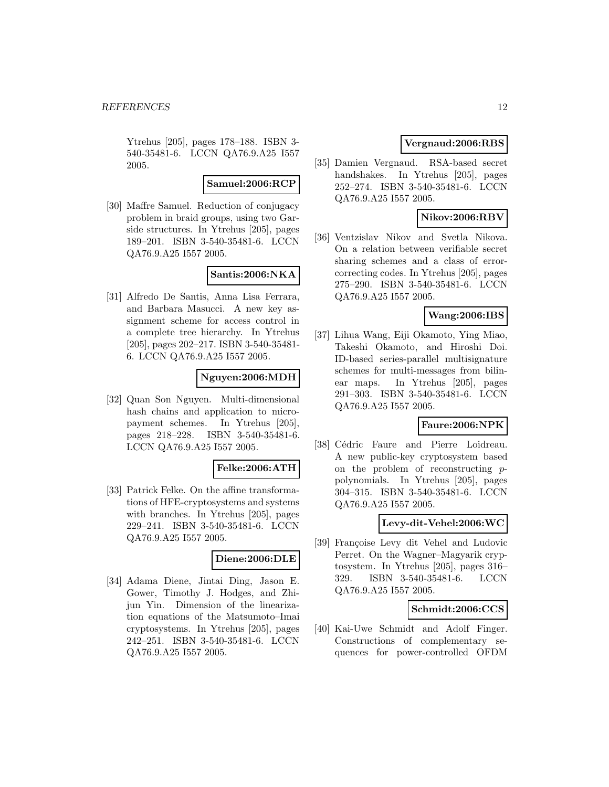Ytrehus [205], pages 178–188. ISBN 3- 540-35481-6. LCCN QA76.9.A25 I557 2005.

#### **Samuel:2006:RCP**

[30] Maffre Samuel. Reduction of conjugacy problem in braid groups, using two Garside structures. In Ytrehus [205], pages 189–201. ISBN 3-540-35481-6. LCCN QA76.9.A25 I557 2005.

### **Santis:2006:NKA**

[31] Alfredo De Santis, Anna Lisa Ferrara, and Barbara Masucci. A new key assignment scheme for access control in a complete tree hierarchy. In Ytrehus [205], pages 202–217. ISBN 3-540-35481- 6. LCCN QA76.9.A25 I557 2005.

# **Nguyen:2006:MDH**

[32] Quan Son Nguyen. Multi-dimensional hash chains and application to micropayment schemes. In Ytrehus [205], pages 218–228. ISBN 3-540-35481-6. LCCN QA76.9.A25 I557 2005.

#### **Felke:2006:ATH**

[33] Patrick Felke. On the affine transformations of HFE-cryptosystems and systems with branches. In Ytrehus [205], pages 229–241. ISBN 3-540-35481-6. LCCN QA76.9.A25 I557 2005.

#### **Diene:2006:DLE**

[34] Adama Diene, Jintai Ding, Jason E. Gower, Timothy J. Hodges, and Zhijun Yin. Dimension of the linearization equations of the Matsumoto–Imai cryptosystems. In Ytrehus [205], pages 242–251. ISBN 3-540-35481-6. LCCN QA76.9.A25 I557 2005.

# **Vergnaud:2006:RBS**

[35] Damien Vergnaud. RSA-based secret handshakes. In Ytrehus [205], pages 252–274. ISBN 3-540-35481-6. LCCN QA76.9.A25 I557 2005.

# **Nikov:2006:RBV**

[36] Ventzislav Nikov and Svetla Nikova. On a relation between verifiable secret sharing schemes and a class of errorcorrecting codes. In Ytrehus [205], pages 275–290. ISBN 3-540-35481-6. LCCN QA76.9.A25 I557 2005.

### **Wang:2006:IBS**

[37] Lihua Wang, Eiji Okamoto, Ying Miao, Takeshi Okamoto, and Hiroshi Doi. ID-based series-parallel multisignature schemes for multi-messages from bilinear maps. In Ytrehus [205], pages 291–303. ISBN 3-540-35481-6. LCCN QA76.9.A25 I557 2005.

# **Faure:2006:NPK**

[38] Cédric Faure and Pierre Loidreau. A new public-key cryptosystem based on the problem of reconstructing ppolynomials. In Ytrehus [205], pages 304–315. ISBN 3-540-35481-6. LCCN QA76.9.A25 I557 2005.

#### **Levy-dit-Vehel:2006:WC**

[39] Françoise Levy dit Vehel and Ludovic Perret. On the Wagner–Magyarik cryptosystem. In Ytrehus [205], pages 316– 329. ISBN 3-540-35481-6. LCCN QA76.9.A25 I557 2005.

### **Schmidt:2006:CCS**

[40] Kai-Uwe Schmidt and Adolf Finger. Constructions of complementary sequences for power-controlled OFDM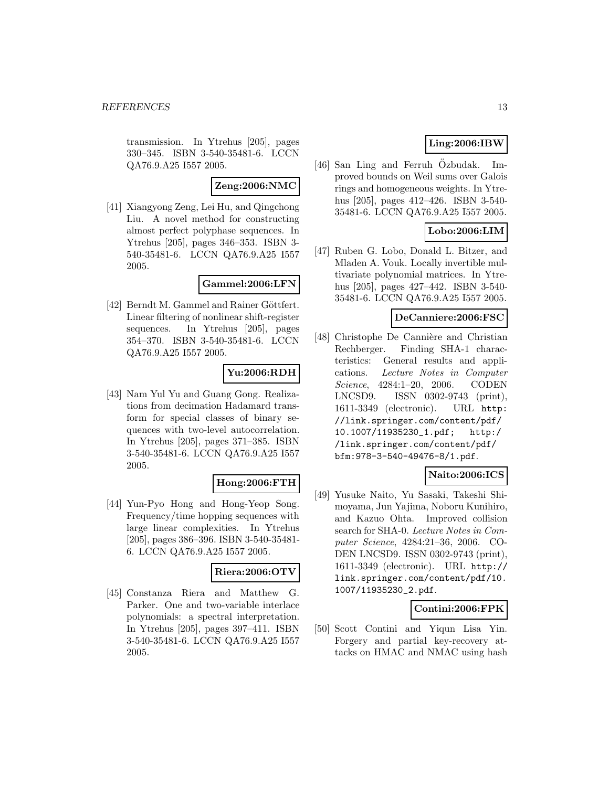transmission. In Ytrehus [205], pages 330–345. ISBN 3-540-35481-6. LCCN QA76.9.A25 I557 2005.

### **Zeng:2006:NMC**

[41] Xiangyong Zeng, Lei Hu, and Qingchong Liu. A novel method for constructing almost perfect polyphase sequences. In Ytrehus [205], pages 346–353. ISBN 3- 540-35481-6. LCCN QA76.9.A25 I557 2005.

# **Gammel:2006:LFN**

[42] Berndt M. Gammel and Rainer Göttfert. Linear filtering of nonlinear shift-register sequences. In Ytrehus [205], pages 354–370. ISBN 3-540-35481-6. LCCN QA76.9.A25 I557 2005.

# **Yu:2006:RDH**

[43] Nam Yul Yu and Guang Gong. Realizations from decimation Hadamard transform for special classes of binary sequences with two-level autocorrelation. In Ytrehus [205], pages 371–385. ISBN 3-540-35481-6. LCCN QA76.9.A25 I557 2005.

#### **Hong:2006:FTH**

[44] Yun-Pyo Hong and Hong-Yeop Song. Frequency/time hopping sequences with large linear complexities. In Ytrehus [205], pages 386–396. ISBN 3-540-35481- 6. LCCN QA76.9.A25 I557 2005.

#### **Riera:2006:OTV**

[45] Constanza Riera and Matthew G. Parker. One and two-variable interlace polynomials: a spectral interpretation. In Ytrehus [205], pages 397–411. ISBN 3-540-35481-6. LCCN QA76.9.A25 I557 2005.

# **Ling:2006:IBW**

[46] San Ling and Ferruh Ozbudak. Improved bounds on Weil sums over Galois rings and homogeneous weights. In Ytrehus [205], pages 412–426. ISBN 3-540- 35481-6. LCCN QA76.9.A25 I557 2005.

# **Lobo:2006:LIM**

[47] Ruben G. Lobo, Donald L. Bitzer, and Mladen A. Vouk. Locally invertible multivariate polynomial matrices. In Ytrehus [205], pages 427–442. ISBN 3-540- 35481-6. LCCN QA76.9.A25 I557 2005.

#### **DeCanniere:2006:FSC**

[48] Christophe De Cannière and Christian Rechberger. Finding SHA-1 characteristics: General results and applications. Lecture Notes in Computer Science, 4284:1–20, 2006. CODEN LNCSD9. ISSN 0302-9743 (print), 1611-3349 (electronic). URL http: //link.springer.com/content/pdf/ 10.1007/11935230\_1.pdf; http:/ /link.springer.com/content/pdf/ bfm:978-3-540-49476-8/1.pdf.

# **Naito:2006:ICS**

[49] Yusuke Naito, Yu Sasaki, Takeshi Shimoyama, Jun Yajima, Noboru Kunihiro, and Kazuo Ohta. Improved collision search for SHA-0. Lecture Notes in Computer Science, 4284:21–36, 2006. CO-DEN LNCSD9. ISSN 0302-9743 (print), 1611-3349 (electronic). URL http:// link.springer.com/content/pdf/10. 1007/11935230\_2.pdf.

# **Contini:2006:FPK**

[50] Scott Contini and Yiqun Lisa Yin. Forgery and partial key-recovery attacks on HMAC and NMAC using hash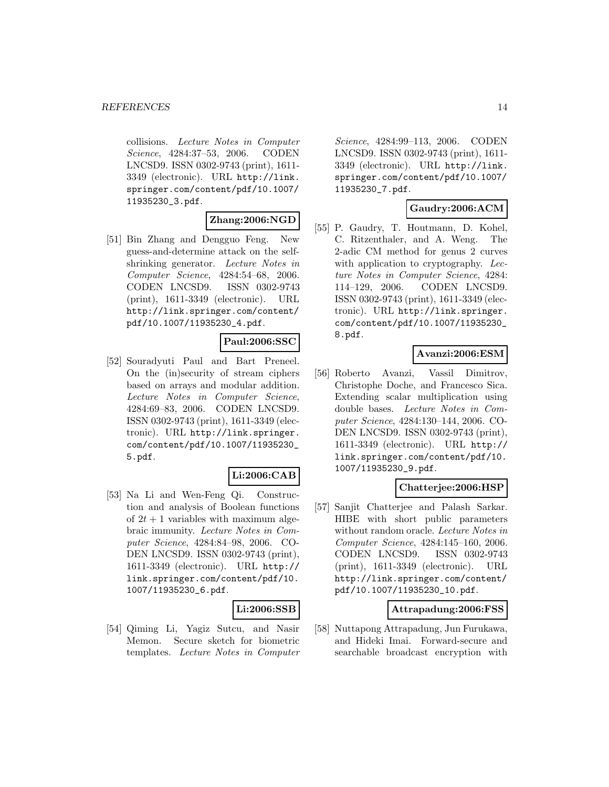collisions. Lecture Notes in Computer Science, 4284:37–53, 2006. CODEN LNCSD9. ISSN 0302-9743 (print), 1611- 3349 (electronic). URL http://link. springer.com/content/pdf/10.1007/ 11935230\_3.pdf.

# **Zhang:2006:NGD**

[51] Bin Zhang and Dengguo Feng. New guess-and-determine attack on the selfshrinking generator. Lecture Notes in Computer Science, 4284:54–68, 2006. CODEN LNCSD9. ISSN 0302-9743 (print), 1611-3349 (electronic). URL http://link.springer.com/content/ pdf/10.1007/11935230\_4.pdf.

# **Paul:2006:SSC**

[52] Souradyuti Paul and Bart Preneel. On the (in)security of stream ciphers based on arrays and modular addition. Lecture Notes in Computer Science, 4284:69–83, 2006. CODEN LNCSD9. ISSN 0302-9743 (print), 1611-3349 (electronic). URL http://link.springer. com/content/pdf/10.1007/11935230\_ 5.pdf.

# **Li:2006:CAB**

[53] Na Li and Wen-Feng Qi. Construction and analysis of Boolean functions of  $2t + 1$  variables with maximum algebraic immunity. Lecture Notes in Computer Science, 4284:84–98, 2006. CO-DEN LNCSD9. ISSN 0302-9743 (print), 1611-3349 (electronic). URL http:// link.springer.com/content/pdf/10. 1007/11935230\_6.pdf.

#### **Li:2006:SSB**

[54] Qiming Li, Yagiz Sutcu, and Nasir Memon. Secure sketch for biometric templates. Lecture Notes in Computer Science, 4284:99–113, 2006. CODEN LNCSD9. ISSN 0302-9743 (print), 1611- 3349 (electronic). URL http://link. springer.com/content/pdf/10.1007/ 11935230\_7.pdf.

# **Gaudry:2006:ACM**

[55] P. Gaudry, T. Houtmann, D. Kohel, C. Ritzenthaler, and A. Weng. The 2-adic CM method for genus 2 curves with application to cryptography. Lecture Notes in Computer Science, 4284: 114–129, 2006. CODEN LNCSD9. ISSN 0302-9743 (print), 1611-3349 (electronic). URL http://link.springer. com/content/pdf/10.1007/11935230\_ 8.pdf.

# **Avanzi:2006:ESM**

[56] Roberto Avanzi, Vassil Dimitrov, Christophe Doche, and Francesco Sica. Extending scalar multiplication using double bases. Lecture Notes in Computer Science, 4284:130–144, 2006. CO-DEN LNCSD9. ISSN 0302-9743 (print), 1611-3349 (electronic). URL http:// link.springer.com/content/pdf/10. 1007/11935230\_9.pdf.

# **Chatterjee:2006:HSP**

[57] Sanjit Chatterjee and Palash Sarkar. HIBE with short public parameters without random oracle. Lecture Notes in Computer Science, 4284:145–160, 2006. CODEN LNCSD9. ISSN 0302-9743 (print), 1611-3349 (electronic). URL http://link.springer.com/content/ pdf/10.1007/11935230\_10.pdf.

#### **Attrapadung:2006:FSS**

[58] Nuttapong Attrapadung, Jun Furukawa, and Hideki Imai. Forward-secure and searchable broadcast encryption with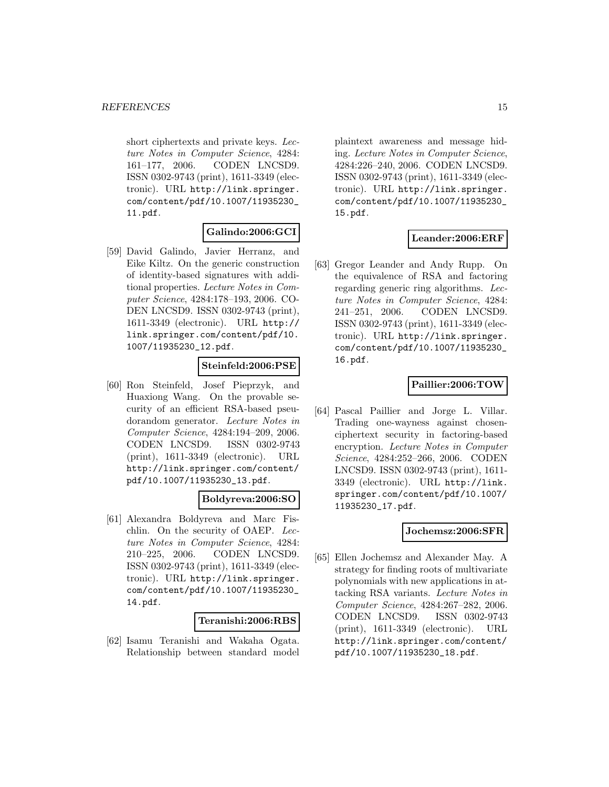short ciphertexts and private keys. Lecture Notes in Computer Science, 4284: 161–177, 2006. CODEN LNCSD9. ISSN 0302-9743 (print), 1611-3349 (electronic). URL http://link.springer. com/content/pdf/10.1007/11935230\_ 11.pdf.

# **Galindo:2006:GCI**

[59] David Galindo, Javier Herranz, and Eike Kiltz. On the generic construction of identity-based signatures with additional properties. Lecture Notes in Computer Science, 4284:178–193, 2006. CO-DEN LNCSD9. ISSN 0302-9743 (print), 1611-3349 (electronic). URL http:// link.springer.com/content/pdf/10. 1007/11935230\_12.pdf.

# **Steinfeld:2006:PSE**

[60] Ron Steinfeld, Josef Pieprzyk, and Huaxiong Wang. On the provable security of an efficient RSA-based pseudorandom generator. Lecture Notes in Computer Science, 4284:194–209, 2006. CODEN LNCSD9. ISSN 0302-9743 (print), 1611-3349 (electronic). URL http://link.springer.com/content/ pdf/10.1007/11935230\_13.pdf.

# **Boldyreva:2006:SO**

[61] Alexandra Boldyreva and Marc Fischlin. On the security of OAEP. Lecture Notes in Computer Science, 4284: 210–225, 2006. CODEN LNCSD9. ISSN 0302-9743 (print), 1611-3349 (electronic). URL http://link.springer. com/content/pdf/10.1007/11935230\_ 14.pdf.

#### **Teranishi:2006:RBS**

[62] Isamu Teranishi and Wakaha Ogata. Relationship between standard model

plaintext awareness and message hiding. Lecture Notes in Computer Science, 4284:226–240, 2006. CODEN LNCSD9. ISSN 0302-9743 (print), 1611-3349 (electronic). URL http://link.springer. com/content/pdf/10.1007/11935230\_ 15.pdf.

# **Leander:2006:ERF**

[63] Gregor Leander and Andy Rupp. On the equivalence of RSA and factoring regarding generic ring algorithms. Lecture Notes in Computer Science, 4284: 241–251, 2006. CODEN LNCSD9. ISSN 0302-9743 (print), 1611-3349 (electronic). URL http://link.springer. com/content/pdf/10.1007/11935230\_ 16.pdf.

### **Paillier:2006:TOW**

[64] Pascal Paillier and Jorge L. Villar. Trading one-wayness against chosenciphertext security in factoring-based encryption. Lecture Notes in Computer Science, 4284:252–266, 2006. CODEN LNCSD9. ISSN 0302-9743 (print), 1611- 3349 (electronic). URL http://link. springer.com/content/pdf/10.1007/ 11935230\_17.pdf.

#### **Jochemsz:2006:SFR**

[65] Ellen Jochemsz and Alexander May. A strategy for finding roots of multivariate polynomials with new applications in attacking RSA variants. Lecture Notes in Computer Science, 4284:267–282, 2006. CODEN LNCSD9. ISSN 0302-9743 (print), 1611-3349 (electronic). URL http://link.springer.com/content/ pdf/10.1007/11935230\_18.pdf.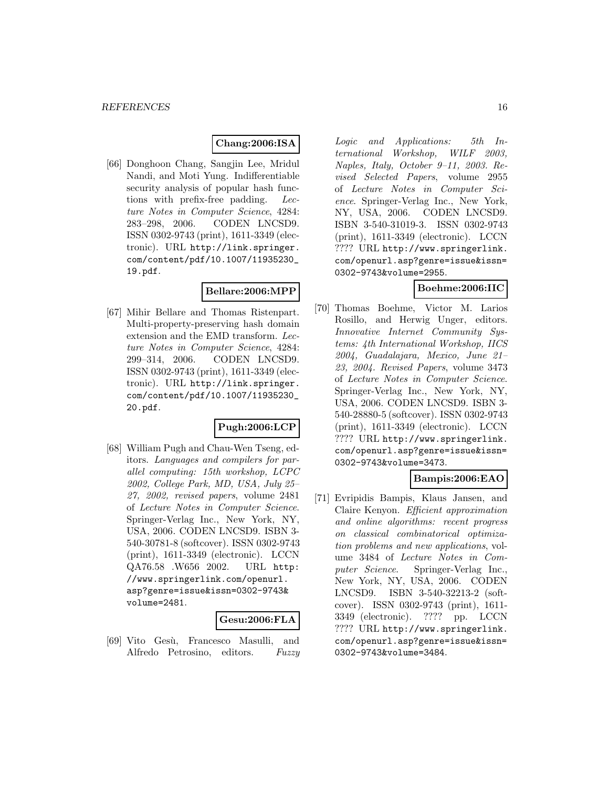# **Chang:2006:ISA**

[66] Donghoon Chang, Sangjin Lee, Mridul Nandi, and Moti Yung. Indifferentiable security analysis of popular hash functions with prefix-free padding. Lecture Notes in Computer Science, 4284: 283–298, 2006. CODEN LNCSD9. ISSN 0302-9743 (print), 1611-3349 (electronic). URL http://link.springer. com/content/pdf/10.1007/11935230\_ 19.pdf.

#### **Bellare:2006:MPP**

[67] Mihir Bellare and Thomas Ristenpart. Multi-property-preserving hash domain extension and the EMD transform. Lecture Notes in Computer Science, 4284: 299–314, 2006. CODEN LNCSD9. ISSN 0302-9743 (print), 1611-3349 (electronic). URL http://link.springer. com/content/pdf/10.1007/11935230\_ 20.pdf.

# **Pugh:2006:LCP**

[68] William Pugh and Chau-Wen Tseng, editors. Languages and compilers for parallel computing: 15th workshop, LCPC 2002, College Park, MD, USA, July 25– 27, 2002, revised papers, volume 2481 of Lecture Notes in Computer Science. Springer-Verlag Inc., New York, NY, USA, 2006. CODEN LNCSD9. ISBN 3- 540-30781-8 (softcover). ISSN 0302-9743 (print), 1611-3349 (electronic). LCCN QA76.58 .W656 2002. URL http: //www.springerlink.com/openurl. asp?genre=issue&issn=0302-9743& volume=2481.

#### **Gesu:2006:FLA**

[69] Vito Gesù, Francesco Masulli, and Alfredo Petrosino, editors. Fuzzy Logic and Applications: 5th International Workshop, WILF 2003, Naples, Italy, October 9–11, 2003. Revised Selected Papers, volume 2955 of Lecture Notes in Computer Science. Springer-Verlag Inc., New York, NY, USA, 2006. CODEN LNCSD9. ISBN 3-540-31019-3. ISSN 0302-9743 (print), 1611-3349 (electronic). LCCN ???? URL http://www.springerlink. com/openurl.asp?genre=issue&issn= 0302-9743&volume=2955.

### **Boehme:2006:IIC**

[70] Thomas Boehme, Victor M. Larios Rosillo, and Herwig Unger, editors. Innovative Internet Community Systems: 4th International Workshop, IICS 2004, Guadalajara, Mexico, June 21– 23, 2004. Revised Papers, volume 3473 of Lecture Notes in Computer Science. Springer-Verlag Inc., New York, NY, USA, 2006. CODEN LNCSD9. ISBN 3- 540-28880-5 (softcover). ISSN 0302-9743 (print), 1611-3349 (electronic). LCCN ???? URL http://www.springerlink. com/openurl.asp?genre=issue&issn= 0302-9743&volume=3473.

### **Bampis:2006:EAO**

[71] Evripidis Bampis, Klaus Jansen, and Claire Kenyon. Efficient approximation and online algorithms: recent progress on classical combinatorical optimization problems and new applications, volume 3484 of Lecture Notes in Computer Science. Springer-Verlag Inc., New York, NY, USA, 2006. CODEN LNCSD9. ISBN 3-540-32213-2 (softcover). ISSN 0302-9743 (print), 1611- 3349 (electronic). ???? pp. LCCN ???? URL http://www.springerlink. com/openurl.asp?genre=issue&issn= 0302-9743&volume=3484.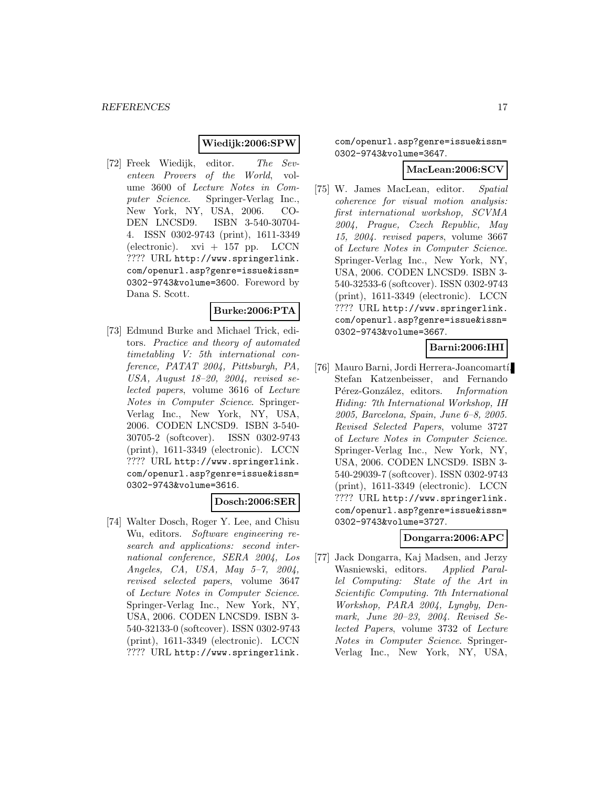### **Wiedijk:2006:SPW**

[72] Freek Wiedijk, editor. The Seventeen Provers of the World, volume 3600 of Lecture Notes in Computer Science. Springer-Verlag Inc., New York, NY, USA, 2006. CO-DEN LNCSD9. ISBN 3-540-30704- 4. ISSN 0302-9743 (print), 1611-3349 (electronic). xvi + 157 pp. LCCN ???? URL http://www.springerlink. com/openurl.asp?genre=issue&issn= 0302-9743&volume=3600. Foreword by Dana S. Scott.

### **Burke:2006:PTA**

[73] Edmund Burke and Michael Trick, editors. Practice and theory of automated timetabling V: 5th international conference, PATAT 2004, Pittsburgh, PA, USA, August 18–20, 2004, revised selected papers, volume 3616 of Lecture Notes in Computer Science. Springer-Verlag Inc., New York, NY, USA, 2006. CODEN LNCSD9. ISBN 3-540- 30705-2 (softcover). ISSN 0302-9743 (print), 1611-3349 (electronic). LCCN ???? URL http://www.springerlink. com/openurl.asp?genre=issue&issn= 0302-9743&volume=3616.

#### **Dosch:2006:SER**

[74] Walter Dosch, Roger Y. Lee, and Chisu Wu, editors. Software engineering research and applications: second international conference, SERA 2004, Los Angeles, CA, USA, May 5–7, 2004, revised selected papers, volume 3647 of Lecture Notes in Computer Science. Springer-Verlag Inc., New York, NY, USA, 2006. CODEN LNCSD9. ISBN 3- 540-32133-0 (softcover). ISSN 0302-9743 (print), 1611-3349 (electronic). LCCN ???? URL http://www.springerlink.

com/openurl.asp?genre=issue&issn= 0302-9743&volume=3647.

### **MacLean:2006:SCV**

[75] W. James MacLean, editor. Spatial coherence for visual motion analysis: first international workshop, SCVMA 2004, Prague, Czech Republic, May 15, 2004. revised papers, volume 3667 of Lecture Notes in Computer Science. Springer-Verlag Inc., New York, NY, USA, 2006. CODEN LNCSD9. ISBN 3- 540-32533-6 (softcover). ISSN 0302-9743 (print), 1611-3349 (electronic). LCCN ???? URL http://www.springerlink. com/openurl.asp?genre=issue&issn= 0302-9743&volume=3667.

# **Barni:2006:IHI**

[76] Mauro Barni, Jordi Herrera-Joancomartí, Stefan Katzenbeisser, and Fernando Pérez-González, editors. Information Hiding: 7th International Workshop, IH 2005, Barcelona, Spain, June 6–8, 2005. Revised Selected Papers, volume 3727 of Lecture Notes in Computer Science. Springer-Verlag Inc., New York, NY, USA, 2006. CODEN LNCSD9. ISBN 3- 540-29039-7 (softcover). ISSN 0302-9743 (print), 1611-3349 (electronic). LCCN ???? URL http://www.springerlink. com/openurl.asp?genre=issue&issn= 0302-9743&volume=3727.

# **Dongarra:2006:APC**

[77] Jack Dongarra, Kaj Madsen, and Jerzy Wasniewski, editors. Applied Parallel Computing: State of the Art in Scientific Computing. 7th International Workshop, PARA 2004, Lyngby, Denmark, June 20–23, 2004. Revised Selected Papers, volume 3732 of Lecture Notes in Computer Science. Springer-Verlag Inc., New York, NY, USA,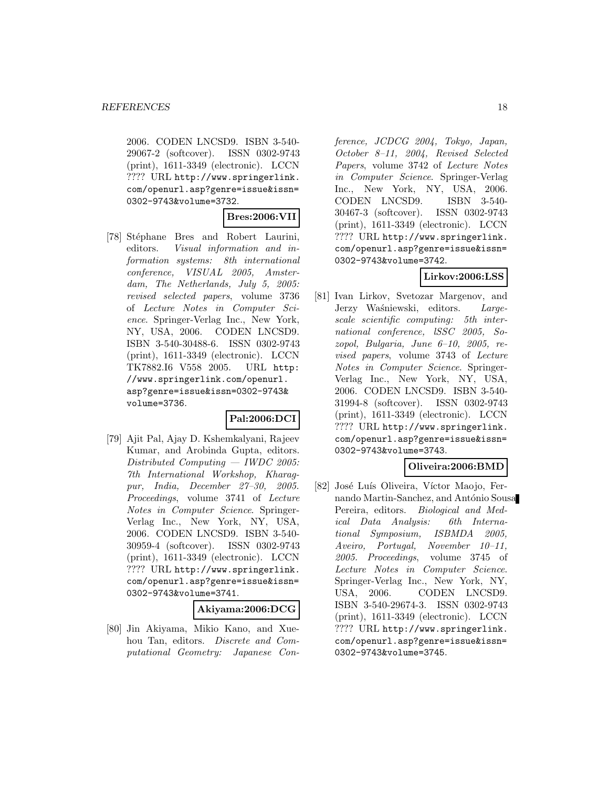2006. CODEN LNCSD9. ISBN 3-540- 29067-2 (softcover). ISSN 0302-9743 (print), 1611-3349 (electronic). LCCN ???? URL http://www.springerlink. com/openurl.asp?genre=issue&issn= 0302-9743&volume=3732.

### **Bres:2006:VII**

[78] Stéphane Bres and Robert Laurini, editors. Visual information and information systems: 8th international conference, VISUAL 2005, Amsterdam, The Netherlands, July 5, 2005: revised selected papers, volume 3736 of Lecture Notes in Computer Science. Springer-Verlag Inc., New York, NY, USA, 2006. CODEN LNCSD9. ISBN 3-540-30488-6. ISSN 0302-9743 (print), 1611-3349 (electronic). LCCN TK7882.I6 V558 2005. URL http: //www.springerlink.com/openurl. asp?genre=issue&issn=0302-9743& volume=3736.

#### **Pal:2006:DCI**

[79] Ajit Pal, Ajay D. Kshemkalyani, Rajeev Kumar, and Arobinda Gupta, editors. Distributed Computing — IWDC 2005: 7th International Workshop, Kharagpur, India, December 27–30, 2005. Proceedings, volume 3741 of Lecture Notes in Computer Science. Springer-Verlag Inc., New York, NY, USA, 2006. CODEN LNCSD9. ISBN 3-540- 30959-4 (softcover). ISSN 0302-9743 (print), 1611-3349 (electronic). LCCN ???? URL http://www.springerlink. com/openurl.asp?genre=issue&issn= 0302-9743&volume=3741.

#### **Akiyama:2006:DCG**

[80] Jin Akiyama, Mikio Kano, and Xuehou Tan, editors. Discrete and Computational Geometry: Japanese Conference, JCDCG 2004, Tokyo, Japan, October 8–11, 2004, Revised Selected Papers, volume 3742 of Lecture Notes in Computer Science. Springer-Verlag Inc., New York, NY, USA, 2006. CODEN LNCSD9. ISBN 3-540- 30467-3 (softcover). ISSN 0302-9743 (print), 1611-3349 (electronic). LCCN ???? URL http://www.springerlink. com/openurl.asp?genre=issue&issn= 0302-9743&volume=3742.

# **Lirkov:2006:LSS**

[81] Ivan Lirkov, Svetozar Margenov, and Jerzy Waśniewski, editors. Largescale scientific computing: 5th international conference, lSSC 2005, Sozopol, Bulgaria, June 6–10, 2005, revised papers, volume 3743 of Lecture Notes in Computer Science. Springer-Verlag Inc., New York, NY, USA, 2006. CODEN LNCSD9. ISBN 3-540- 31994-8 (softcover). ISSN 0302-9743 (print), 1611-3349 (electronic). LCCN ???? URL http://www.springerlink. com/openurl.asp?genre=issue&issn= 0302-9743&volume=3743.

# **Oliveira:2006:BMD**

[82] José Luís Oliveira, Víctor Maojo, Fernando Martin-Sanchez, and António Sousa Pereira, editors. Biological and Medical Data Analysis: 6th International Symposium, ISBMDA 2005, Aveiro, Portugal, November 10–11, 2005. Proceedings, volume 3745 of Lecture Notes in Computer Science. Springer-Verlag Inc., New York, NY, USA, 2006. CODEN LNCSD9. ISBN 3-540-29674-3. ISSN 0302-9743 (print), 1611-3349 (electronic). LCCN ???? URL http://www.springerlink. com/openurl.asp?genre=issue&issn= 0302-9743&volume=3745.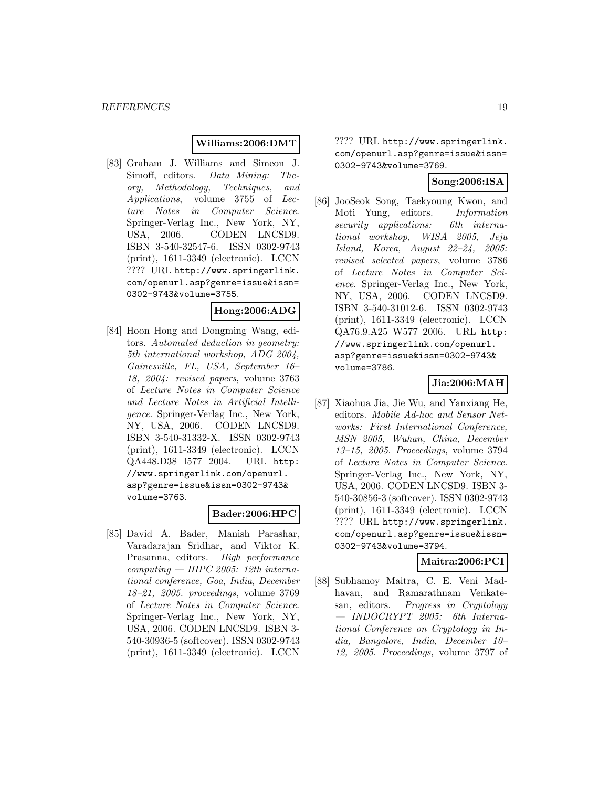# **Williams:2006:DMT**

[83] Graham J. Williams and Simeon J. Simoff, editors. Data Mining: Theory, Methodology, Techniques, and Applications, volume 3755 of Lecture Notes in Computer Science. Springer-Verlag Inc., New York, NY, USA, 2006. CODEN LNCSD9. ISBN 3-540-32547-6. ISSN 0302-9743 (print), 1611-3349 (electronic). LCCN ???? URL http://www.springerlink. com/openurl.asp?genre=issue&issn= 0302-9743&volume=3755.

# **Hong:2006:ADG**

[84] Hoon Hong and Dongming Wang, editors. Automated deduction in geometry: 5th international workshop, ADG 2004, Gainesville, FL, USA, September 16– 18, 2004: revised papers, volume 3763 of Lecture Notes in Computer Science and Lecture Notes in Artificial Intelligence. Springer-Verlag Inc., New York, NY, USA, 2006. CODEN LNCSD9. ISBN 3-540-31332-X. ISSN 0302-9743 (print), 1611-3349 (electronic). LCCN QA448.D38 I577 2004. URL http: //www.springerlink.com/openurl. asp?genre=issue&issn=0302-9743& volume=3763.

# **Bader:2006:HPC**

[85] David A. Bader, Manish Parashar, Varadarajan Sridhar, and Viktor K. Prasanna, editors. High performance  $computing - HIPC 2005: 12th interna$ tional conference, Goa, India, December 18–21, 2005. proceedings, volume 3769 of Lecture Notes in Computer Science. Springer-Verlag Inc., New York, NY, USA, 2006. CODEN LNCSD9. ISBN 3- 540-30936-5 (softcover). ISSN 0302-9743 (print), 1611-3349 (electronic). LCCN

???? URL http://www.springerlink. com/openurl.asp?genre=issue&issn= 0302-9743&volume=3769.

# **Song:2006:ISA**

[86] JooSeok Song, Taekyoung Kwon, and Moti Yung, editors. Information security applications: 6th international workshop, WISA 2005, Jeju Island, Korea, August 22–24, 2005: revised selected papers, volume 3786 of Lecture Notes in Computer Science. Springer-Verlag Inc., New York, NY, USA, 2006. CODEN LNCSD9. ISBN 3-540-31012-6. ISSN 0302-9743 (print), 1611-3349 (electronic). LCCN QA76.9.A25 W577 2006. URL http: //www.springerlink.com/openurl. asp?genre=issue&issn=0302-9743& volume=3786.

# **Jia:2006:MAH**

[87] Xiaohua Jia, Jie Wu, and Yanxiang He, editors. Mobile Ad-hoc and Sensor Networks: First International Conference, MSN 2005, Wuhan, China, December 13–15, 2005. Proceedings, volume 3794 of Lecture Notes in Computer Science. Springer-Verlag Inc., New York, NY, USA, 2006. CODEN LNCSD9. ISBN 3- 540-30856-3 (softcover). ISSN 0302-9743 (print), 1611-3349 (electronic). LCCN ???? URL http://www.springerlink. com/openurl.asp?genre=issue&issn= 0302-9743&volume=3794.

#### **Maitra:2006:PCI**

[88] Subhamoy Maitra, C. E. Veni Madhavan, and Ramarathnam Venkatesan, editors. Progress in Cryptology — INDOCRYPT 2005: 6th International Conference on Cryptology in India, Bangalore, India, December 10– 12, 2005. Proceedings, volume 3797 of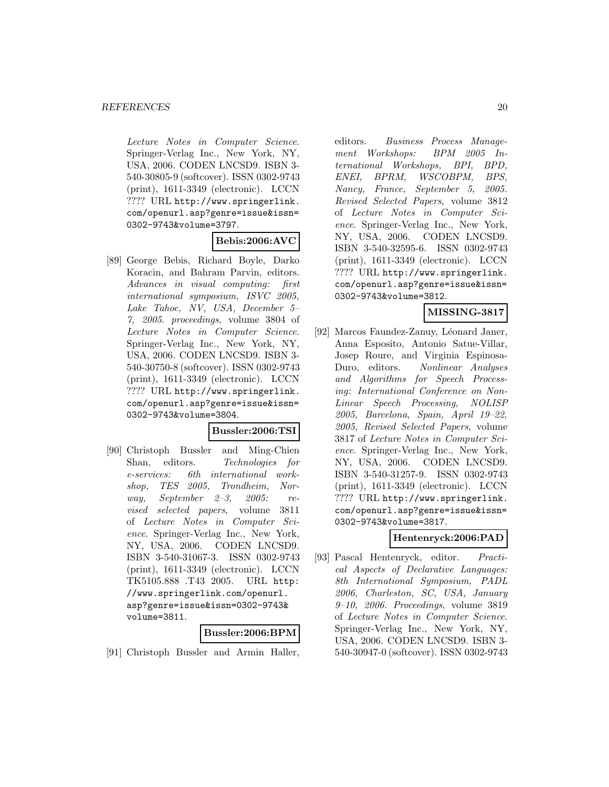Lecture Notes in Computer Science. Springer-Verlag Inc., New York, NY, USA, 2006. CODEN LNCSD9. ISBN 3- 540-30805-9 (softcover). ISSN 0302-9743 (print), 1611-3349 (electronic). LCCN ???? URL http://www.springerlink. com/openurl.asp?genre=issue&issn= 0302-9743&volume=3797.

# **Bebis:2006:AVC**

[89] George Bebis, Richard Boyle, Darko Koracin, and Bahram Parvin, editors. Advances in visual computing: first international symposium, ISVC 2005, Lake Tahoe, NV, USA, December 5– 7, 2005. proceedings, volume 3804 of Lecture Notes in Computer Science. Springer-Verlag Inc., New York, NY, USA, 2006. CODEN LNCSD9. ISBN 3- 540-30750-8 (softcover). ISSN 0302-9743 (print), 1611-3349 (electronic). LCCN ???? URL http://www.springerlink. com/openurl.asp?genre=issue&issn= 0302-9743&volume=3804.

#### **Bussler:2006:TSI**

[90] Christoph Bussler and Ming-Chien Shan, editors. Technologies for e-services: 6th international workshop, TES 2005, Trondheim, Norway, September 2–3, 2005: revised selected papers, volume 3811 of Lecture Notes in Computer Science. Springer-Verlag Inc., New York, NY, USA, 2006. CODEN LNCSD9. ISBN 3-540-31067-3. ISSN 0302-9743 (print), 1611-3349 (electronic). LCCN TK5105.888 .T43 2005. URL http: //www.springerlink.com/openurl. asp?genre=issue&issn=0302-9743& volume=3811.

#### **Bussler:2006:BPM**

[91] Christoph Bussler and Armin Haller,

editors. Business Process Management Workshops: BPM 2005 International Workshops, BPI, BPD, ENEI, BPRM, WSCOBPM, BPS, Nancy, France, September 5, 2005. Revised Selected Papers, volume 3812 of Lecture Notes in Computer Science. Springer-Verlag Inc., New York, NY, USA, 2006. CODEN LNCSD9. ISBN 3-540-32595-6. ISSN 0302-9743 (print), 1611-3349 (electronic). LCCN ???? URL http://www.springerlink. com/openurl.asp?genre=issue&issn= 0302-9743&volume=3812.

# **MISSING-3817**

[92] Marcos Faundez-Zanuy, Léonard Janer, Anna Esposito, Antonio Satue-Villar, Josep Roure, and Virginia Espinosa-Duro, editors. Nonlinear Analyses and Algorithms for Speech Processing: International Conference on Non-Linear Speech Processing, NOLISP 2005, Barcelona, Spain, April 19–22, 2005, Revised Selected Papers, volume 3817 of Lecture Notes in Computer Science. Springer-Verlag Inc., New York, NY, USA, 2006. CODEN LNCSD9. ISBN 3-540-31257-9. ISSN 0302-9743 (print), 1611-3349 (electronic). LCCN ???? URL http://www.springerlink. com/openurl.asp?genre=issue&issn= 0302-9743&volume=3817.

#### **Hentenryck:2006:PAD**

[93] Pascal Hentenryck, editor. Practical Aspects of Declarative Languages: 8th International Symposium, PADL 2006, Charleston, SC, USA, January 9–10, 2006. Proceedings, volume 3819 of Lecture Notes in Computer Science. Springer-Verlag Inc., New York, NY, USA, 2006. CODEN LNCSD9. ISBN 3- 540-30947-0 (softcover). ISSN 0302-9743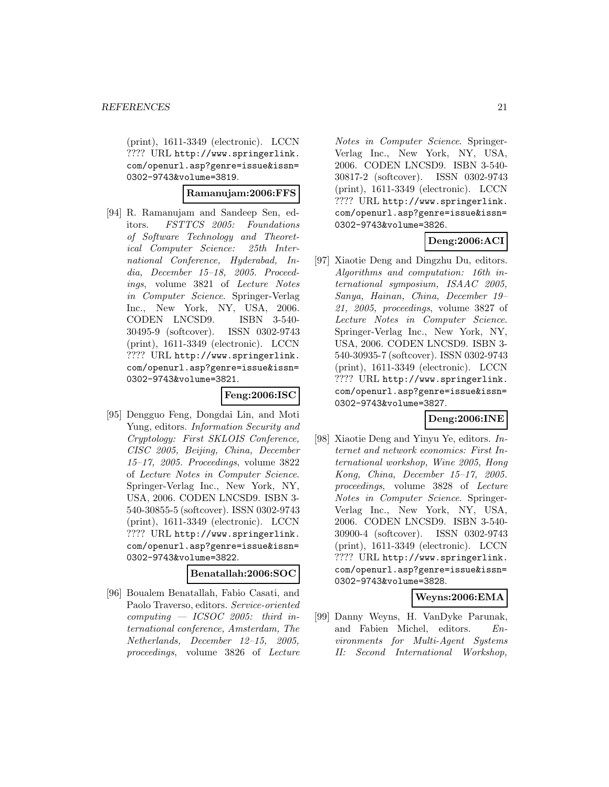(print), 1611-3349 (electronic). LCCN ???? URL http://www.springerlink. com/openurl.asp?genre=issue&issn= 0302-9743&volume=3819.

#### **Ramanujam:2006:FFS**

[94] R. Ramanujam and Sandeep Sen, editors. FSTTCS 2005: Foundations of Software Technology and Theoretical Computer Science: 25th International Conference, Hyderabad, India, December 15–18, 2005. Proceedings, volume 3821 of Lecture Notes in Computer Science. Springer-Verlag Inc., New York, NY, USA, 2006. CODEN LNCSD9. ISBN 3-540- 30495-9 (softcover). ISSN 0302-9743 (print), 1611-3349 (electronic). LCCN ???? URL http://www.springerlink. com/openurl.asp?genre=issue&issn= 0302-9743&volume=3821.

#### **Feng:2006:ISC**

[95] Dengguo Feng, Dongdai Lin, and Moti Yung, editors. Information Security and Cryptology: First SKLOIS Conference, CISC 2005, Beijing, China, December 15–17, 2005. Proceedings, volume 3822 of Lecture Notes in Computer Science. Springer-Verlag Inc., New York, NY, USA, 2006. CODEN LNCSD9. ISBN 3- 540-30855-5 (softcover). ISSN 0302-9743 (print), 1611-3349 (electronic). LCCN ???? URL http://www.springerlink. com/openurl.asp?genre=issue&issn= 0302-9743&volume=3822.

# **Benatallah:2006:SOC**

[96] Boualem Benatallah, Fabio Casati, and Paolo Traverso, editors. Service-oriented  $computing - ICSOC 2005: third in$ ternational conference, Amsterdam, The Netherlands, December 12–15, 2005, proceedings, volume 3826 of Lecture Notes in Computer Science. Springer-Verlag Inc., New York, NY, USA, 2006. CODEN LNCSD9. ISBN 3-540- 30817-2 (softcover). ISSN 0302-9743 (print), 1611-3349 (electronic). LCCN ???? URL http://www.springerlink. com/openurl.asp?genre=issue&issn= 0302-9743&volume=3826.

# **Deng:2006:ACI**

[97] Xiaotie Deng and Dingzhu Du, editors. Algorithms and computation: 16th international symposium, ISAAC 2005, Sanya, Hainan, China, December 19– 21, 2005, proceedings, volume 3827 of Lecture Notes in Computer Science. Springer-Verlag Inc., New York, NY, USA, 2006. CODEN LNCSD9. ISBN 3- 540-30935-7 (softcover). ISSN 0302-9743 (print), 1611-3349 (electronic). LCCN ???? URL http://www.springerlink. com/openurl.asp?genre=issue&issn= 0302-9743&volume=3827.

# **Deng:2006:INE**

[98] Xiaotie Deng and Yinyu Ye, editors. Internet and network economics: First International workshop, Wine 2005, Hong Kong, China, December 15–17, 2005. proceedings, volume 3828 of Lecture Notes in Computer Science. Springer-Verlag Inc., New York, NY, USA, 2006. CODEN LNCSD9. ISBN 3-540- 30900-4 (softcover). ISSN 0302-9743 (print), 1611-3349 (electronic). LCCN ???? URL http://www.springerlink. com/openurl.asp?genre=issue&issn= 0302-9743&volume=3828.

#### **Weyns:2006:EMA**

[99] Danny Weyns, H. VanDyke Parunak, and Fabien Michel, editors. Environments for Multi-Agent Systems II: Second International Workshop,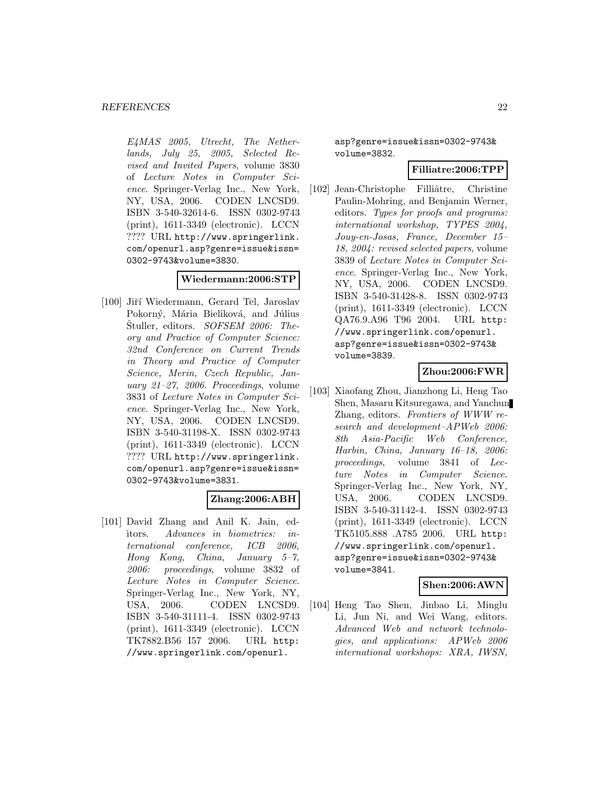E4MAS 2005, Utrecht, The Netherlands, July 25, 2005, Selected Revised and Invited Papers, volume 3830 of Lecture Notes in Computer Science. Springer-Verlag Inc., New York, NY, USA, 2006. CODEN LNCSD9. ISBN 3-540-32614-6. ISSN 0302-9743 (print), 1611-3349 (electronic). LCCN ???? URL http://www.springerlink. com/openurl.asp?genre=issue&issn= 0302-9743&volume=3830.

### **Wiedermann:2006:STP**

[100] Jiří Wiedermann, Gerard Tel, Jaroslav Pokorný, Mária Bieliková, and Július Stuller, editors. SOFSEM 2006: Theory and Practice of Computer Science: 32nd Conference on Current Trends in Theory and Practice of Computer Science, Merin, Czech Republic, January 21–27, 2006. Proceedings, volume 3831 of Lecture Notes in Computer Science. Springer-Verlag Inc., New York, NY, USA, 2006. CODEN LNCSD9. ISBN 3-540-31198-X. ISSN 0302-9743 (print), 1611-3349 (electronic). LCCN ???? URL http://www.springerlink. com/openurl.asp?genre=issue&issn= 0302-9743&volume=3831.

# **Zhang:2006:ABH**

[101] David Zhang and Anil K. Jain, editors. Advances in biometrics: international conference, ICB 2006, Hong Kong, China, January 5–7, 2006: proceedings, volume 3832 of Lecture Notes in Computer Science. Springer-Verlag Inc., New York, NY, USA, 2006. CODEN LNCSD9. ISBN 3-540-31111-4. ISSN 0302-9743 (print), 1611-3349 (electronic). LCCN TK7882.B56 I57 2006. URL http: //www.springerlink.com/openurl.

asp?genre=issue&issn=0302-9743& volume=3832.

# **Filliatre:2006:TPP**

[102] Jean-Christophe Filliâtre, Christine Paulin-Mohring, and Benjamin Werner, editors. Types for proofs and programs: international workshop, TYPES 2004, Jouy-en-Josas, France, December 15– 18, 2004: revised selected papers, volume 3839 of Lecture Notes in Computer Science. Springer-Verlag Inc., New York, NY, USA, 2006. CODEN LNCSD9. ISBN 3-540-31428-8. ISSN 0302-9743 (print), 1611-3349 (electronic). LCCN QA76.9.A96 T96 2004. URL http: //www.springerlink.com/openurl. asp?genre=issue&issn=0302-9743& volume=3839.

# **Zhou:2006:FWR**

[103] Xiaofang Zhou, Jianzhong Li, Heng Tao Shen, Masaru Kitsuregawa, and Yanchun Zhang, editors. Frontiers of WWW research and development–APWeb 2006: 8th Asia-Pacific Web Conference, Harbin, China, January 16–18, 2006: proceedings, volume 3841 of Lecture Notes in Computer Science. Springer-Verlag Inc., New York, NY, USA, 2006. CODEN LNCSD9. ISBN 3-540-31142-4. ISSN 0302-9743 (print), 1611-3349 (electronic). LCCN TK5105.888 .A785 2006. URL http: //www.springerlink.com/openurl. asp?genre=issue&issn=0302-9743& volume=3841.

# **Shen:2006:AWN**

[104] Heng Tao Shen, Jinbao Li, Minglu Li, Jun Ni, and Wei Wang, editors. Advanced Web and network technologies, and applications: APWeb 2006 international workshops: XRA, IWSN,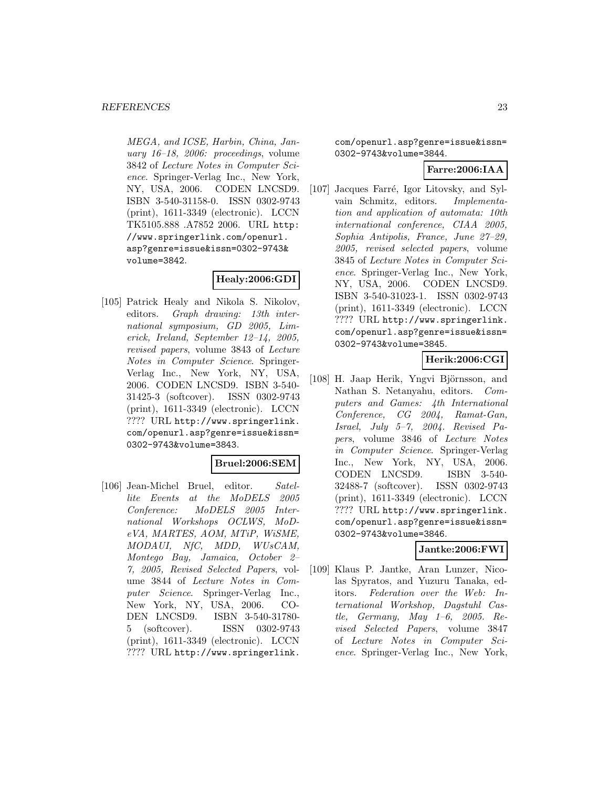MEGA, and ICSE, Harbin, China, January 16–18, 2006: proceedings, volume 3842 of Lecture Notes in Computer Science. Springer-Verlag Inc., New York, NY, USA, 2006. CODEN LNCSD9. ISBN 3-540-31158-0. ISSN 0302-9743 (print), 1611-3349 (electronic). LCCN TK5105.888 .A7852 2006. URL http: //www.springerlink.com/openurl. asp?genre=issue&issn=0302-9743& volume=3842.

# **Healy:2006:GDI**

[105] Patrick Healy and Nikola S. Nikolov, editors. Graph drawing: 13th international symposium, GD 2005, Limerick, Ireland, September 12–14, 2005, revised papers, volume 3843 of Lecture Notes in Computer Science. Springer-Verlag Inc., New York, NY, USA, 2006. CODEN LNCSD9. ISBN 3-540- 31425-3 (softcover). ISSN 0302-9743 (print), 1611-3349 (electronic). LCCN ???? URL http://www.springerlink. com/openurl.asp?genre=issue&issn= 0302-9743&volume=3843.

# **Bruel:2006:SEM**

[106] Jean-Michel Bruel, editor. Satellite Events at the MoDELS 2005 Conference: MoDELS 2005 International Workshops OCLWS, MoDeVA, MARTES, AOM, MTiP, WiSME, MODAUI, NfC, MDD, WUsCAM, Montego Bay, Jamaica, October 2– 7, 2005, Revised Selected Papers, volume 3844 of Lecture Notes in Computer Science. Springer-Verlag Inc., New York, NY, USA, 2006. CO-DEN LNCSD9. ISBN 3-540-31780- 5 (softcover). ISSN 0302-9743 (print), 1611-3349 (electronic). LCCN ???? URL http://www.springerlink.

com/openurl.asp?genre=issue&issn= 0302-9743&volume=3844.

### **Farre:2006:IAA**

[107] Jacques Farré, Igor Litovsky, and Sylvain Schmitz, editors. Implementation and application of automata: 10th international conference, CIAA 2005, Sophia Antipolis, France, June 27–29, 2005, revised selected papers, volume 3845 of Lecture Notes in Computer Science. Springer-Verlag Inc., New York, NY, USA, 2006. CODEN LNCSD9. ISBN 3-540-31023-1. ISSN 0302-9743 (print), 1611-3349 (electronic). LCCN ???? URL http://www.springerlink. com/openurl.asp?genre=issue&issn= 0302-9743&volume=3845.

# **Herik:2006:CGI**

[108] H. Jaap Herik, Yngvi Björnsson, and Nathan S. Netanyahu, editors. Computers and Games: 4th International Conference, CG 2004, Ramat-Gan, Israel, July 5–7, 2004. Revised Papers, volume 3846 of Lecture Notes in Computer Science. Springer-Verlag Inc., New York, NY, USA, 2006. CODEN LNCSD9. ISBN 3-540- 32488-7 (softcover). ISSN 0302-9743 (print), 1611-3349 (electronic). LCCN ???? URL http://www.springerlink. com/openurl.asp?genre=issue&issn= 0302-9743&volume=3846.

# **Jantke:2006:FWI**

[109] Klaus P. Jantke, Aran Lunzer, Nicolas Spyratos, and Yuzuru Tanaka, editors. Federation over the Web: International Workshop, Dagstuhl Castle, Germany, May 1–6, 2005. Revised Selected Papers, volume 3847 of Lecture Notes in Computer Science. Springer-Verlag Inc., New York,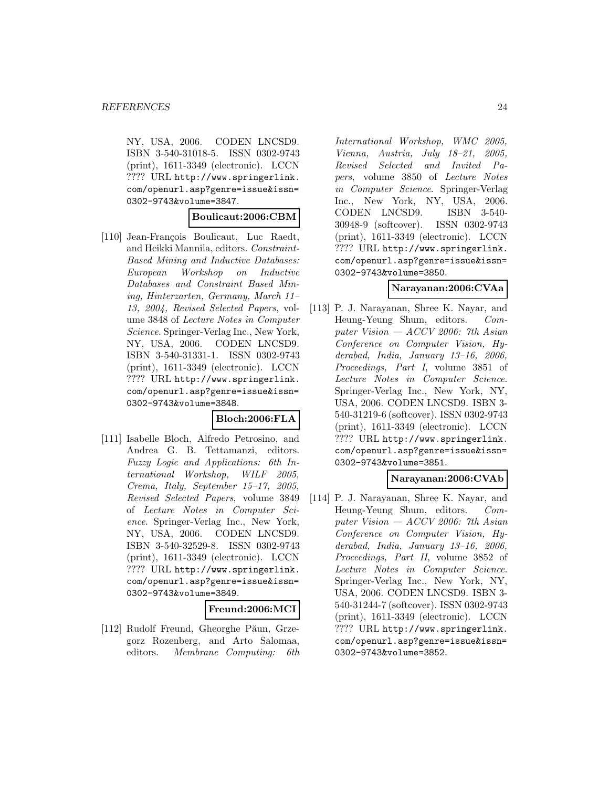NY, USA, 2006. CODEN LNCSD9. ISBN 3-540-31018-5. ISSN 0302-9743 (print), 1611-3349 (electronic). LCCN ???? URL http://www.springerlink. com/openurl.asp?genre=issue&issn= 0302-9743&volume=3847.

#### **Boulicaut:2006:CBM**

[110] Jean-François Boulicaut, Luc Raedt, and Heikki Mannila, editors. Constraint-Based Mining and Inductive Databases: European Workshop on Inductive Databases and Constraint Based Mining, Hinterzarten, Germany, March 11– 13, 2004, Revised Selected Papers, volume 3848 of Lecture Notes in Computer Science. Springer-Verlag Inc., New York, NY, USA, 2006. CODEN LNCSD9. ISBN 3-540-31331-1. ISSN 0302-9743 (print), 1611-3349 (electronic). LCCN ???? URL http://www.springerlink. com/openurl.asp?genre=issue&issn= 0302-9743&volume=3848.

#### **Bloch:2006:FLA**

[111] Isabelle Bloch, Alfredo Petrosino, and Andrea G. B. Tettamanzi, editors. Fuzzy Logic and Applications: 6th International Workshop, WILF 2005, Crema, Italy, September 15–17, 2005, Revised Selected Papers, volume 3849 of Lecture Notes in Computer Science. Springer-Verlag Inc., New York, NY, USA, 2006. CODEN LNCSD9. ISBN 3-540-32529-8. ISSN 0302-9743 (print), 1611-3349 (electronic). LCCN ???? URL http://www.springerlink. com/openurl.asp?genre=issue&issn= 0302-9743&volume=3849.

#### **Freund:2006:MCI**

[112] Rudolf Freund, Gheorghe Păun, Grzegorz Rozenberg, and Arto Salomaa, editors. Membrane Computing: 6th International Workshop, WMC 2005, Vienna, Austria, July 18–21, 2005, Revised Selected and Invited Papers, volume 3850 of Lecture Notes in Computer Science. Springer-Verlag Inc., New York, NY, USA, 2006. CODEN LNCSD9. ISBN 3-540- 30948-9 (softcover). ISSN 0302-9743 (print), 1611-3349 (electronic). LCCN ???? URL http://www.springerlink. com/openurl.asp?genre=issue&issn= 0302-9743&volume=3850.

### **Narayanan:2006:CVAa**

[113] P. J. Narayanan, Shree K. Nayar, and Heung-Yeung Shum, editors. Computer Vision  $-$  ACCV 2006: 7th Asian Conference on Computer Vision, Hyderabad, India, January 13–16, 2006, Proceedings, Part I, volume 3851 of Lecture Notes in Computer Science. Springer-Verlag Inc., New York, NY, USA, 2006. CODEN LNCSD9. ISBN 3- 540-31219-6 (softcover). ISSN 0302-9743 (print), 1611-3349 (electronic). LCCN ???? URL http://www.springerlink. com/openurl.asp?genre=issue&issn= 0302-9743&volume=3851.

### **Narayanan:2006:CVAb**

[114] P. J. Narayanan, Shree K. Nayar, and Heung-Yeung Shum, editors. Computer Vision  $-$  ACCV 2006: 7th Asian Conference on Computer Vision, Hyderabad, India, January 13–16, 2006, Proceedings, Part II, volume 3852 of Lecture Notes in Computer Science. Springer-Verlag Inc., New York, NY, USA, 2006. CODEN LNCSD9. ISBN 3- 540-31244-7 (softcover). ISSN 0302-9743 (print), 1611-3349 (electronic). LCCN ???? URL http://www.springerlink. com/openurl.asp?genre=issue&issn= 0302-9743&volume=3852.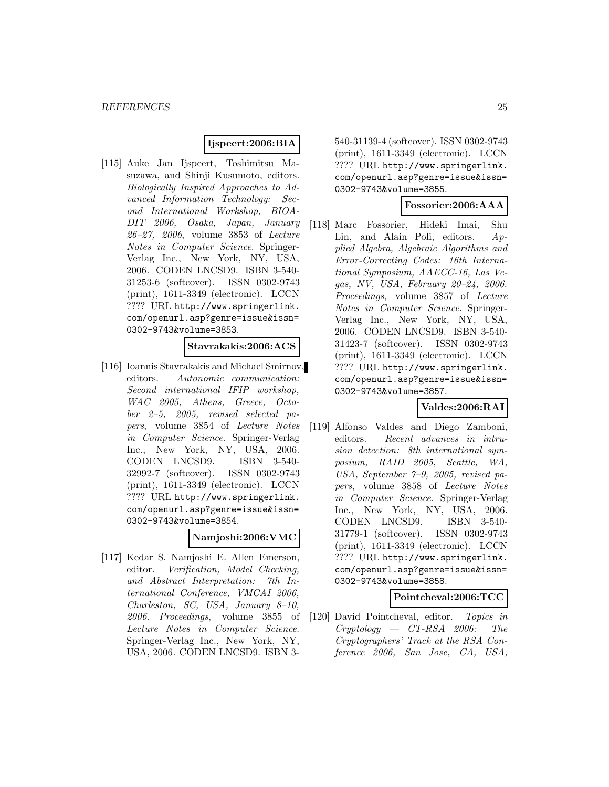# **Ijspeert:2006:BIA**

[115] Auke Jan Ijspeert, Toshimitsu Masuzawa, and Shinji Kusumoto, editors. Biologically Inspired Approaches to Advanced Information Technology: Second International Workshop, BIOA-DIT 2006, Osaka, Japan, January 26–27, 2006, volume 3853 of Lecture Notes in Computer Science. Springer-Verlag Inc., New York, NY, USA, 2006. CODEN LNCSD9. ISBN 3-540- 31253-6 (softcover). ISSN 0302-9743 (print), 1611-3349 (electronic). LCCN ???? URL http://www.springerlink. com/openurl.asp?genre=issue&issn= 0302-9743&volume=3853.

### **Stavrakakis:2006:ACS**

[116] Ioannis Stavrakakis and Michael Smirnov, editors. Autonomic communication: Second international IFIP workshop, WAC 2005, Athens, Greece, October 2–5, 2005, revised selected papers, volume 3854 of Lecture Notes in Computer Science. Springer-Verlag Inc., New York, NY, USA, 2006. CODEN LNCSD9. ISBN 3-540- 32992-7 (softcover). ISSN 0302-9743 (print), 1611-3349 (electronic). LCCN ???? URL http://www.springerlink. com/openurl.asp?genre=issue&issn= 0302-9743&volume=3854.

#### **Namjoshi:2006:VMC**

[117] Kedar S. Namjoshi E. Allen Emerson, editor. Verification, Model Checking, and Abstract Interpretation: 7th International Conference, VMCAI 2006, Charleston, SC, USA, January 8–10, 2006. Proceedings, volume 3855 of Lecture Notes in Computer Science. Springer-Verlag Inc., New York, NY, USA, 2006. CODEN LNCSD9. ISBN 3540-31139-4 (softcover). ISSN 0302-9743 (print), 1611-3349 (electronic). LCCN ???? URL http://www.springerlink. com/openurl.asp?genre=issue&issn= 0302-9743&volume=3855.

#### **Fossorier:2006:AAA**

[118] Marc Fossorier, Hideki Imai, Shu Lin, and Alain Poli, editors. Applied Algebra, Algebraic Algorithms and Error-Correcting Codes: 16th International Symposium, AAECC-16, Las Vegas, NV, USA, February 20–24, 2006. Proceedings, volume 3857 of Lecture Notes in Computer Science. Springer-Verlag Inc., New York, NY, USA, 2006. CODEN LNCSD9. ISBN 3-540- 31423-7 (softcover). ISSN 0302-9743 (print), 1611-3349 (electronic). LCCN ???? URL http://www.springerlink. com/openurl.asp?genre=issue&issn= 0302-9743&volume=3857.

# **Valdes:2006:RAI**

[119] Alfonso Valdes and Diego Zamboni, editors. Recent advances in intrusion detection: 8th international symposium, RAID 2005, Seattle, WA, USA, September 7–9, 2005, revised papers, volume 3858 of Lecture Notes in Computer Science. Springer-Verlag Inc., New York, NY, USA, 2006. CODEN LNCSD9. ISBN 3-540- 31779-1 (softcover). ISSN 0302-9743 (print), 1611-3349 (electronic). LCCN ???? URL http://www.springerlink. com/openurl.asp?genre=issue&issn= 0302-9743&volume=3858.

#### **Pointcheval:2006:TCC**

[120] David Pointcheval, editor. Topics in Cryptology — CT-RSA 2006: The Cryptographers' Track at the RSA Conference 2006, San Jose, CA, USA,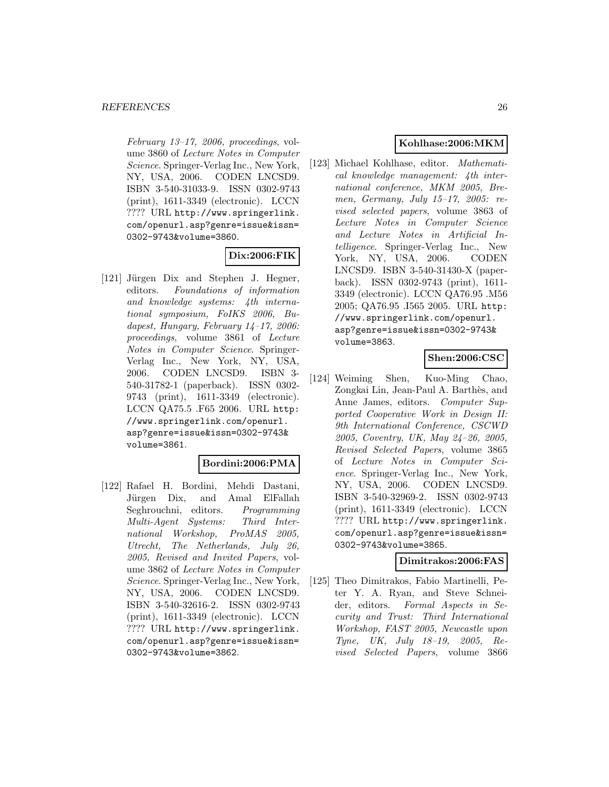$February 13-17, 2006, 2006, 2006.$ ume 3860 of Lecture Notes in Computer Science. Springer-Verlag Inc., New York, NY, USA, 2006. CODEN LNCSD9. ISBN 3-540-31033-9. ISSN 0302-9743 (print), 1611-3349 (electronic). LCCN ???? URL http://www.springerlink. com/openurl.asp?genre=issue&issn= 0302-9743&volume=3860.

# **Dix:2006:FIK**

[121] Jürgen Dix and Stephen J. Hegner, editors. Foundations of information and knowledge systems: 4th international symposium, FoIKS 2006, Budapest, Hungary, February 14–17, 2006: proceedings, volume 3861 of Lecture Notes in Computer Science. Springer-Verlag Inc., New York, NY, USA, 2006. CODEN LNCSD9. ISBN 3- 540-31782-1 (paperback). ISSN 0302- 9743 (print), 1611-3349 (electronic). LCCN QA75.5 .F65 2006. URL http: //www.springerlink.com/openurl. asp?genre=issue&issn=0302-9743& volume=3861.

# **Bordini:2006:PMA**

[122] Rafael H. Bordini, Mehdi Dastani, Jürgen Dix, and Amal ElFallah Seghrouchni, editors. Programming Multi-Agent Systems: Third International Workshop, ProMAS 2005, Utrecht, The Netherlands, July 26, 2005, Revised and Invited Papers, volume 3862 of Lecture Notes in Computer Science. Springer-Verlag Inc., New York, NY, USA, 2006. CODEN LNCSD9. ISBN 3-540-32616-2. ISSN 0302-9743 (print), 1611-3349 (electronic). LCCN ???? URL http://www.springerlink. com/openurl.asp?genre=issue&issn= 0302-9743&volume=3862.

# **Kohlhase:2006:MKM**

[123] Michael Kohlhase, editor. Mathematical knowledge management: 4th international conference, MKM 2005, Bremen, Germany, July 15–17, 2005: revised selected papers, volume 3863 of Lecture Notes in Computer Science and Lecture Notes in Artificial Intelligence. Springer-Verlag Inc., New York, NY, USA, 2006. CODEN LNCSD9. ISBN 3-540-31430-X (paperback). ISSN 0302-9743 (print), 1611- 3349 (electronic). LCCN QA76.95 .M56 2005; QA76.95 .I565 2005. URL http: //www.springerlink.com/openurl. asp?genre=issue&issn=0302-9743& volume=3863.

# **Shen:2006:CSC**

[124] Weiming Shen, Kuo-Ming Chao, Zongkai Lin, Jean-Paul A. Barthès, and Anne James, editors. Computer Supported Cooperative Work in Design II: 9th International Conference, CSCWD 2005, Coventry, UK, May 24–26, 2005, Revised Selected Papers, volume 3865 of Lecture Notes in Computer Science. Springer-Verlag Inc., New York, NY, USA, 2006. CODEN LNCSD9. ISBN 3-540-32969-2. ISSN 0302-9743 (print), 1611-3349 (electronic). LCCN ???? URL http://www.springerlink. com/openurl.asp?genre=issue&issn= 0302-9743&volume=3865.

### **Dimitrakos:2006:FAS**

[125] Theo Dimitrakos, Fabio Martinelli, Peter Y. A. Ryan, and Steve Schneider, editors. Formal Aspects in Security and Trust: Third International Workshop, FAST 2005, Newcastle upon Tyne, UK, July 18–19, 2005, Revised Selected Papers, volume 3866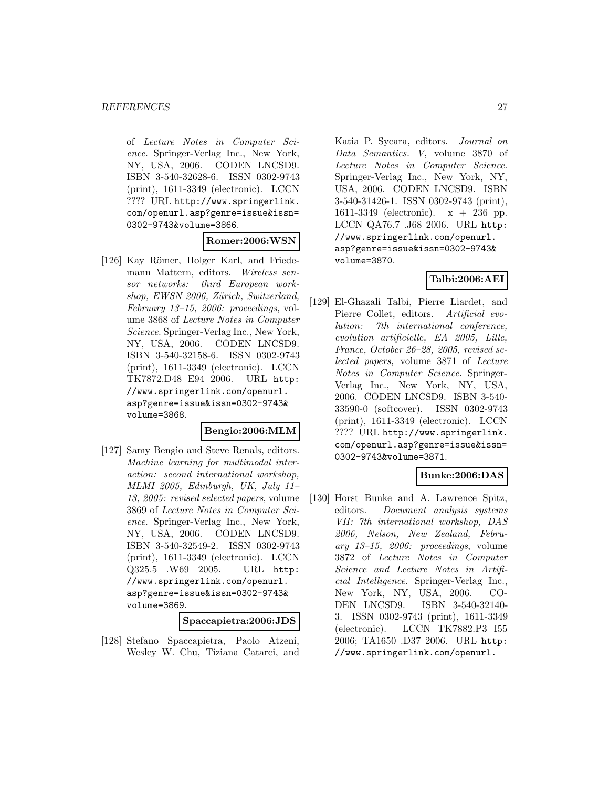of Lecture Notes in Computer Science. Springer-Verlag Inc., New York, NY, USA, 2006. CODEN LNCSD9. ISBN 3-540-32628-6. ISSN 0302-9743 (print), 1611-3349 (electronic). LCCN ???? URL http://www.springerlink. com/openurl.asp?genre=issue&issn= 0302-9743&volume=3866.

#### **Romer:2006:WSN**

[126] Kay Römer, Holger Karl, and Friedemann Mattern, editors. Wireless sensor networks: third European workshop, EWSN 2006, Zürich, Switzerland, February 13–15, 2006: proceedings, volume 3868 of Lecture Notes in Computer Science. Springer-Verlag Inc., New York, NY, USA, 2006. CODEN LNCSD9. ISBN 3-540-32158-6. ISSN 0302-9743 (print), 1611-3349 (electronic). LCCN TK7872.D48 E94 2006. URL http: //www.springerlink.com/openurl. asp?genre=issue&issn=0302-9743& volume=3868.

### **Bengio:2006:MLM**

[127] Samy Bengio and Steve Renals, editors. Machine learning for multimodal interaction: second international workshop, MLMI 2005, Edinburgh, UK, July 11– 13, 2005: revised selected papers, volume 3869 of Lecture Notes in Computer Science. Springer-Verlag Inc., New York, NY, USA, 2006. CODEN LNCSD9. ISBN 3-540-32549-2. ISSN 0302-9743 (print), 1611-3349 (electronic). LCCN Q325.5 .W69 2005. URL http: //www.springerlink.com/openurl. asp?genre=issue&issn=0302-9743& volume=3869.

#### **Spaccapietra:2006:JDS**

[128] Stefano Spaccapietra, Paolo Atzeni, Wesley W. Chu, Tiziana Catarci, and Katia P. Sycara, editors. Journal on Data Semantics. V, volume 3870 of Lecture Notes in Computer Science. Springer-Verlag Inc., New York, NY, USA, 2006. CODEN LNCSD9. ISBN 3-540-31426-1. ISSN 0302-9743 (print), 1611-3349 (electronic). x + 236 pp. LCCN QA76.7 .J68 2006. URL http: //www.springerlink.com/openurl. asp?genre=issue&issn=0302-9743& volume=3870.

# **Talbi:2006:AEI**

[129] El-Ghazali Talbi, Pierre Liardet, and Pierre Collet, editors. Artificial evolution: 7th international conference, evolution artificielle, EA 2005, Lille, France, October 26–28, 2005, revised selected papers, volume 3871 of Lecture Notes in Computer Science. Springer-Verlag Inc., New York, NY, USA, 2006. CODEN LNCSD9. ISBN 3-540- 33590-0 (softcover). ISSN 0302-9743 (print), 1611-3349 (electronic). LCCN ???? URL http://www.springerlink. com/openurl.asp?genre=issue&issn= 0302-9743&volume=3871.

# **Bunke:2006:DAS**

[130] Horst Bunke and A. Lawrence Spitz, editors. Document analysis systems VII: 7th international workshop, DAS 2006, Nelson, New Zealand, Febru- $\alpha r\psi$  13–15, 2006: proceedings, volume 3872 of Lecture Notes in Computer Science and Lecture Notes in Artificial Intelligence. Springer-Verlag Inc., New York, NY, USA, 2006. CO-DEN LNCSD9. ISBN 3-540-32140- 3. ISSN 0302-9743 (print), 1611-3349 (electronic). LCCN TK7882.P3 I55 2006; TA1650 .D37 2006. URL http: //www.springerlink.com/openurl.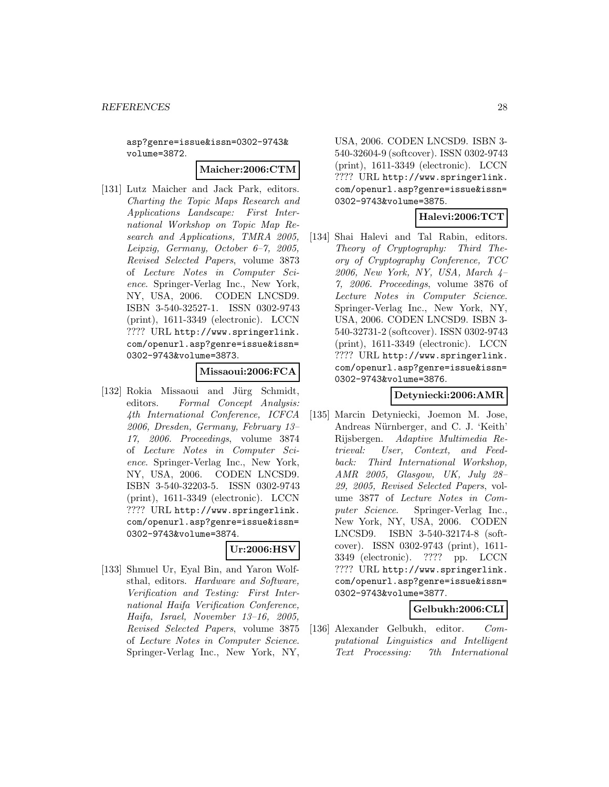asp?genre=issue&issn=0302-9743& volume=3872.

#### **Maicher:2006:CTM**

[131] Lutz Maicher and Jack Park, editors. Charting the Topic Maps Research and Applications Landscape: First International Workshop on Topic Map Research and Applications, TMRA 2005, Leipzig, Germany, October 6–7, 2005, Revised Selected Papers, volume 3873 of Lecture Notes in Computer Science. Springer-Verlag Inc., New York, NY, USA, 2006. CODEN LNCSD9. ISBN 3-540-32527-1. ISSN 0302-9743 (print), 1611-3349 (electronic). LCCN ???? URL http://www.springerlink. com/openurl.asp?genre=issue&issn= 0302-9743&volume=3873.

#### **Missaoui:2006:FCA**

[132] Rokia Missaoui and Jürg Schmidt, editors. Formal Concept Analysis: 4th International Conference, ICFCA 2006, Dresden, Germany, February 13– 17, 2006. Proceedings, volume 3874 of Lecture Notes in Computer Science. Springer-Verlag Inc., New York, NY, USA, 2006. CODEN LNCSD9. ISBN 3-540-32203-5. ISSN 0302-9743 (print), 1611-3349 (electronic). LCCN ???? URL http://www.springerlink. com/openurl.asp?genre=issue&issn= 0302-9743&volume=3874.

# **Ur:2006:HSV**

[133] Shmuel Ur, Eyal Bin, and Yaron Wolfsthal, editors. Hardware and Software, Verification and Testing: First International Haifa Verification Conference, Haifa, Israel, November 13–16, 2005, Revised Selected Papers, volume 3875 of Lecture Notes in Computer Science. Springer-Verlag Inc., New York, NY,

USA, 2006. CODEN LNCSD9. ISBN 3- 540-32604-9 (softcover). ISSN 0302-9743 (print), 1611-3349 (electronic). LCCN ???? URL http://www.springerlink. com/openurl.asp?genre=issue&issn= 0302-9743&volume=3875.

# **Halevi:2006:TCT**

[134] Shai Halevi and Tal Rabin, editors. Theory of Cryptography: Third Theory of Cryptography Conference, TCC 2006, New York, NY, USA, March 4– 7, 2006. Proceedings, volume 3876 of Lecture Notes in Computer Science. Springer-Verlag Inc., New York, NY, USA, 2006. CODEN LNCSD9. ISBN 3- 540-32731-2 (softcover). ISSN 0302-9743 (print), 1611-3349 (electronic). LCCN ???? URL http://www.springerlink. com/openurl.asp?genre=issue&issn= 0302-9743&volume=3876.

# **Detyniecki:2006:AMR**

[135] Marcin Detyniecki, Joemon M. Jose, Andreas Nürnberger, and C. J. 'Keith' Rijsbergen. Adaptive Multimedia Retrieval: User, Context, and Feedback: Third International Workshop, AMR 2005, Glasgow, UK, July 28– 29, 2005, Revised Selected Papers, volume 3877 of Lecture Notes in Computer Science. Springer-Verlag Inc., New York, NY, USA, 2006. CODEN LNCSD9. ISBN 3-540-32174-8 (softcover). ISSN 0302-9743 (print), 1611- 3349 (electronic). ???? pp. LCCN ???? URL http://www.springerlink. com/openurl.asp?genre=issue&issn= 0302-9743&volume=3877.

# **Gelbukh:2006:CLI**

[136] Alexander Gelbukh, editor. Computational Linguistics and Intelligent Text Processing: 7th International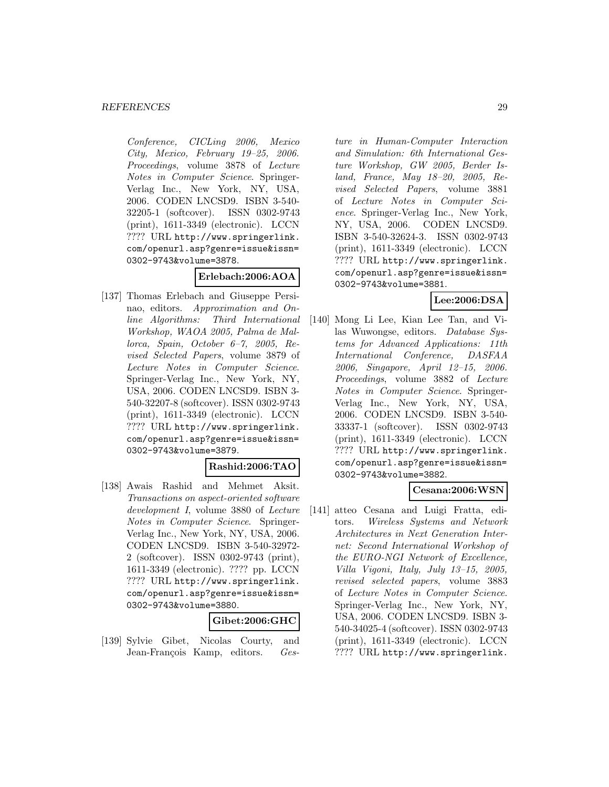Conference, CICLing 2006, Mexico City, Mexico, February 19–25, 2006. Proceedings, volume 3878 of Lecture Notes in Computer Science. Springer-Verlag Inc., New York, NY, USA, 2006. CODEN LNCSD9. ISBN 3-540- 32205-1 (softcover). ISSN 0302-9743 (print), 1611-3349 (electronic). LCCN ???? URL http://www.springerlink. com/openurl.asp?genre=issue&issn= 0302-9743&volume=3878.

### **Erlebach:2006:AOA**

[137] Thomas Erlebach and Giuseppe Persinao, editors. Approximation and Online Algorithms: Third International Workshop, WAOA 2005, Palma de Mallorca, Spain, October 6–7, 2005, Revised Selected Papers, volume 3879 of Lecture Notes in Computer Science. Springer-Verlag Inc., New York, NY, USA, 2006. CODEN LNCSD9. ISBN 3- 540-32207-8 (softcover). ISSN 0302-9743 (print), 1611-3349 (electronic). LCCN ???? URL http://www.springerlink. com/openurl.asp?genre=issue&issn= 0302-9743&volume=3879.

#### **Rashid:2006:TAO**

[138] Awais Rashid and Mehmet Aksit. Transactions on aspect-oriented software development I, volume 3880 of Lecture Notes in Computer Science. Springer-Verlag Inc., New York, NY, USA, 2006. CODEN LNCSD9. ISBN 3-540-32972- 2 (softcover). ISSN 0302-9743 (print), 1611-3349 (electronic). ???? pp. LCCN ???? URL http://www.springerlink. com/openurl.asp?genre=issue&issn= 0302-9743&volume=3880.

#### **Gibet:2006:GHC**

[139] Sylvie Gibet, Nicolas Courty, and Jean-François Kamp, editors. Gesture in Human-Computer Interaction and Simulation: 6th International Gesture Workshop, GW 2005, Berder Island, France, May 18–20, 2005, Revised Selected Papers, volume 3881 of Lecture Notes in Computer Science. Springer-Verlag Inc., New York, NY, USA, 2006. CODEN LNCSD9. ISBN 3-540-32624-3. ISSN 0302-9743 (print), 1611-3349 (electronic). LCCN ???? URL http://www.springerlink. com/openurl.asp?genre=issue&issn= 0302-9743&volume=3881.

# **Lee:2006:DSA**

[140] Mong Li Lee, Kian Lee Tan, and Vilas Wuwongse, editors. Database Systems for Advanced Applications: 11th International Conference, DASFAA 2006, Singapore, April 12–15, 2006. Proceedings, volume 3882 of Lecture Notes in Computer Science. Springer-Verlag Inc., New York, NY, USA, 2006. CODEN LNCSD9. ISBN 3-540- 33337-1 (softcover). ISSN 0302-9743 (print), 1611-3349 (electronic). LCCN ???? URL http://www.springerlink. com/openurl.asp?genre=issue&issn= 0302-9743&volume=3882.

# **Cesana:2006:WSN**

[141] atteo Cesana and Luigi Fratta, editors. Wireless Systems and Network Architectures in Next Generation Internet: Second International Workshop of the EURO-NGI Network of Excellence, Villa Vigoni, Italy, July 13–15, 2005, revised selected papers, volume 3883 of Lecture Notes in Computer Science. Springer-Verlag Inc., New York, NY, USA, 2006. CODEN LNCSD9. ISBN 3- 540-34025-4 (softcover). ISSN 0302-9743 (print), 1611-3349 (electronic). LCCN ???? URL http://www.springerlink.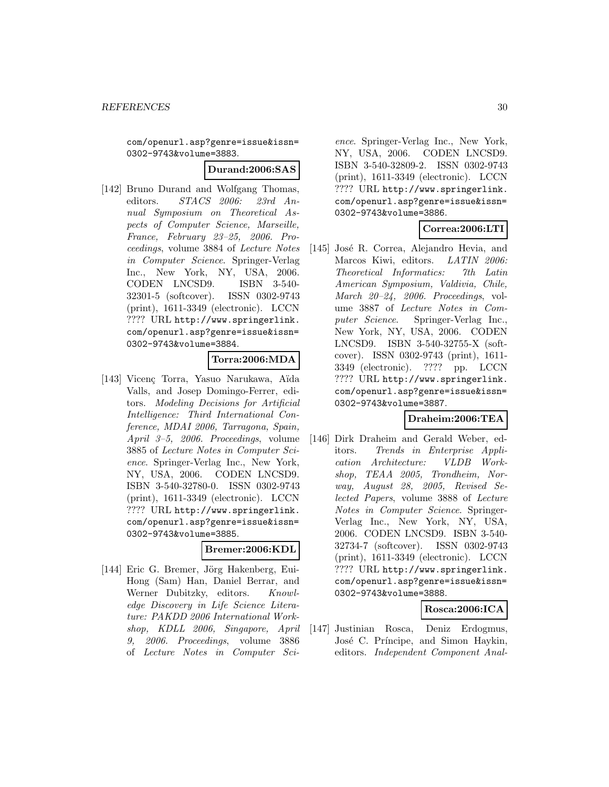com/openurl.asp?genre=issue&issn= 0302-9743&volume=3883.

#### **Durand:2006:SAS**

[142] Bruno Durand and Wolfgang Thomas, editors. STACS 2006: 23rd Annual Symposium on Theoretical Aspects of Computer Science, Marseille, France, February 23–25, 2006. Proceedings, volume 3884 of Lecture Notes in Computer Science. Springer-Verlag Inc., New York, NY, USA, 2006. CODEN LNCSD9. ISBN 3-540- 32301-5 (softcover). ISSN 0302-9743 (print), 1611-3349 (electronic). LCCN ???? URL http://www.springerlink. com/openurl.asp?genre=issue&issn= 0302-9743&volume=3884.

# **Torra:2006:MDA**

[143] Vicenç Torra, Yasuo Narukawa, Aïda Valls, and Josep Domingo-Ferrer, editors. Modeling Decisions for Artificial Intelligence: Third International Conference, MDAI 2006, Tarragona, Spain, April 3–5, 2006. Proceedings, volume 3885 of Lecture Notes in Computer Science. Springer-Verlag Inc., New York, NY, USA, 2006. CODEN LNCSD9. ISBN 3-540-32780-0. ISSN 0302-9743 (print), 1611-3349 (electronic). LCCN ???? URL http://www.springerlink. com/openurl.asp?genre=issue&issn= 0302-9743&volume=3885.

#### **Bremer:2006:KDL**

[144] Eric G. Bremer, Jörg Hakenberg, Eui-Hong (Sam) Han, Daniel Berrar, and Werner Dubitzky, editors. Knowledge Discovery in Life Science Literature: PAKDD 2006 International Workshop, KDLL 2006, Singapore, April 9, 2006. Proceedings, volume 3886 of Lecture Notes in Computer Science. Springer-Verlag Inc., New York, NY, USA, 2006. CODEN LNCSD9. ISBN 3-540-32809-2. ISSN 0302-9743 (print), 1611-3349 (electronic). LCCN ???? URL http://www.springerlink. com/openurl.asp?genre=issue&issn= 0302-9743&volume=3886.

# **Correa:2006:LTI**

[145] José R. Correa, Alejandro Hevia, and Marcos Kiwi, editors. LATIN 2006: Theoretical Informatics: 7th Latin American Symposium, Valdivia, Chile, March 20–24, 2006. Proceedings, volume 3887 of Lecture Notes in Computer Science. Springer-Verlag Inc., New York, NY, USA, 2006. CODEN LNCSD9. ISBN 3-540-32755-X (softcover). ISSN 0302-9743 (print), 1611- 3349 (electronic). ???? pp. LCCN ???? URL http://www.springerlink. com/openurl.asp?genre=issue&issn= 0302-9743&volume=3887.

### **Draheim:2006:TEA**

[146] Dirk Draheim and Gerald Weber, editors. Trends in Enterprise Application Architecture: VLDB Workshop, TEAA 2005, Trondheim, Norway, August 28, 2005, Revised Selected Papers, volume 3888 of Lecture Notes in Computer Science. Springer-Verlag Inc., New York, NY, USA, 2006. CODEN LNCSD9. ISBN 3-540- 32734-7 (softcover). ISSN 0302-9743 (print), 1611-3349 (electronic). LCCN ???? URL http://www.springerlink. com/openurl.asp?genre=issue&issn= 0302-9743&volume=3888.

# **Rosca:2006:ICA**

[147] Justinian Rosca, Deniz Erdogmus, José C. Príncipe, and Simon Haykin, editors. Independent Component Anal-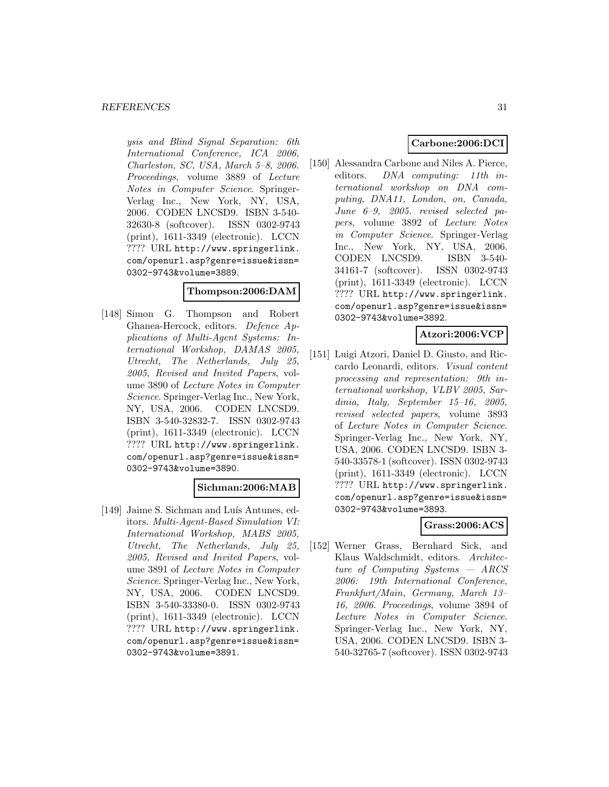ysis and Blind Signal Separation: 6th International Conference, ICA 2006, Charleston, SC, USA, March 5–8, 2006. Proceedings, volume 3889 of Lecture Notes in Computer Science. Springer-Verlag Inc., New York, NY, USA, 2006. CODEN LNCSD9. ISBN 3-540- 32630-8 (softcover). ISSN 0302-9743 (print), 1611-3349 (electronic). LCCN ???? URL http://www.springerlink. com/openurl.asp?genre=issue&issn= 0302-9743&volume=3889.

#### **Thompson:2006:DAM**

[148] Simon G. Thompson and Robert Ghanea-Hercock, editors. Defence Applications of Multi-Agent Systems: International Workshop, DAMAS 2005, Utrecht, The Netherlands, July 25, 2005, Revised and Invited Papers, volume 3890 of Lecture Notes in Computer Science. Springer-Verlag Inc., New York, NY, USA, 2006. CODEN LNCSD9. ISBN 3-540-32832-7. ISSN 0302-9743 (print), 1611-3349 (electronic). LCCN ???? URL http://www.springerlink. com/openurl.asp?genre=issue&issn= 0302-9743&volume=3890.

# **Sichman:2006:MAB**

[149] Jaime S. Sichman and Luís Antunes, editors. Multi-Agent-Based Simulation VI: International Workshop, MABS 2005, Utrecht, The Netherlands, July 25, 2005, Revised and Invited Papers, volume 3891 of Lecture Notes in Computer Science. Springer-Verlag Inc., New York, NY, USA, 2006. CODEN LNCSD9. ISBN 3-540-33380-0. ISSN 0302-9743 (print), 1611-3349 (electronic). LCCN ???? URL http://www.springerlink. com/openurl.asp?genre=issue&issn= 0302-9743&volume=3891.

# **Carbone:2006:DCI**

[150] Alessandra Carbone and Niles A. Pierce, editors. *DNA computing: 11th in*ternational workshop on DNA computing, DNA11, London, on, Canada, June 6–9, 2005. revised selected papers, volume 3892 of Lecture Notes in Computer Science. Springer-Verlag Inc., New York, NY, USA, 2006. CODEN LNCSD9. ISBN 3-540- 34161-7 (softcover). ISSN 0302-9743 (print), 1611-3349 (electronic). LCCN ???? URL http://www.springerlink. com/openurl.asp?genre=issue&issn= 0302-9743&volume=3892.

### **Atzori:2006:VCP**

[151] Luigi Atzori, Daniel D. Giusto, and Riccardo Leonardi, editors. Visual content processing and representation: 9th international workshop, VLBV 2005, Sardinia, Italy, September 15–16, 2005, revised selected papers, volume 3893 of Lecture Notes in Computer Science. Springer-Verlag Inc., New York, NY, USA, 2006. CODEN LNCSD9. ISBN 3- 540-33578-1 (softcover). ISSN 0302-9743 (print), 1611-3349 (electronic). LCCN ???? URL http://www.springerlink. com/openurl.asp?genre=issue&issn= 0302-9743&volume=3893.

# **Grass:2006:ACS**

[152] Werner Grass, Bernhard Sick, and Klaus Waldschmidt, editors. Architecture of Computing Systems — ARCS 2006: 19th International Conference, Frankfurt/Main, Germany, March 13– 16, 2006. Proceedings, volume 3894 of Lecture Notes in Computer Science. Springer-Verlag Inc., New York, NY, USA, 2006. CODEN LNCSD9. ISBN 3- 540-32765-7 (softcover). ISSN 0302-9743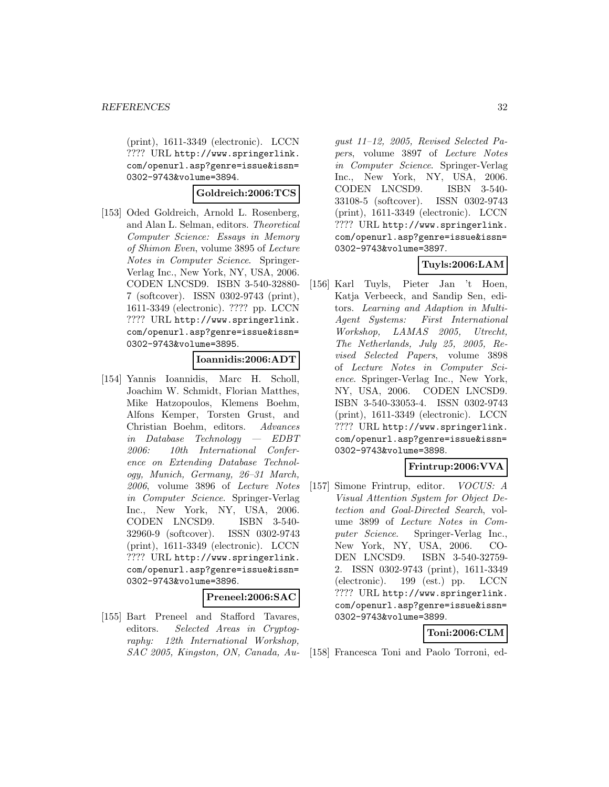(print), 1611-3349 (electronic). LCCN ???? URL http://www.springerlink. com/openurl.asp?genre=issue&issn= 0302-9743&volume=3894.

#### **Goldreich:2006:TCS**

[153] Oded Goldreich, Arnold L. Rosenberg, and Alan L. Selman, editors. Theoretical Computer Science: Essays in Memory of Shimon Even, volume 3895 of Lecture Notes in Computer Science. Springer-Verlag Inc., New York, NY, USA, 2006. CODEN LNCSD9. ISBN 3-540-32880- 7 (softcover). ISSN 0302-9743 (print), 1611-3349 (electronic). ???? pp. LCCN ???? URL http://www.springerlink. com/openurl.asp?genre=issue&issn= 0302-9743&volume=3895.

# **Ioannidis:2006:ADT**

[154] Yannis Ioannidis, Marc H. Scholl, Joachim W. Schmidt, Florian Matthes, Mike Hatzopoulos, Klemens Boehm, Alfons Kemper, Torsten Grust, and Christian Boehm, editors. Advances in Database Technology — EDBT 2006: 10th International Conference on Extending Database Technology, Munich, Germany, 26–31 March, 2006, volume 3896 of Lecture Notes in Computer Science. Springer-Verlag Inc., New York, NY, USA, 2006. CODEN LNCSD9. ISBN 3-540- 32960-9 (softcover). ISSN 0302-9743 (print), 1611-3349 (electronic). LCCN ???? URL http://www.springerlink. com/openurl.asp?genre=issue&issn= 0302-9743&volume=3896.

#### **Preneel:2006:SAC**

[155] Bart Preneel and Stafford Tavares, editors. Selected Areas in Cryptography: 12th International Workshop, SAC 2005, Kingston, ON, Canada, August 11–12, 2005, Revised Selected Papers, volume 3897 of Lecture Notes in Computer Science. Springer-Verlag Inc., New York, NY, USA, 2006. CODEN LNCSD9. ISBN 3-540- 33108-5 (softcover). ISSN 0302-9743 (print), 1611-3349 (electronic). LCCN ???? URL http://www.springerlink. com/openurl.asp?genre=issue&issn= 0302-9743&volume=3897.

# **Tuyls:2006:LAM**

[156] Karl Tuyls, Pieter Jan 't Hoen, Katja Verbeeck, and Sandip Sen, editors. Learning and Adaption in Multi-Agent Systems: First International Workshop, LAMAS 2005, Utrecht, The Netherlands, July 25, 2005, Revised Selected Papers, volume 3898 of Lecture Notes in Computer Science. Springer-Verlag Inc., New York, NY, USA, 2006. CODEN LNCSD9. ISBN 3-540-33053-4. ISSN 0302-9743 (print), 1611-3349 (electronic). LCCN ???? URL http://www.springerlink. com/openurl.asp?genre=issue&issn= 0302-9743&volume=3898.

### **Frintrup:2006:VVA**

[157] Simone Frintrup, editor. VOCUS: A Visual Attention System for Object Detection and Goal-Directed Search, volume 3899 of Lecture Notes in Computer Science. Springer-Verlag Inc., New York, NY, USA, 2006. CO-<br>DEN LNCSD9. ISBN 3-540-32759-ISBN 3-540-32759-2. ISSN 0302-9743 (print), 1611-3349 (electronic). 199 (est.) pp. LCCN ???? URL http://www.springerlink. com/openurl.asp?genre=issue&issn= 0302-9743&volume=3899.

#### **Toni:2006:CLM**

[158] Francesca Toni and Paolo Torroni, ed-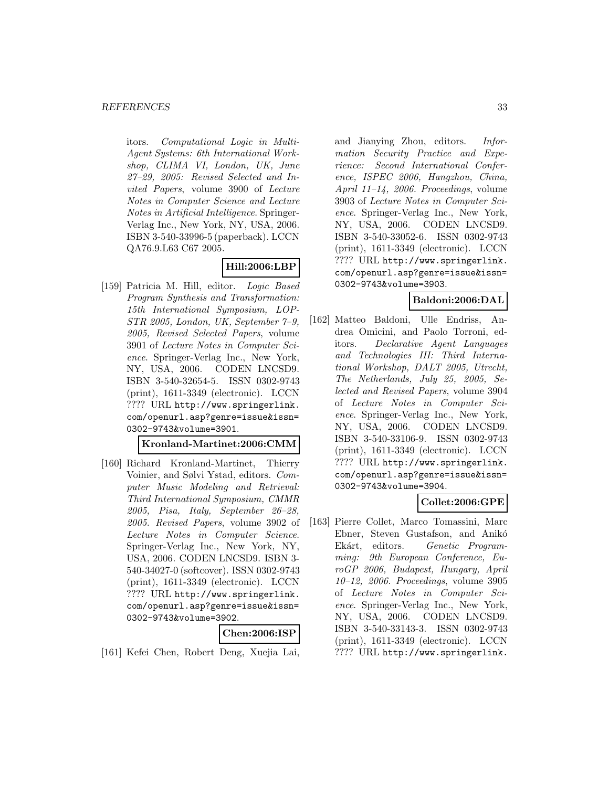itors. Computational Logic in Multi-Agent Systems: 6th International Workshop, CLIMA VI, London, UK, June 27–29, 2005: Revised Selected and Invited Papers, volume 3900 of Lecture Notes in Computer Science and Lecture Notes in Artificial Intelligence. Springer-Verlag Inc., New York, NY, USA, 2006. ISBN 3-540-33996-5 (paperback). LCCN QA76.9.L63 C67 2005.

# **Hill:2006:LBP**

[159] Patricia M. Hill, editor. Logic Based Program Synthesis and Transformation: 15th International Symposium, LOP-STR 2005, London, UK, September 7–9, 2005, Revised Selected Papers, volume 3901 of Lecture Notes in Computer Science. Springer-Verlag Inc., New York, NY, USA, 2006. CODEN LNCSD9. ISBN 3-540-32654-5. ISSN 0302-9743 (print), 1611-3349 (electronic). LCCN ???? URL http://www.springerlink. com/openurl.asp?genre=issue&issn= 0302-9743&volume=3901.

### **Kronland-Martinet:2006:CMM**

[160] Richard Kronland-Martinet, Thierry Voinier, and Sølvi Ystad, editors. Computer Music Modeling and Retrieval: Third International Symposium, CMMR 2005, Pisa, Italy, September 26–28, 2005. Revised Papers, volume 3902 of Lecture Notes in Computer Science. Springer-Verlag Inc., New York, NY, USA, 2006. CODEN LNCSD9. ISBN 3- 540-34027-0 (softcover). ISSN 0302-9743 (print), 1611-3349 (electronic). LCCN ???? URL http://www.springerlink. com/openurl.asp?genre=issue&issn= 0302-9743&volume=3902.

### **Chen:2006:ISP**

[161] Kefei Chen, Robert Deng, Xuejia Lai,

and Jianying Zhou, editors. Information Security Practice and Experience: Second International Conference, ISPEC 2006, Hangzhou, China, April 11–14, 2006. Proceedings, volume 3903 of Lecture Notes in Computer Science. Springer-Verlag Inc., New York, NY, USA, 2006. CODEN LNCSD9. ISBN 3-540-33052-6. ISSN 0302-9743 (print), 1611-3349 (electronic). LCCN ???? URL http://www.springerlink. com/openurl.asp?genre=issue&issn= 0302-9743&volume=3903.

# **Baldoni:2006:DAL**

[162] Matteo Baldoni, Ulle Endriss, Andrea Omicini, and Paolo Torroni, editors. Declarative Agent Languages and Technologies III: Third International Workshop, DALT 2005, Utrecht, The Netherlands, July 25, 2005, Selected and Revised Papers, volume 3904 of Lecture Notes in Computer Science. Springer-Verlag Inc., New York, NY, USA, 2006. CODEN LNCSD9. ISBN 3-540-33106-9. ISSN 0302-9743 (print), 1611-3349 (electronic). LCCN ???? URL http://www.springerlink. com/openurl.asp?genre=issue&issn= 0302-9743&volume=3904.

# **Collet:2006:GPE**

[163] Pierre Collet, Marco Tomassini, Marc Ebner, Steven Gustafson, and Anikó Ekárt, editors. Genetic Programming: 9th European Conference, EuroGP 2006, Budapest, Hungary, April 10–12, 2006. Proceedings, volume 3905 of Lecture Notes in Computer Science. Springer-Verlag Inc., New York, NY, USA, 2006. CODEN LNCSD9. ISBN 3-540-33143-3. ISSN 0302-9743 (print), 1611-3349 (electronic). LCCN ???? URL http://www.springerlink.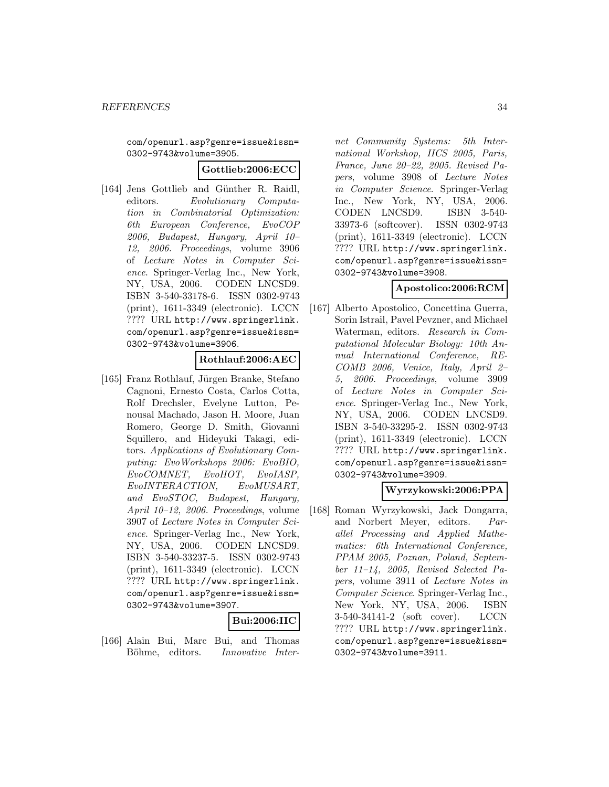com/openurl.asp?genre=issue&issn= 0302-9743&volume=3905.

#### **Gottlieb:2006:ECC**

[164] Jens Gottlieb and Günther R. Raidl, editors. Evolutionary Computation in Combinatorial Optimization: 6th European Conference, EvoCOP 2006, Budapest, Hungary, April 10– 12, 2006. Proceedings, volume 3906 of Lecture Notes in Computer Science. Springer-Verlag Inc., New York, NY, USA, 2006. CODEN LNCSD9. ISBN 3-540-33178-6. ISSN 0302-9743 (print), 1611-3349 (electronic). LCCN ???? URL http://www.springerlink. com/openurl.asp?genre=issue&issn= 0302-9743&volume=3906.

# **Rothlauf:2006:AEC**

[165] Franz Rothlauf, Jürgen Branke, Stefano Cagnoni, Ernesto Costa, Carlos Cotta, Rolf Drechsler, Evelyne Lutton, Penousal Machado, Jason H. Moore, Juan Romero, George D. Smith, Giovanni Squillero, and Hideyuki Takagi, editors. Applications of Evolutionary Computing: EvoWorkshops 2006: EvoBIO, EvoCOMNET, EvoHOT, EvoIASP, EvoINTERACTION, EvoMUSART, and EvoSTOC, Budapest, Hungary, April 10–12, 2006. Proceedings, volume 3907 of Lecture Notes in Computer Science. Springer-Verlag Inc., New York, NY, USA, 2006. CODEN LNCSD9. ISBN 3-540-33237-5. ISSN 0302-9743 (print), 1611-3349 (electronic). LCCN ???? URL http://www.springerlink. com/openurl.asp?genre=issue&issn= 0302-9743&volume=3907.

# **Bui:2006:IIC**

[166] Alain Bui, Marc Bui, and Thomas Böhme, editors. *Innovative Inter-* net Community Systems: 5th International Workshop, IICS 2005, Paris, France, June 20–22, 2005. Revised Papers, volume 3908 of Lecture Notes in Computer Science. Springer-Verlag Inc., New York, NY, USA, 2006. CODEN LNCSD9. ISBN 3-540- 33973-6 (softcover). ISSN 0302-9743 (print), 1611-3349 (electronic). LCCN ???? URL http://www.springerlink. com/openurl.asp?genre=issue&issn= 0302-9743&volume=3908.

### **Apostolico:2006:RCM**

[167] Alberto Apostolico, Concettina Guerra, Sorin Istrail, Pavel Pevzner, and Michael Waterman, editors. Research in Computational Molecular Biology: 10th Annual International Conference, RE-COMB 2006, Venice, Italy, April 2– 5, 2006. Proceedings, volume 3909 of Lecture Notes in Computer Science. Springer-Verlag Inc., New York, NY, USA, 2006. CODEN LNCSD9. ISBN 3-540-33295-2. ISSN 0302-9743 (print), 1611-3349 (electronic). LCCN ???? URL http://www.springerlink. com/openurl.asp?genre=issue&issn= 0302-9743&volume=3909.

# **Wyrzykowski:2006:PPA**

[168] Roman Wyrzykowski, Jack Dongarra, and Norbert Meyer, editors. Parallel Processing and Applied Mathematics: 6th International Conference, PPAM 2005, Poznan, Poland, September 11–14, 2005, Revised Selected Papers, volume 3911 of Lecture Notes in Computer Science. Springer-Verlag Inc., New York, NY, USA, 2006. ISBN 3-540-34141-2 (soft cover). LCCN ???? URL http://www.springerlink. com/openurl.asp?genre=issue&issn= 0302-9743&volume=3911.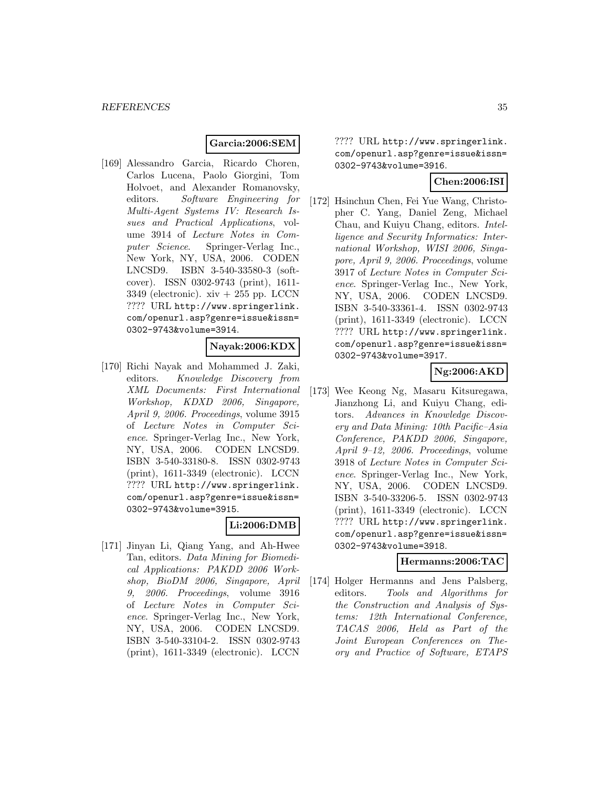# **Garcia:2006:SEM**

[169] Alessandro Garcia, Ricardo Choren, Carlos Lucena, Paolo Giorgini, Tom Holvoet, and Alexander Romanovsky, editors. Software Engineering for Multi-Agent Systems IV: Research Issues and Practical Applications, volume 3914 of Lecture Notes in Computer Science. Springer-Verlag Inc., New York, NY, USA, 2006. CODEN LNCSD9. ISBN 3-540-33580-3 (softcover). ISSN 0302-9743 (print), 1611- 3349 (electronic).  $xiv + 255$  pp. LCCN ???? URL http://www.springerlink. com/openurl.asp?genre=issue&issn= 0302-9743&volume=3914.

### **Nayak:2006:KDX**

[170] Richi Nayak and Mohammed J. Zaki, editors. Knowledge Discovery from XML Documents: First International Workshop, KDXD 2006, Singapore, April 9, 2006. Proceedings, volume 3915 of Lecture Notes in Computer Science. Springer-Verlag Inc., New York, NY, USA, 2006. CODEN LNCSD9. ISBN 3-540-33180-8. ISSN 0302-9743 (print), 1611-3349 (electronic). LCCN ???? URL http://www.springerlink. com/openurl.asp?genre=issue&issn= 0302-9743&volume=3915.

#### **Li:2006:DMB**

[171] Jinyan Li, Qiang Yang, and Ah-Hwee Tan, editors. Data Mining for Biomedical Applications: PAKDD 2006 Workshop, BioDM 2006, Singapore, April 9, 2006. Proceedings, volume 3916 of Lecture Notes in Computer Science. Springer-Verlag Inc., New York, NY, USA, 2006. CODEN LNCSD9. ISBN 3-540-33104-2. ISSN 0302-9743 (print), 1611-3349 (electronic). LCCN

???? URL http://www.springerlink. com/openurl.asp?genre=issue&issn= 0302-9743&volume=3916.

# **Chen:2006:ISI**

[172] Hsinchun Chen, Fei Yue Wang, Christopher C. Yang, Daniel Zeng, Michael Chau, and Kuiyu Chang, editors. Intelligence and Security Informatics: International Workshop, WISI 2006, Singapore, April 9, 2006. Proceedings, volume 3917 of Lecture Notes in Computer Science. Springer-Verlag Inc., New York, NY, USA, 2006. CODEN LNCSD9. ISBN 3-540-33361-4. ISSN 0302-9743 (print), 1611-3349 (electronic). LCCN ???? URL http://www.springerlink. com/openurl.asp?genre=issue&issn= 0302-9743&volume=3917.

# **Ng:2006:AKD**

[173] Wee Keong Ng, Masaru Kitsuregawa, Jianzhong Li, and Kuiyu Chang, editors. Advances in Knowledge Discovery and Data Mining: 10th Pacific–Asia Conference, PAKDD 2006, Singapore, April 9–12, 2006. Proceedings, volume 3918 of Lecture Notes in Computer Science. Springer-Verlag Inc., New York, NY, USA, 2006. CODEN LNCSD9. ISBN 3-540-33206-5. ISSN 0302-9743 (print), 1611-3349 (electronic). LCCN ???? URL http://www.springerlink. com/openurl.asp?genre=issue&issn= 0302-9743&volume=3918.

#### **Hermanns:2006:TAC**

[174] Holger Hermanns and Jens Palsberg, editors. Tools and Algorithms for the Construction and Analysis of Systems: 12th International Conference, TACAS 2006, Held as Part of the Joint European Conferences on Theory and Practice of Software, ETAPS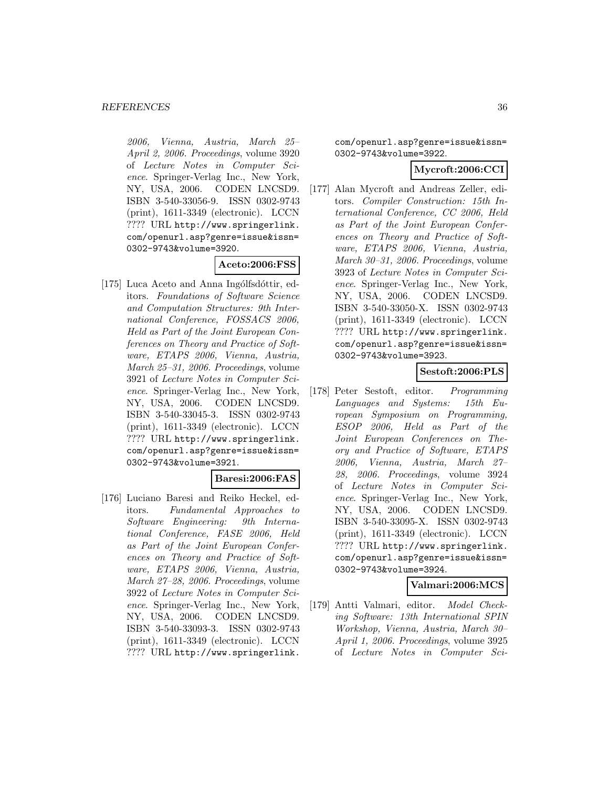2006, Vienna, Austria, March 25– April 2, 2006. Proceedings, volume 3920 of Lecture Notes in Computer Science. Springer-Verlag Inc., New York, NY, USA, 2006. CODEN LNCSD9. ISBN 3-540-33056-9. ISSN 0302-9743 (print), 1611-3349 (electronic). LCCN ???? URL http://www.springerlink. com/openurl.asp?genre=issue&issn= 0302-9743&volume=3920.

### **Aceto:2006:FSS**

[175] Luca Aceto and Anna Ingólfsdóttir, editors. Foundations of Software Science and Computation Structures: 9th International Conference, FOSSACS 2006, Held as Part of the Joint European Conferences on Theory and Practice of Software, ETAPS 2006, Vienna, Austria, March 25–31, 2006. Proceedings, volume 3921 of Lecture Notes in Computer Science. Springer-Verlag Inc., New York, NY, USA, 2006. CODEN LNCSD9. ISBN 3-540-33045-3. ISSN 0302-9743 (print), 1611-3349 (electronic). LCCN ???? URL http://www.springerlink. com/openurl.asp?genre=issue&issn= 0302-9743&volume=3921.

#### **Baresi:2006:FAS**

[176] Luciano Baresi and Reiko Heckel, editors. Fundamental Approaches to Software Engineering: 9th International Conference, FASE 2006, Held as Part of the Joint European Conferences on Theory and Practice of Software, ETAPS 2006, Vienna, Austria, March 27–28, 2006. Proceedings, volume 3922 of Lecture Notes in Computer Science. Springer-Verlag Inc., New York, NY, USA, 2006. CODEN LNCSD9. ISBN 3-540-33093-3. ISSN 0302-9743 (print), 1611-3349 (electronic). LCCN ???? URL http://www.springerlink.

com/openurl.asp?genre=issue&issn= 0302-9743&volume=3922.

### **Mycroft:2006:CCI**

[177] Alan Mycroft and Andreas Zeller, editors. Compiler Construction: 15th International Conference, CC 2006, Held as Part of the Joint European Conferences on Theory and Practice of Software, ETAPS 2006, Vienna, Austria, March 30–31, 2006. Proceedings, volume 3923 of Lecture Notes in Computer Science. Springer-Verlag Inc., New York, NY, USA, 2006. CODEN LNCSD9. ISBN 3-540-33050-X. ISSN 0302-9743 (print), 1611-3349 (electronic). LCCN ???? URL http://www.springerlink. com/openurl.asp?genre=issue&issn= 0302-9743&volume=3923.

# **Sestoft:2006:PLS**

[178] Peter Sestoft, editor. Programming Languages and Systems: 15th European Symposium on Programming, ESOP 2006, Held as Part of the Joint European Conferences on Theory and Practice of Software, ETAPS 2006, Vienna, Austria, March 27– 28, 2006. Proceedings, volume 3924 of Lecture Notes in Computer Science. Springer-Verlag Inc., New York, NY, USA, 2006. CODEN LNCSD9. ISBN 3-540-33095-X. ISSN 0302-9743 (print), 1611-3349 (electronic). LCCN ???? URL http://www.springerlink. com/openurl.asp?genre=issue&issn= 0302-9743&volume=3924.

# **Valmari:2006:MCS**

[179] Antti Valmari, editor. Model Checking Software: 13th International SPIN Workshop, Vienna, Austria, March 30– April 1, 2006. Proceedings, volume 3925 of Lecture Notes in Computer Sci-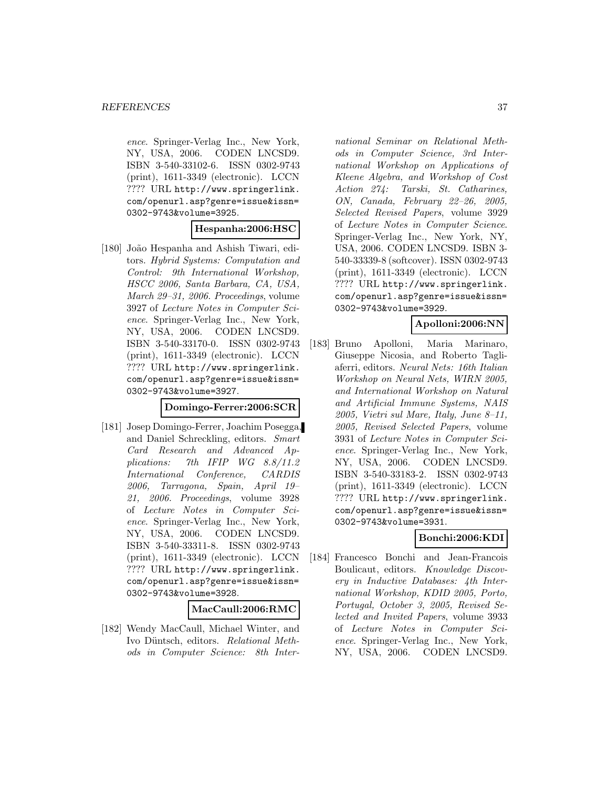ence. Springer-Verlag Inc., New York, NY, USA, 2006. CODEN LNCSD9. ISBN 3-540-33102-6. ISSN 0302-9743 (print), 1611-3349 (electronic). LCCN ???? URL http://www.springerlink. com/openurl.asp?genre=issue&issn= 0302-9743&volume=3925.

# **Hespanha:2006:HSC**

[180] João Hespanha and Ashish Tiwari, editors. Hybrid Systems: Computation and Control: 9th International Workshop, HSCC 2006, Santa Barbara, CA, USA, March 29–31, 2006. Proceedings, volume 3927 of Lecture Notes in Computer Science. Springer-Verlag Inc., New York, NY, USA, 2006. CODEN LNCSD9. ISBN 3-540-33170-0. ISSN 0302-9743 (print), 1611-3349 (electronic). LCCN ???? URL http://www.springerlink. com/openurl.asp?genre=issue&issn= 0302-9743&volume=3927.

### **Domingo-Ferrer:2006:SCR**

[181] Josep Domingo-Ferrer, Joachim Posegga, and Daniel Schreckling, editors. Smart Card Research and Advanced Applications: 7th IFIP WG 8.8/11.2 International Conference, CARDIS 2006, Tarragona, Spain, April 19– 21, 2006. Proceedings, volume 3928 of Lecture Notes in Computer Science. Springer-Verlag Inc., New York, NY, USA, 2006. CODEN LNCSD9. ISBN 3-540-33311-8. ISSN 0302-9743 (print), 1611-3349 (electronic). LCCN ???? URL http://www.springerlink. com/openurl.asp?genre=issue&issn= 0302-9743&volume=3928.

#### **MacCaull:2006:RMC**

[182] Wendy MacCaull, Michael Winter, and Ivo Düntsch, editors. Relational Methods in Computer Science: 8th International Seminar on Relational Methods in Computer Science, 3rd International Workshop on Applications of Kleene Algebra, and Workshop of Cost Action 274: Tarski, St. Catharines, ON, Canada, February 22–26, 2005, Selected Revised Papers, volume 3929 of Lecture Notes in Computer Science. Springer-Verlag Inc., New York, NY, USA, 2006. CODEN LNCSD9. ISBN 3- 540-33339-8 (softcover). ISSN 0302-9743 (print), 1611-3349 (electronic). LCCN ???? URL http://www.springerlink. com/openurl.asp?genre=issue&issn= 0302-9743&volume=3929.

# **Apolloni:2006:NN**

[183] Bruno Apolloni, Maria Marinaro, Giuseppe Nicosia, and Roberto Tagliaferri, editors. Neural Nets: 16th Italian Workshop on Neural Nets, WIRN 2005, and International Workshop on Natural and Artificial Immune Systems, NAIS 2005, Vietri sul Mare, Italy, June 8–11, 2005, Revised Selected Papers, volume 3931 of Lecture Notes in Computer Science. Springer-Verlag Inc., New York, NY, USA, 2006. CODEN LNCSD9. ISBN 3-540-33183-2. ISSN 0302-9743 (print), 1611-3349 (electronic). LCCN ???? URL http://www.springerlink. com/openurl.asp?genre=issue&issn= 0302-9743&volume=3931.

# **Bonchi:2006:KDI**

[184] Francesco Bonchi and Jean-Francois Boulicaut, editors. Knowledge Discovery in Inductive Databases: 4th International Workshop, KDID 2005, Porto, Portugal, October 3, 2005, Revised Selected and Invited Papers, volume 3933 of Lecture Notes in Computer Science. Springer-Verlag Inc., New York, NY, USA, 2006. CODEN LNCSD9.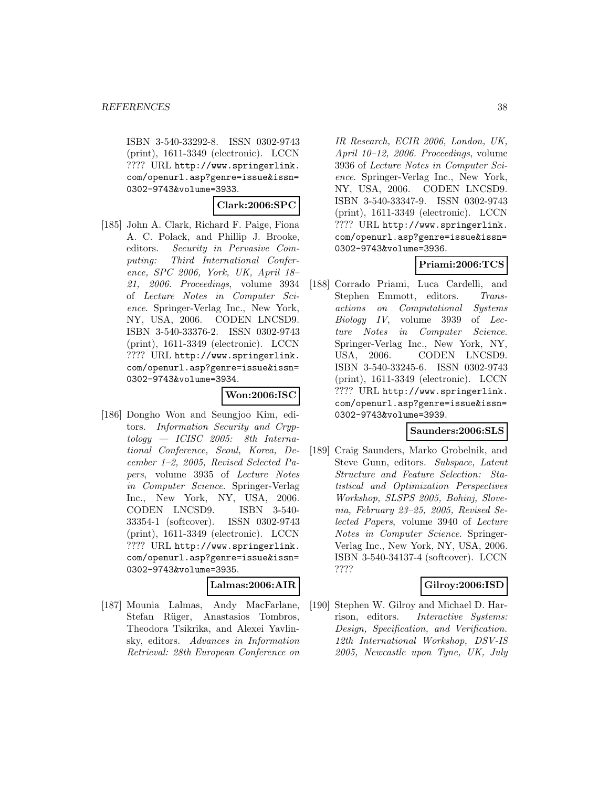ISBN 3-540-33292-8. ISSN 0302-9743 (print), 1611-3349 (electronic). LCCN ???? URL http://www.springerlink. com/openurl.asp?genre=issue&issn= 0302-9743&volume=3933.

### **Clark:2006:SPC**

[185] John A. Clark, Richard F. Paige, Fiona A. C. Polack, and Phillip J. Brooke, editors. Security in Pervasive Computing: Third International Conference, SPC 2006, York, UK, April 18– 21, 2006. Proceedings, volume 3934 of Lecture Notes in Computer Science. Springer-Verlag Inc., New York, NY, USA, 2006. CODEN LNCSD9. ISBN 3-540-33376-2. ISSN 0302-9743 (print), 1611-3349 (electronic). LCCN ???? URL http://www.springerlink. com/openurl.asp?genre=issue&issn= 0302-9743&volume=3934.

#### **Won:2006:ISC**

[186] Dongho Won and Seungjoo Kim, editors. Information Security and Cryp $tology - ICISC 2005$ : 8th International Conference, Seoul, Korea, December 1–2, 2005, Revised Selected Papers, volume 3935 of Lecture Notes in Computer Science. Springer-Verlag Inc., New York, NY, USA, 2006. CODEN LNCSD9. ISBN 3-540- 33354-1 (softcover). ISSN 0302-9743 (print), 1611-3349 (electronic). LCCN ???? URL http://www.springerlink. com/openurl.asp?genre=issue&issn= 0302-9743&volume=3935.

# **Lalmas:2006:AIR**

[187] Mounia Lalmas, Andy MacFarlane, Stefan Rüger, Anastasios Tombros, Theodora Tsikrika, and Alexei Yavlinsky, editors. Advances in Information Retrieval: 28th European Conference on

IR Research, ECIR 2006, London, UK, April 10–12, 2006. Proceedings, volume 3936 of Lecture Notes in Computer Science. Springer-Verlag Inc., New York, NY, USA, 2006. CODEN LNCSD9. ISBN 3-540-33347-9. ISSN 0302-9743 (print), 1611-3349 (electronic). LCCN ???? URL http://www.springerlink. com/openurl.asp?genre=issue&issn= 0302-9743&volume=3936.

# **Priami:2006:TCS**

[188] Corrado Priami, Luca Cardelli, and Stephen Emmott, editors. Transactions on Computational Systems Biology IV, volume 3939 of Lecture Notes in Computer Science. Springer-Verlag Inc., New York, NY, USA, 2006. CODEN LNCSD9. ISBN 3-540-33245-6. ISSN 0302-9743 (print), 1611-3349 (electronic). LCCN ???? URL http://www.springerlink. com/openurl.asp?genre=issue&issn= 0302-9743&volume=3939.

### **Saunders:2006:SLS**

[189] Craig Saunders, Marko Grobelnik, and Steve Gunn, editors. Subspace, Latent Structure and Feature Selection: Statistical and Optimization Perspectives Workshop, SLSPS 2005, Bohinj, Slovenia, February 23–25, 2005, Revised Selected Papers, volume 3940 of Lecture Notes in Computer Science. Springer-Verlag Inc., New York, NY, USA, 2006. ISBN 3-540-34137-4 (softcover). LCCN ????

# **Gilroy:2006:ISD**

[190] Stephen W. Gilroy and Michael D. Harrison, editors. Interactive Systems: Design, Specification, and Verification. 12th International Workshop, DSV-IS 2005, Newcastle upon Tyne, UK, July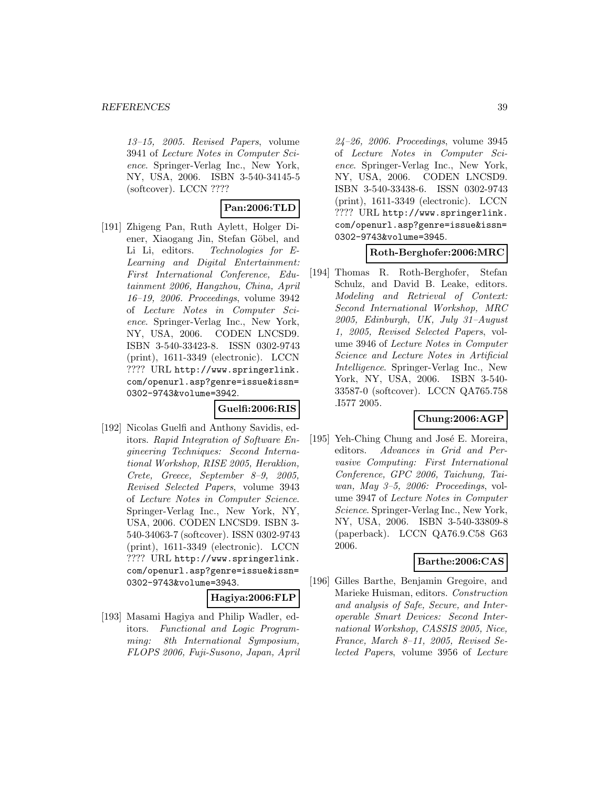13–15, 2005. Revised Papers, volume 3941 of Lecture Notes in Computer Science. Springer-Verlag Inc., New York, NY, USA, 2006. ISBN 3-540-34145-5 (softcover). LCCN ????

# **Pan:2006:TLD**

[191] Zhigeng Pan, Ruth Aylett, Holger Diener, Xiaogang Jin, Stefan Göbel, and Li Li, editors. Technologies for E-Learning and Digital Entertainment: First International Conference, Edutainment 2006, Hangzhou, China, April 16–19, 2006. Proceedings, volume 3942 of Lecture Notes in Computer Science. Springer-Verlag Inc., New York, NY, USA, 2006. CODEN LNCSD9. ISBN 3-540-33423-8. ISSN 0302-9743 (print), 1611-3349 (electronic). LCCN ???? URL http://www.springerlink. com/openurl.asp?genre=issue&issn= 0302-9743&volume=3942.

# **Guelfi:2006:RIS**

[192] Nicolas Guelfi and Anthony Savidis, editors. Rapid Integration of Software Engineering Techniques: Second International Workshop, RISE 2005, Heraklion, Crete, Greece, September 8–9, 2005, Revised Selected Papers, volume 3943 of Lecture Notes in Computer Science. Springer-Verlag Inc., New York, NY, USA, 2006. CODEN LNCSD9. ISBN 3- 540-34063-7 (softcover). ISSN 0302-9743 (print), 1611-3349 (electronic). LCCN ???? URL http://www.springerlink. com/openurl.asp?genre=issue&issn= 0302-9743&volume=3943.

#### **Hagiya:2006:FLP**

[193] Masami Hagiya and Philip Wadler, editors. Functional and Logic Programming: 8th International Symposium, FLOPS 2006, Fuji-Susono, Japan, April 24–26, 2006. Proceedings, volume 3945 of Lecture Notes in Computer Science. Springer-Verlag Inc., New York, NY, USA, 2006. CODEN LNCSD9. ISBN 3-540-33438-6. ISSN 0302-9743 (print), 1611-3349 (electronic). LCCN ???? URL http://www.springerlink. com/openurl.asp?genre=issue&issn= 0302-9743&volume=3945.

#### **Roth-Berghofer:2006:MRC**

[194] Thomas R. Roth-Berghofer, Stefan Schulz, and David B. Leake, editors. Modeling and Retrieval of Context: Second International Workshop, MRC 2005, Edinburgh, UK, July 31–August 1, 2005, Revised Selected Papers, volume 3946 of Lecture Notes in Computer Science and Lecture Notes in Artificial Intelligence. Springer-Verlag Inc., New York, NY, USA, 2006. ISBN 3-540- 33587-0 (softcover). LCCN QA765.758 .I577 2005.

# **Chung:2006:AGP**

[195] Yeh-Ching Chung and José E. Moreira, editors. Advances in Grid and Pervasive Computing: First International Conference, GPC 2006, Taichung, Taiwan, May 3–5, 2006: Proceedings, volume 3947 of Lecture Notes in Computer Science. Springer-Verlag Inc., New York, NY, USA, 2006. ISBN 3-540-33809-8 (paperback). LCCN QA76.9.C58 G63 2006.

#### **Barthe:2006:CAS**

[196] Gilles Barthe, Benjamin Gregoire, and Marieke Huisman, editors. Construction and analysis of Safe, Secure, and Interoperable Smart Devices: Second International Workshop, CASSIS 2005, Nice, France, March 8–11, 2005, Revised Selected Papers, volume 3956 of Lecture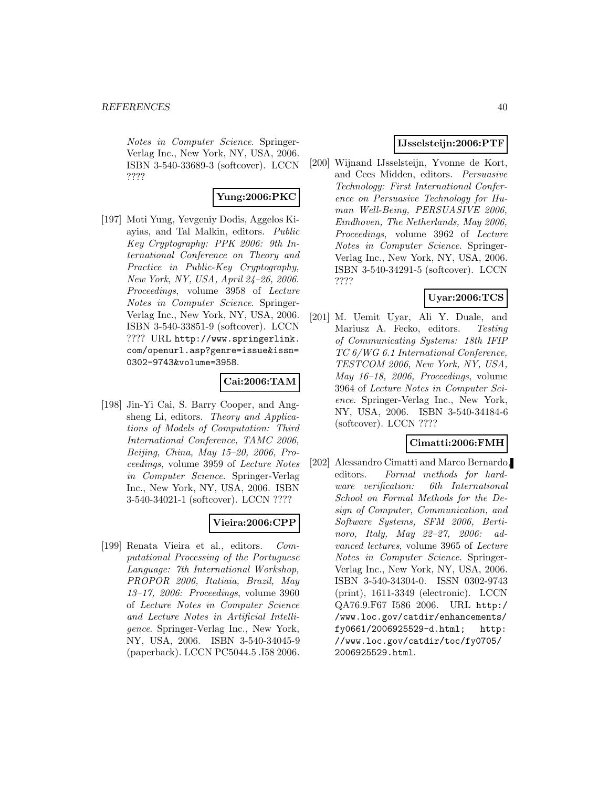Notes in Computer Science. Springer-Verlag Inc., New York, NY, USA, 2006. ISBN 3-540-33689-3 (softcover). LCCN ????

# **Yung:2006:PKC**

[197] Moti Yung, Yevgeniy Dodis, Aggelos Kiayias, and Tal Malkin, editors. Public Key Cryptography: PPK 2006: 9th International Conference on Theory and Practice in Public-Key Cryptography, New York, NY, USA, April 24–26, 2006. Proceedings, volume 3958 of Lecture Notes in Computer Science. Springer-Verlag Inc., New York, NY, USA, 2006. ISBN 3-540-33851-9 (softcover). LCCN ???? URL http://www.springerlink. com/openurl.asp?genre=issue&issn= 0302-9743&volume=3958.

### **Cai:2006:TAM**

[198] Jin-Yi Cai, S. Barry Cooper, and Angsheng Li, editors. Theory and Applications of Models of Computation: Third International Conference, TAMC 2006, Beijing, China, May 15–20, 2006, Proceedings, volume 3959 of Lecture Notes in Computer Science. Springer-Verlag Inc., New York, NY, USA, 2006. ISBN 3-540-34021-1 (softcover). LCCN ????

# **Vieira:2006:CPP**

[199] Renata Vieira et al., editors. Computational Processing of the Portuguese Language: 7th International Workshop, PROPOR 2006, Itatiaia, Brazil, May 13–17, 2006: Proceedings, volume 3960 of Lecture Notes in Computer Science and Lecture Notes in Artificial Intelligence. Springer-Verlag Inc., New York, NY, USA, 2006. ISBN 3-540-34045-9 (paperback). LCCN PC5044.5 .I58 2006.

### **IJsselsteijn:2006:PTF**

[200] Wijnand IJsselsteijn, Yvonne de Kort, and Cees Midden, editors. Persuasive Technology: First International Conference on Persuasive Technology for Human Well-Being, PERSUASIVE 2006, Eindhoven, The Netherlands, May 2006, Proceedings, volume 3962 of Lecture Notes in Computer Science. Springer-Verlag Inc., New York, NY, USA, 2006. ISBN 3-540-34291-5 (softcover). LCCN ????

# **Uyar:2006:TCS**

[201] M. Uemit Uyar, Ali Y. Duale, and Mariusz A. Fecko, editors. Testing of Communicating Systems: 18th IFIP TC 6/WG 6.1 International Conference, TESTCOM 2006, New York, NY, USA, May 16–18, 2006, Proceedings, volume 3964 of Lecture Notes in Computer Science. Springer-Verlag Inc., New York, NY, USA, 2006. ISBN 3-540-34184-6 (softcover). LCCN ????

# **Cimatti:2006:FMH**

[202] Alessandro Cimatti and Marco Bernardo, editors. Formal methods for hardware verification: 6th International School on Formal Methods for the Design of Computer, Communication, and Software Systems, SFM 2006, Bertinoro, Italy, May 22–27, 2006: advanced lectures, volume 3965 of Lecture Notes in Computer Science. Springer-Verlag Inc., New York, NY, USA, 2006. ISBN 3-540-34304-0. ISSN 0302-9743 (print), 1611-3349 (electronic). LCCN QA76.9.F67 I586 2006. URL http:/ /www.loc.gov/catdir/enhancements/ fy0661/2006925529-d.html; http: //www.loc.gov/catdir/toc/fy0705/ 2006925529.html.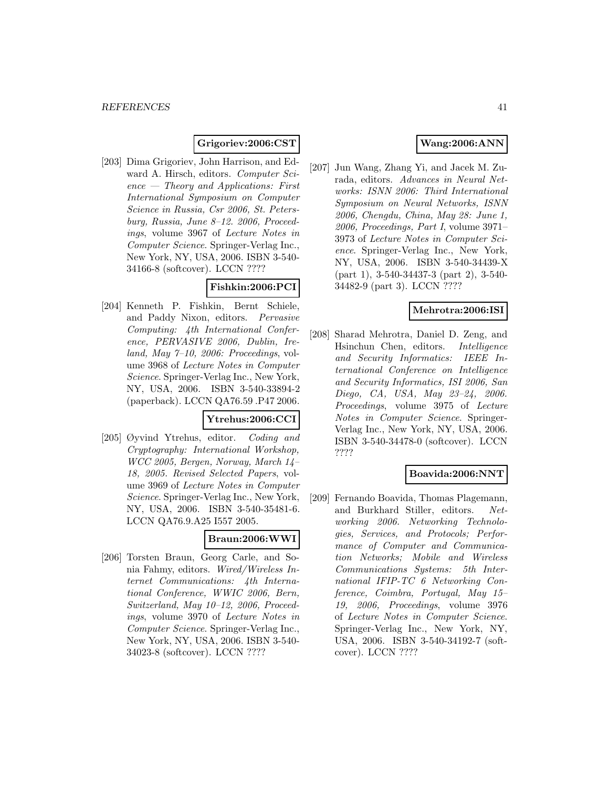# **Grigoriev:2006:CST**

[203] Dima Grigoriev, John Harrison, and Edward A. Hirsch, editors. Computer Science — Theory and Applications: First International Symposium on Computer Science in Russia, Csr 2006, St. Petersburg, Russia, June 8–12. 2006, Proceedings, volume 3967 of Lecture Notes in Computer Science. Springer-Verlag Inc., New York, NY, USA, 2006. ISBN 3-540- 34166-8 (softcover). LCCN ????

### **Fishkin:2006:PCI**

[204] Kenneth P. Fishkin, Bernt Schiele, and Paddy Nixon, editors. Pervasive Computing: 4th International Conference, PERVASIVE 2006, Dublin, Ireland, May  $7-10$ , 2006: Proceedings, volume 3968 of Lecture Notes in Computer Science. Springer-Verlag Inc., New York, NY, USA, 2006. ISBN 3-540-33894-2 (paperback). LCCN QA76.59 .P47 2006.

### **Ytrehus:2006:CCI**

[205] Øyvind Ytrehus, editor. Coding and Cryptography: International Workshop, WCC 2005, Bergen, Norway, March 14– 18, 2005. Revised Selected Papers, volume 3969 of Lecture Notes in Computer Science. Springer-Verlag Inc., New York, NY, USA, 2006. ISBN 3-540-35481-6. LCCN QA76.9.A25 I557 2005.

# **Braun:2006:WWI**

[206] Torsten Braun, Georg Carle, and Sonia Fahmy, editors. Wired/Wireless Internet Communications: 4th International Conference, WWIC 2006, Bern, Switzerland, May 10–12, 2006, Proceedings, volume 3970 of Lecture Notes in Computer Science. Springer-Verlag Inc., New York, NY, USA, 2006. ISBN 3-540- 34023-8 (softcover). LCCN ????

# **Wang:2006:ANN**

[207] Jun Wang, Zhang Yi, and Jacek M. Zurada, editors. Advances in Neural Networks: ISNN 2006: Third International Symposium on Neural Networks, ISNN 2006, Chengdu, China, May 28: June 1, 2006, Proceedings, Part I, volume 3971– 3973 of Lecture Notes in Computer Science. Springer-Verlag Inc., New York, NY, USA, 2006. ISBN 3-540-34439-X (part 1), 3-540-34437-3 (part 2), 3-540- 34482-9 (part 3). LCCN ????

# **Mehrotra:2006:ISI**

[208] Sharad Mehrotra, Daniel D. Zeng, and Hsinchun Chen, editors. Intelligence and Security Informatics: IEEE International Conference on Intelligence and Security Informatics, ISI 2006, San Diego, CA, USA, May 23–24, 2006. Proceedings, volume 3975 of Lecture Notes in Computer Science. Springer-Verlag Inc., New York, NY, USA, 2006. ISBN 3-540-34478-0 (softcover). LCCN ????

#### **Boavida:2006:NNT**

[209] Fernando Boavida, Thomas Plagemann, and Burkhard Stiller, editors. Networking 2006. Networking Technologies, Services, and Protocols; Performance of Computer and Communication Networks; Mobile and Wireless Communications Systems: 5th International IFIP-TC 6 Networking Conference, Coimbra, Portugal, May 15– 19, 2006, Proceedings, volume 3976 of Lecture Notes in Computer Science. Springer-Verlag Inc., New York, NY, USA, 2006. ISBN 3-540-34192-7 (softcover). LCCN ????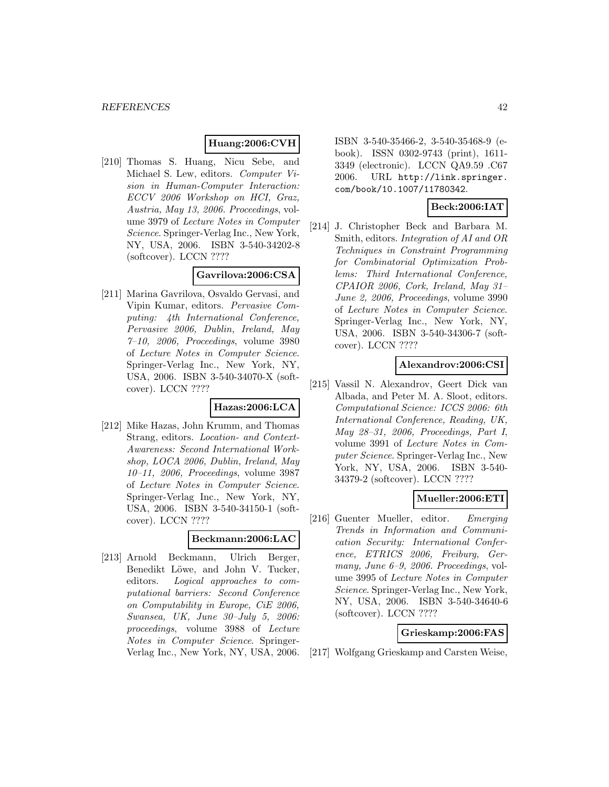# **Huang:2006:CVH**

[210] Thomas S. Huang, Nicu Sebe, and Michael S. Lew, editors. Computer Vision in Human-Computer Interaction: ECCV 2006 Workshop on HCI, Graz, Austria, May 13, 2006. Proceedings, volume 3979 of Lecture Notes in Computer Science. Springer-Verlag Inc., New York, NY, USA, 2006. ISBN 3-540-34202-8 (softcover). LCCN ????

### **Gavrilova:2006:CSA**

[211] Marina Gavrilova, Osvaldo Gervasi, and Vipin Kumar, editors. Pervasive Computing: 4th International Conference, Pervasive 2006, Dublin, Ireland, May 7–10, 2006, Proceedings, volume 3980 of Lecture Notes in Computer Science. Springer-Verlag Inc., New York, NY, USA, 2006. ISBN 3-540-34070-X (softcover). LCCN ????

# **Hazas:2006:LCA**

[212] Mike Hazas, John Krumm, and Thomas Strang, editors. Location- and Context-Awareness: Second International Workshop, LOCA 2006, Dublin, Ireland, May 10–11, 2006, Proceedings, volume 3987 of Lecture Notes in Computer Science. Springer-Verlag Inc., New York, NY, USA, 2006. ISBN 3-540-34150-1 (softcover). LCCN ????

#### **Beckmann:2006:LAC**

[213] Arnold Beckmann, Ulrich Berger, Benedikt Löwe, and John V. Tucker, editors. Logical approaches to computational barriers: Second Conference on Computability in Europe, CiE 2006, Swansea, UK, June 30–July 5, 2006: proceedings, volume 3988 of Lecture Notes in Computer Science. Springer-Verlag Inc., New York, NY, USA, 2006. ISBN 3-540-35466-2, 3-540-35468-9 (ebook). ISSN 0302-9743 (print), 1611- 3349 (electronic). LCCN QA9.59 .C67 2006. URL http://link.springer. com/book/10.1007/11780342.

# **Beck:2006:IAT**

[214] J. Christopher Beck and Barbara M. Smith, editors. Integration of AI and OR Techniques in Constraint Programming for Combinatorial Optimization Problems: Third International Conference, CPAIOR 2006, Cork, Ireland, May 31– June 2, 2006, Proceedings, volume 3990 of Lecture Notes in Computer Science. Springer-Verlag Inc., New York, NY, USA, 2006. ISBN 3-540-34306-7 (softcover). LCCN ????

# **Alexandrov:2006:CSI**

[215] Vassil N. Alexandrov, Geert Dick van Albada, and Peter M. A. Sloot, editors. Computational Science: ICCS 2006: 6th International Conference, Reading, UK, May 28–31, 2006, Proceedings, Part I, volume 3991 of Lecture Notes in Computer Science. Springer-Verlag Inc., New York, NY, USA, 2006. ISBN 3-540- 34379-2 (softcover). LCCN ????

#### **Mueller:2006:ETI**

[216] Guenter Mueller, editor. Emerging Trends in Information and Communication Security: International Conference, ETRICS 2006, Freiburg, Germany, June 6–9, 2006. Proceedings, volume 3995 of Lecture Notes in Computer Science. Springer-Verlag Inc., New York, NY, USA, 2006. ISBN 3-540-34640-6 (softcover). LCCN ????

#### **Grieskamp:2006:FAS**

[217] Wolfgang Grieskamp and Carsten Weise,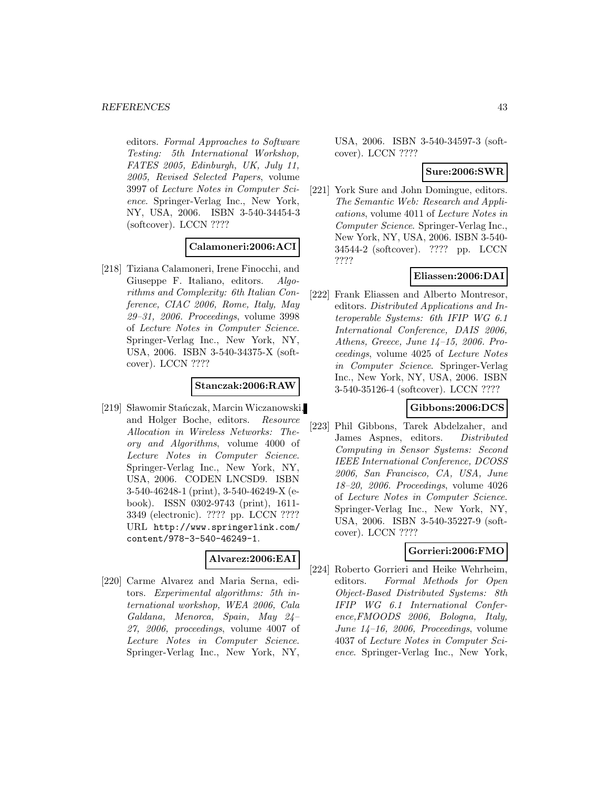editors. Formal Approaches to Software Testing: 5th International Workshop, FATES 2005, Edinburgh, UK, July 11, 2005, Revised Selected Papers, volume 3997 of Lecture Notes in Computer Science. Springer-Verlag Inc., New York, NY, USA, 2006. ISBN 3-540-34454-3 (softcover). LCCN ????

### **Calamoneri:2006:ACI**

[218] Tiziana Calamoneri, Irene Finocchi, and Giuseppe F. Italiano, editors. Algorithms and Complexity: 6th Italian Conference, CIAC 2006, Rome, Italy, May 29–31, 2006. Proceedings, volume 3998 of Lecture Notes in Computer Science. Springer-Verlag Inc., New York, NY, USA, 2006. ISBN 3-540-34375-X (softcover). LCCN ????

#### **Stanczak:2006:RAW**

[219] Sławomir Stańczak, Marcin Wiczanowski, and Holger Boche, editors. Resource Allocation in Wireless Networks: Theory and Algorithms, volume 4000 of Lecture Notes in Computer Science. Springer-Verlag Inc., New York, NY, USA, 2006. CODEN LNCSD9. ISBN 3-540-46248-1 (print), 3-540-46249-X (ebook). ISSN 0302-9743 (print), 1611- 3349 (electronic). ???? pp. LCCN ???? URL http://www.springerlink.com/ content/978-3-540-46249-1.

### **Alvarez:2006:EAI**

[220] Carme Alvarez and Maria Serna, editors. Experimental algorithms: 5th international workshop, WEA 2006, Cala Galdana, Menorca, Spain, May 24– 27, 2006, proceedings, volume 4007 of Lecture Notes in Computer Science. Springer-Verlag Inc., New York, NY,

USA, 2006. ISBN 3-540-34597-3 (softcover). LCCN ????

# **Sure:2006:SWR**

[221] York Sure and John Domingue, editors. The Semantic Web: Research and Applications, volume 4011 of Lecture Notes in Computer Science. Springer-Verlag Inc., New York, NY, USA, 2006. ISBN 3-540- 34544-2 (softcover). ???? pp. LCCN ????

# **Eliassen:2006:DAI**

[222] Frank Eliassen and Alberto Montresor, editors. Distributed Applications and Interoperable Systems: 6th IFIP WG 6.1 International Conference, DAIS 2006, Athens, Greece, June 14–15, 2006. Proceedings, volume 4025 of Lecture Notes in Computer Science. Springer-Verlag Inc., New York, NY, USA, 2006. ISBN 3-540-35126-4 (softcover). LCCN ????

# **Gibbons:2006:DCS**

[223] Phil Gibbons, Tarek Abdelzaher, and James Aspnes, editors. Distributed Computing in Sensor Systems: Second IEEE International Conference, DCOSS 2006, San Francisco, CA, USA, June 18–20, 2006. Proceedings, volume 4026 of Lecture Notes in Computer Science. Springer-Verlag Inc., New York, NY, USA, 2006. ISBN 3-540-35227-9 (softcover). LCCN ????

# **Gorrieri:2006:FMO**

[224] Roberto Gorrieri and Heike Wehrheim, editors. Formal Methods for Open Object-Based Distributed Systems: 8th IFIP WG 6.1 International Conference,FMOODS 2006, Bologna, Italy, June 14–16, 2006, Proceedings, volume 4037 of Lecture Notes in Computer Science. Springer-Verlag Inc., New York,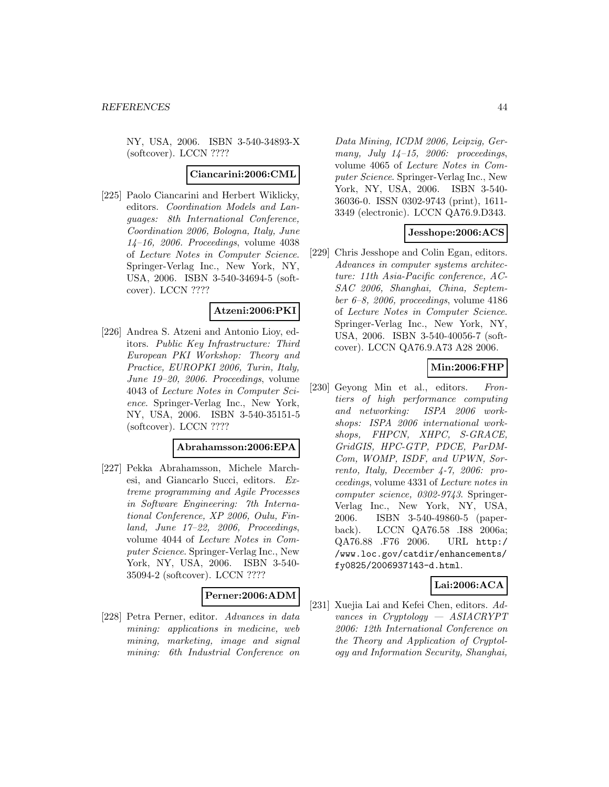NY, USA, 2006. ISBN 3-540-34893-X (softcover). LCCN ????

#### **Ciancarini:2006:CML**

[225] Paolo Ciancarini and Herbert Wiklicky, editors. Coordination Models and Languages: 8th International Conference, Coordination 2006, Bologna, Italy, June 14–16, 2006. Proceedings, volume 4038 of Lecture Notes in Computer Science. Springer-Verlag Inc., New York, NY, USA, 2006. ISBN 3-540-34694-5 (softcover). LCCN ????

# **Atzeni:2006:PKI**

[226] Andrea S. Atzeni and Antonio Lioy, editors. Public Key Infrastructure: Third European PKI Workshop: Theory and Practice, EUROPKI 2006, Turin, Italy, June 19–20, 2006. Proceedings, volume 4043 of Lecture Notes in Computer Science. Springer-Verlag Inc., New York, NY, USA, 2006. ISBN 3-540-35151-5 (softcover). LCCN ????

#### **Abrahamsson:2006:EPA**

[227] Pekka Abrahamsson, Michele Marchesi, and Giancarlo Succi, editors. Extreme programming and Agile Processes in Software Engineering: 7th International Conference, XP 2006, Oulu, Finland, June 17–22, 2006, Proceedings, volume 4044 of Lecture Notes in Computer Science. Springer-Verlag Inc., New York, NY, USA, 2006. ISBN 3-540- 35094-2 (softcover). LCCN ????

#### **Perner:2006:ADM**

[228] Petra Perner, editor. Advances in data mining: applications in medicine, web mining, marketing, image and signal mining: 6th Industrial Conference on

Data Mining, ICDM 2006, Leipzig, Germany, July  $14-15$ , 2006: proceedings, volume 4065 of Lecture Notes in Computer Science. Springer-Verlag Inc., New York, NY, USA, 2006. ISBN 3-540- 36036-0. ISSN 0302-9743 (print), 1611- 3349 (electronic). LCCN QA76.9.D343.

#### **Jesshope:2006:ACS**

[229] Chris Jesshope and Colin Egan, editors. Advances in computer systems architecture: 11th Asia-Pacific conference, AC-SAC 2006, Shanghai, China, September 6–8, 2006, proceedings, volume 4186 of Lecture Notes in Computer Science. Springer-Verlag Inc., New York, NY, USA, 2006. ISBN 3-540-40056-7 (softcover). LCCN QA76.9.A73 A28 2006.

#### **Min:2006:FHP**

[230] Geyong Min et al., editors. Frontiers of high performance computing and networking: ISPA 2006 workshops: ISPA 2006 international workshops, FHPCN, XHPC, S-GRACE, GridGIS, HPC-GTP, PDCE, ParDM-Com, WOMP, ISDF, and UPWN, Sorrento, Italy, December 4-7, 2006: proceedings, volume 4331 of Lecture notes in computer science, 0302-9743. Springer-Verlag Inc., New York, NY, USA, 2006. ISBN 3-540-49860-5 (paperback). LCCN QA76.58 .I88 2006a; QA76.88 .F76 2006. URL http:/ /www.loc.gov/catdir/enhancements/ fy0825/2006937143-d.html.

# **Lai:2006:ACA**

[231] Xuejia Lai and Kefei Chen, editors. Advances in Cryptology — ASIACRYPT 2006: 12th International Conference on the Theory and Application of Cryptology and Information Security, Shanghai,